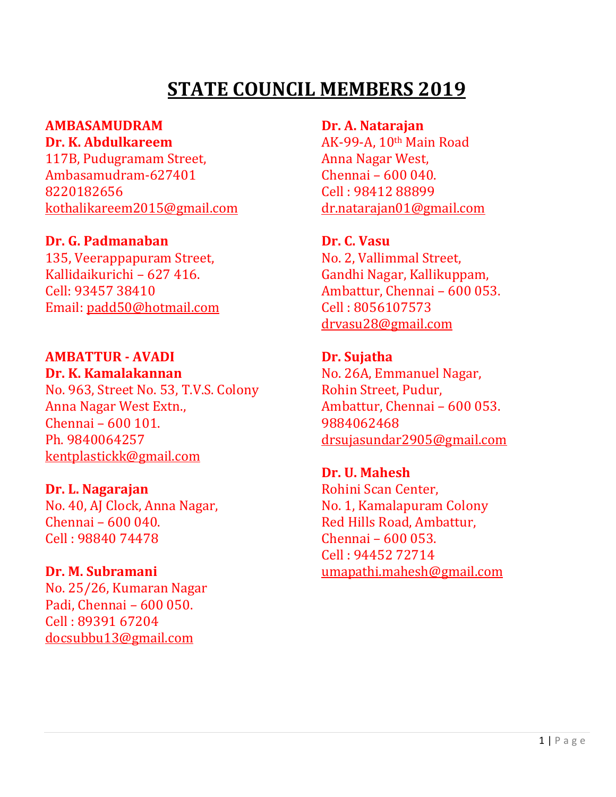# **STATE COUNCIL MEMBERS 2019**

#### **AMBASAMUDRAM Dr. K. Abdulkareem**

117B, Pudugramam Street, Ambasamudram-627401 8220182656 [kothalikareem2015@gmail.com](mailto:kothalikareem2015@gmail.com)

### **Dr. G. Padmanaban**

135, Veerappapuram Street, Kallidaikurichi – 627 416. Cell: 93457 38410 Email: [padd50@hotmail.com](mailto:padd50@hotmail.com)

#### **AMBATTUR - AVADI Dr. K. Kamalakannan**

No. 963, Street No. 53, T.V.S. Colony Anna Nagar West Extn., Chennai – 600 101. Ph. 9840064257 [kentplastickk@gmail.com](mailto:kentplastickk@gmail.com)

### **Dr. L. Nagarajan**

No. 40, AJ Clock, Anna Nagar, Chennai – 600 040. Cell : 98840 74478

### **Dr. M. Subramani**

No. 25/26, Kumaran Nagar Padi, Chennai – 600 050. Cell : 89391 67204 [docsubbu13@gmail.com](mailto:docsubbu13@gmail.com)

### **Dr. A. Natarajan** AK-99-A, 10<sup>th</sup> Main Road Anna Nagar West, Chennai – 600 040. Cell : 98412 88899 [dr.natarajan01@gmail.com](mailto:dr.natarajan01@gmail.com)

**Dr. C. Vasu** No. 2, Vallimmal Street, Gandhi Nagar, Kallikuppam, Ambattur, Chennai – 600 053. Cell : 8056107573 [drvasu28@gmail.com](mailto:drvasu28@gmail.com)

**Dr. Sujatha** No. 26A, Emmanuel Nagar, Rohin Street, Pudur, Ambattur, Chennai – 600 053. 9884062468 [drsujasundar2905@gmail.com](mailto:drsujasundar2905@gmail.com)

**Dr. U. Mahesh** Rohini Scan Center, No. 1, Kamalapuram Colony Red Hills Road, Ambattur, Chennai – 600 053. Cell : 94452 72714 [umapathi.mahesh@gmail.com](mailto:umapathi.mahesh@gmail.com)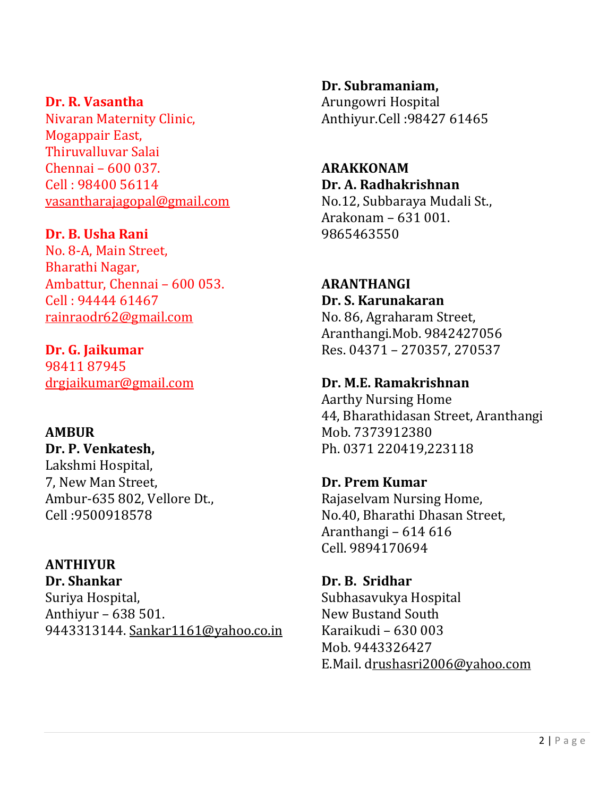### **Dr. R. Vasantha**

Nivaran Maternity Clinic, Mogappair East, Thiruvalluvar Salai Chennai – 600 037. Cell : 98400 56114 [vasantharajagopal@gmail.com](mailto:vasantharajagopal@gmail.com)

**Dr. B. Usha Rani** No. 8-A, Main Street, Bharathi Nagar, Ambattur, Chennai – 600 053. Cell : 94444 61467 [rainraodr62@gmail.com](mailto:rainraodr62@gmail.com)

**Dr. G. Jaikumar** 98411 87945 [drgjaikumar@gmail.com](mailto:drgjaikumar@gmail.com)

**AMBUR**

**Dr. P. Venkatesh,** Lakshmi Hospital, 7, New Man Street, Ambur-635 802, Vellore Dt., Cell :9500918578

**ANTHIYUR**

**Dr. Shankar** Suriya Hospital, Anthiyur – 638 501. 9443313144. [Sankar1161@yahoo.co.in](mailto:Sankar1161@yahoo.co.in)

**Dr. Subramaniam,**  Arungowri Hospital Anthiyur.Cell :98427 61465

**ARAKKONAM Dr. A. Radhakrishnan** No.12, Subbaraya Mudali St., Arakonam – 631 001.

9865463550

**ARANTHANGI Dr. S. Karunakaran** No. 86, Agraharam Street, Aranthangi.Mob. 9842427056 Res. 04371 – 270357, 270537

**Dr. M.E. Ramakrishnan** Aarthy Nursing Home 44, Bharathidasan Street, Aranthangi Mob. 7373912380 Ph. 0371 220419,223118

**Dr. Prem Kumar** Rajaselvam Nursing Home, No.40, Bharathi Dhasan Street, Aranthangi – 614 616 Cell. 9894170694

**Dr. B. Sridhar** Subhasavukya Hospital New Bustand South Karaikudi – 630 003 Mob. 9443326427 E.Mail. [drushasri2006@yahoo.com](mailto:rushasri2006@yahoo.com)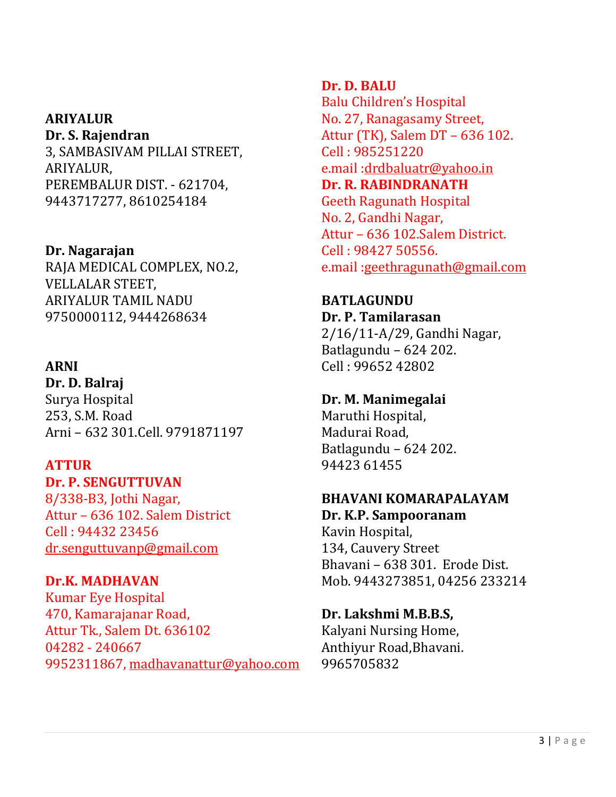#### **ARIYALUR**

**Dr. S. Rajendran** 3, SAMBASIVAM PILLAI STREET, ARIYALUR, PEREMBALUR DIST. - 621704, 9443717277, 8610254184

**Dr. Nagarajan** RAJA MEDICAL COMPLEX, NO.2, VELLALAR STEET, ARIYALUR TAMIL NADU 9750000112, 9444268634

### **ARNI**

**Dr. D. Balraj** Surya Hospital 253, S.M. Road Arni – 632 301.Cell. 9791871197

### **ATTUR**

**Dr. P. SENGUTTUVAN** 8/338-B3, Jothi Nagar, Attur – 636 102. Salem District Cell : 94432 23456 [dr.senguttuvanp@gmail.com](mailto:dr.senguttuvanp@gmail.com)

### **Dr.K. MADHAVAN**

Kumar Eye Hospital 470, Kamarajanar Road, Attur Tk., Salem Dt. 636102 04282 - 240667 9952311867, [madhavanattur@yahoo.com](mailto:madhavanattur@yahoo.com)

**Dr. D. BALU** Balu Children's Hospital No. 27, Ranagasamy Street, Attur (TK), Salem DT – 636 102. Cell : 985251220 e.mail [:drdbaluatr@yahoo.in](mailto:drdbaluatr@yahoo.in) **Dr. R. RABINDRANATH** Geeth Ragunath Hospital No. 2, Gandhi Nagar, Attur – 636 102.Salem District. Cell : 98427 50556. e.mail [:geethragunath@gmail.com](mailto:geethragunath@gmail.com)

**BATLAGUNDU Dr. P. Tamilarasan** 2/16/11-A/29, Gandhi Nagar, Batlagundu – 624 202. Cell : 99652 42802

**Dr. M. Manimegalai** Maruthi Hospital, Madurai Road, Batlagundu – 624 202. 94423 61455

#### **BHAVANI KOMARAPALAYAM**

**Dr. K.P. Sampooranam** Kavin Hospital, 134, Cauvery Street Bhavani – 638 301. Erode Dist. Mob. 9443273851, 04256 233214

**Dr. Lakshmi M.B.B.S,** Kalyani Nursing Home, Anthiyur Road,Bhavani. 9965705832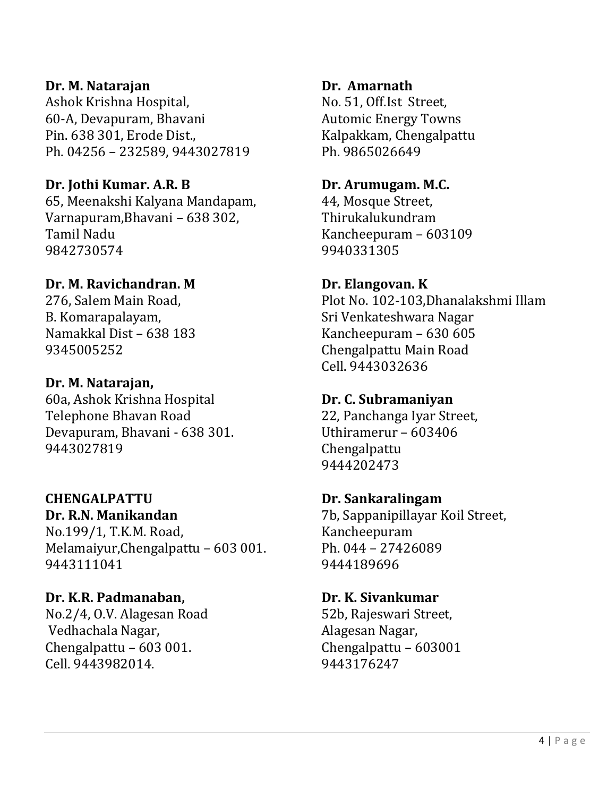### **Dr. M. Natarajan**

Ashok Krishna Hospital, 60-A, Devapuram, Bhavani Pin. 638 301, Erode Dist., Ph. 04256 – 232589, 9443027819

### **Dr. Jothi Kumar. A.R. B**

65, Meenakshi Kalyana Mandapam, Varnapuram,Bhavani – 638 302, Tamil Nadu 9842730574

### **Dr. M. Ravichandran. M**

276, Salem Main Road, B. Komarapalayam, Namakkal Dist – 638 183 9345005252

### **Dr. M. Natarajan,**

60a, Ashok Krishna Hospital Telephone Bhavan Road Devapuram, Bhavani - 638 301. 9443027819

### **CHENGALPATTU**

**Dr. R.N. Manikandan**

No.199/1, T.K.M. Road, Melamaiyur,Chengalpattu – 603 001. 9443111041

### **Dr. K.R. Padmanaban,**

No.2/4, O.V. Alagesan Road Vedhachala Nagar, Chengalpattu – 603 001. Cell. 9443982014.

### **Dr. Amarnath**

No. 51, Off.Ist Street, Automic Energy Towns Kalpakkam, Chengalpattu Ph. 9865026649

### **Dr. Arumugam. M.C.**

44, Mosque Street, Thirukalukundram Kancheepuram – 603109 9940331305

### **Dr. Elangovan. K**

Plot No. 102-103,Dhanalakshmi Illam Sri Venkateshwara Nagar Kancheepuram – 630 605 Chengalpattu Main Road Cell. 9443032636

### **Dr. C. Subramaniyan**

22, Panchanga Iyar Street, Uthiramerur – 603406 Chengalpattu 9444202473

### **Dr. Sankaralingam**

7b, Sappanipillayar Koil Street, Kancheepuram Ph. 044 – 27426089 9444189696

### **Dr. K. Sivankumar**

52b, Rajeswari Street, Alagesan Nagar, Chengalpattu – 603001 9443176247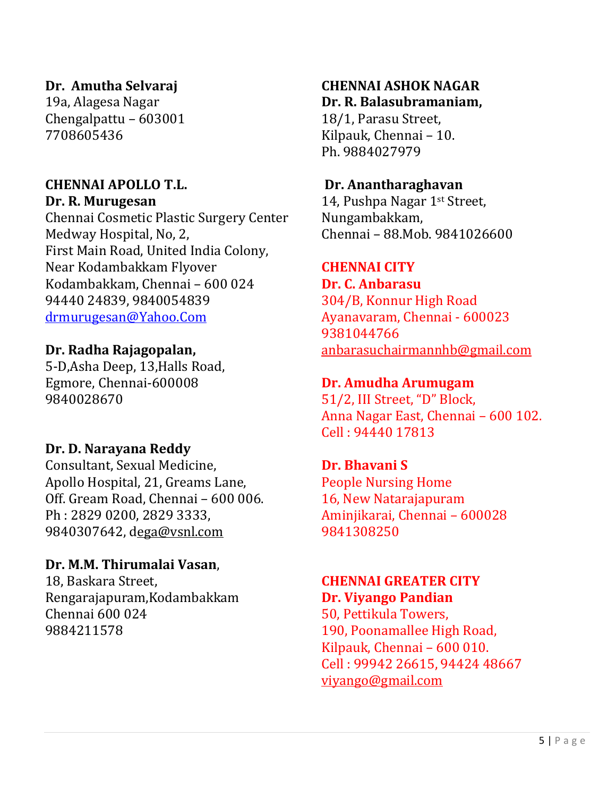### **Dr. Amutha Selvaraj**

19a, Alagesa Nagar Chengalpattu – 603001 7708605436

# **CHENNAI APOLLO T.L.**

### **Dr. R. Murugesan**

Chennai Cosmetic Plastic Surgery Center Medway Hospital, No, 2, First Main Road, United India Colony, Near Kodambakkam Flyover Kodambakkam, Chennai – 600 024 94440 24839, 9840054839 [drmurugesan@Yahoo.Com](mailto:drmurugesan@Yahoo.Com)

### **Dr. Radha Rajagopalan,**

5-D,Asha Deep, 13,Halls Road, Egmore, Chennai-600008 9840028670

### **Dr. D. Narayana Reddy**

Consultant, Sexual Medicine, Apollo Hospital, 21, Greams Lane, Off. Gream Road, Chennai – 600 006. Ph : 2829 0200, 2829 3333, 9840307642, [dega@vsnl.com](mailto:ega@vsnl.com)

### **Dr. M.M. Thirumalai Vasan**,

18, Baskara Street, Rengarajapuram,Kodambakkam Chennai 600 024 9884211578

### **CHENNAI ASHOK NAGAR Dr. R. Balasubramaniam,**

18/1, Parasu Street, Kilpauk, Chennai – 10. Ph. 9884027979

### **Dr. Anantharaghavan**

14, Pushpa Nagar 1st Street, Nungambakkam, Chennai – 88.Mob. 9841026600

### **CHENNAI CITY**

**Dr. C. Anbarasu** 304/B, Konnur High Road Ayanavaram, Chennai - 600023 9381044766 [anbarasuchairmannhb@gmail.com](mailto:anbarasuchairmannhb@gmail.com)

### **Dr. Amudha Arumugam**

51/2, III Street, "D" Block, Anna Nagar East, Chennai – 600 102. Cell : 94440 17813

### **Dr. Bhavani S**

People Nursing Home 16, New Natarajapuram Aminjikarai, Chennai – 600028 9841308250

#### **CHENNAI GREATER CITY Dr. Viyango Pandian**

50, Pettikula Towers, 190, Poonamallee High Road, Kilpauk, Chennai – 600 010. Cell : 99942 26615, 94424 48667 [viyango@gmail.com](mailto:viyango@gmail.com)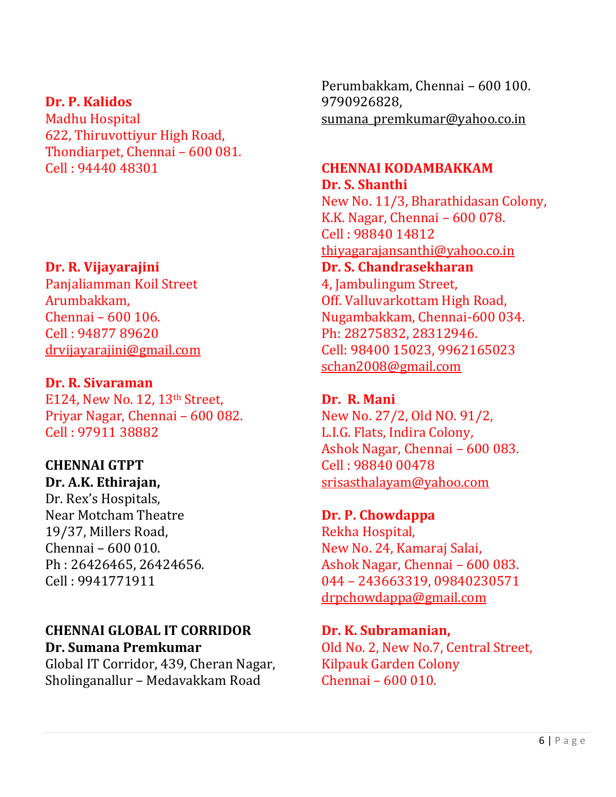#### **Dr. P. Kalidos**

Madhu Hospital 622, Thiruvottiyur High Road, Thondiarpet, Chennai – 600 081. Cell : 94440 48301

### **Dr. R. Vijayarajini**

Panjaliamman Koil Street Arumbakkam, Chennai – 600 106. Cell : 94877 89620 [drvijayarajini@gmail.com](mailto:drvijayarajini@gmail.com)

#### **Dr. R. Sivaraman**

E124, New No. 12, 13th Street, Priyar Nagar, Chennai – 600 082. Cell : 97911 38882

### **CHENNAI GTPT**

**Dr. A.K. Ethirajan,**

Dr. Rex's Hospitals, Near Motcham Theatre 19/37, Millers Road, Chennai – 600 010. Ph : 26426465, 26424656. Cell : 9941771911

#### **CHENNAI GLOBAL IT CORRIDOR Dr. Sumana Premkumar**

Global IT Corridor, 439, Cheran Nagar, Sholinganallur – Medavakkam Road

Perumbakkam, Chennai – 600 100. 9790926828, [sumana\\_premkumar@yahoo.co.in](mailto:sumana_premkumar@yahoo.co.in)

#### **CHENNAI KODAMBAKKAM Dr. S. Shanthi**

New No. 11/3, Bharathidasan Colony, K.K. Nagar, Chennai – 600 078. Cell : 98840 14812 [thiyagarajansanthi@yahoo.co.in](mailto:thiyagarajansanthi@yahoo.co.in) **Dr. S. Chandrasekharan** 4, Jambulingum Street,

Off. Valluvarkottam High Road, Nugambakkam, Chennai-600 034. Ph: 28275832, 28312946. Cell: 98400 15023, 9962165023 [schan2008@gmail.com](mailto:schan2008@gmail.com)

**Dr. R. Mani** New No. 27/2, Old NO. 91/2, L.I.G. Flats, Indira Colony, Ashok Nagar, Chennai – 600 083. Cell : 98840 00478 [srisasthalayam@yahoo.com](mailto:srisasthalayam@yahoo.com)

**Dr. P. Chowdappa** Rekha Hospital, New No. 24, Kamaraj Salai, Ashok Nagar, Chennai – 600 083. 044 – 243663319, 09840230571 [drpchowdappa@gmail.com](mailto:drpchowdappa@gmail.com)

**Dr. K. Subramanian,** Old No. 2, New No.7, Central Street, Kilpauk Garden Colony Chennai – 600 010.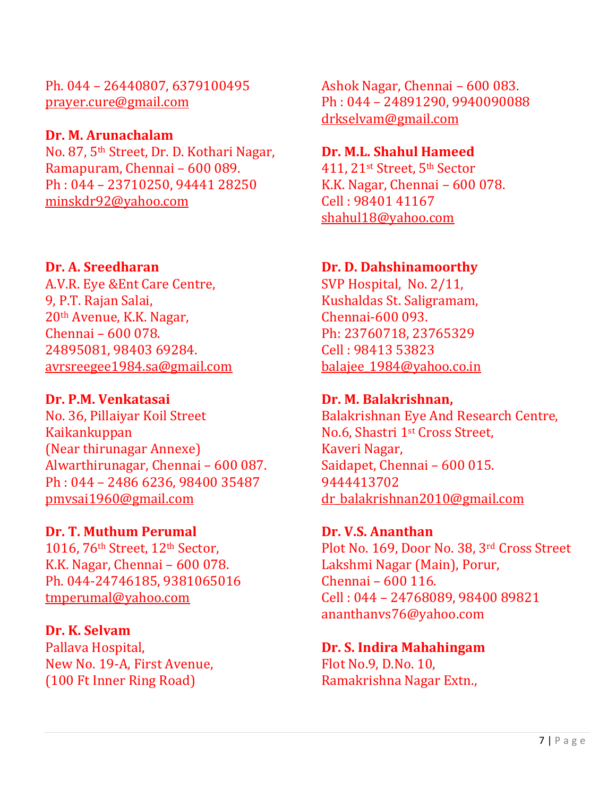#### Ph. 044 – 26440807, 6379100495 [prayer.cure@gmail.com](mailto:prayer.cure@gmail.com)

### **Dr. M. Arunachalam**

No. 87, 5th Street, Dr. D. Kothari Nagar, Ramapuram, Chennai – 600 089. Ph : 044 – 23710250, 94441 28250 [minskdr92@yahoo.com](mailto:minskdr92@yahoo.com)

### **Dr. A. Sreedharan**

A.V.R. Eye &Ent Care Centre, 9, P.T. Rajan Salai, 20th Avenue, K.K. Nagar, Chennai – 600 078. 24895081, 98403 69284. [avrsreegee1984.sa@gmail.com](mailto:avrsreegee1984.sa@gmail.com)

### **Dr. P.M. Venkatasai**

No. 36, Pillaiyar Koil Street Kaikankuppan (Near thirunagar Annexe) Alwarthirunagar, Chennai – 600 087. Ph : 044 – 2486 6236, 98400 35487 [pmvsai1960@gmail.com](mailto:pmvsai1960@gmail.com)

### **Dr. T. Muthum Perumal**

1016, 76th Street, 12th Sector, K.K. Nagar, Chennai – 600 078. Ph. 044-24746185, 9381065016 [tmperumal@yahoo.com](mailto:tmperumal@yahoo.com)

### **Dr. K. Selvam**

Pallava Hospital, New No. 19-A, First Avenue, (100 Ft Inner Ring Road)

Ashok Nagar, Chennai – 600 083. Ph : 044 – 24891290, 9940090088 [drkselvam@gmail.com](mailto:drkselvam@gmail.com)

### **Dr. M.L. Shahul Hameed**

411, 21st Street, 5th Sector K.K. Nagar, Chennai – 600 078. Cell : 98401 41167 [shahul18@yahoo.com](mailto:shahul18@yahoo.com)

### **Dr. D. Dahshinamoorthy**

SVP Hospital, No. 2/11, Kushaldas St. Saligramam, Chennai-600 093. Ph: 23760718, 23765329 Cell : 98413 53823 [balajee\\_1984@yahoo.co.in](mailto:balajee_1984@yahoo.co.in)

### **Dr. M. Balakrishnan,**

Balakrishnan Eye And Research Centre, No.6, Shastri 1<sup>st</sup> Cross Street. Kaveri Nagar, Saidapet, Chennai – 600 015. 9444413702 [dr\\_balakrishnan2010@gmail.com](mailto:dr_balakrishnan2010@gmail.com)

**Dr. V.S. Ananthan** Plot No. 169, Door No. 38, 3rd Cross Street Lakshmi Nagar (Main), Porur, Chennai – 600 116. Cell : 044 – 24768089, 98400 89821 ananthanvs76@yahoo.com

### **Dr. S. Indira Mahahingam** Flot No.9, D.No. 10, Ramakrishna Nagar Extn.,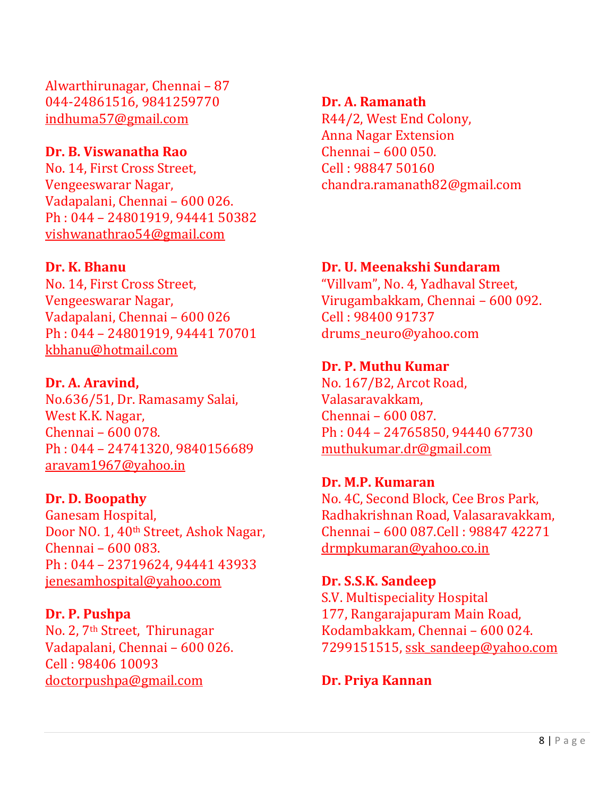Alwarthirunagar, Chennai – 87 044-24861516, 9841259770 [indhuma57@gmail.com](mailto:indhuma57@gmail.com)

**Dr. B. Viswanatha Rao**

No. 14, First Cross Street, Vengeeswarar Nagar, Vadapalani, Chennai – 600 026. Ph : 044 – 24801919, 94441 50382 [vishwanathrao54@gmail.com](mailto:vishwanathrao54@gmail.com)

### **Dr. K. Bhanu**

No. 14, First Cross Street, Vengeeswarar Nagar, Vadapalani, Chennai – 600 026 Ph : 044 – 24801919, 94441 70701 [kbhanu@hotmail.com](mailto:kbhanu@hotmail.com)

### **Dr. A. Aravind,**

No.636/51, Dr. Ramasamy Salai, West K.K. Nagar, Chennai – 600 078. Ph : 044 – 24741320, 9840156689 [aravam1967@yahoo.in](mailto:aravam1967@yahoo.in)

### **Dr. D. Boopathy**

Ganesam Hospital, Door NO. 1, 40th Street, Ashok Nagar, Chennai – 600 083. Ph : 044 – 23719624, 94441 43933 [jenesamhospital@yahoo.com](mailto:jenesamhospital@yahoo.com)

**Dr. P. Pushpa** No. 2, 7th Street, Thirunagar Vadapalani, Chennai – 600 026. Cell : 98406 10093 [doctorpushpa@gmail.com](mailto:doctorpushpa@gmail.com)

### **Dr. A. Ramanath**

R44/2, West End Colony, Anna Nagar Extension Chennai – 600 050. Cell : 98847 50160 chandra.ramanath82@gmail.com

### **Dr. U. Meenakshi Sundaram**

"Villvam", No. 4, Yadhaval Street, Virugambakkam, Chennai – 600 092. Cell : 98400 91737 drums\_neuro@yahoo.com

### **Dr. P. Muthu Kumar**

No. 167/B2, Arcot Road, Valasaravakkam, Chennai – 600 087. Ph : 044 – 24765850, 94440 67730 [muthukumar.dr@gmail.com](mailto:muthukumar.dr@gmail.com)

### **Dr. M.P. Kumaran**

No. 4C, Second Block, Cee Bros Park, Radhakrishnan Road, Valasaravakkam, Chennai – 600 087.Cell : 98847 42271 [drmpkumaran@yahoo.co.in](mailto:drmpkumaran@yahoo.co.in)

### **Dr. S.S.K. Sandeep** S.V. Multispeciality Hospital

177, Rangarajapuram Main Road, Kodambakkam, Chennai – 600 024. 7299151515, [ssk\\_sandeep@yahoo.com](mailto:ssk_sandeep@yahoo.com)

### **Dr. Priya Kannan**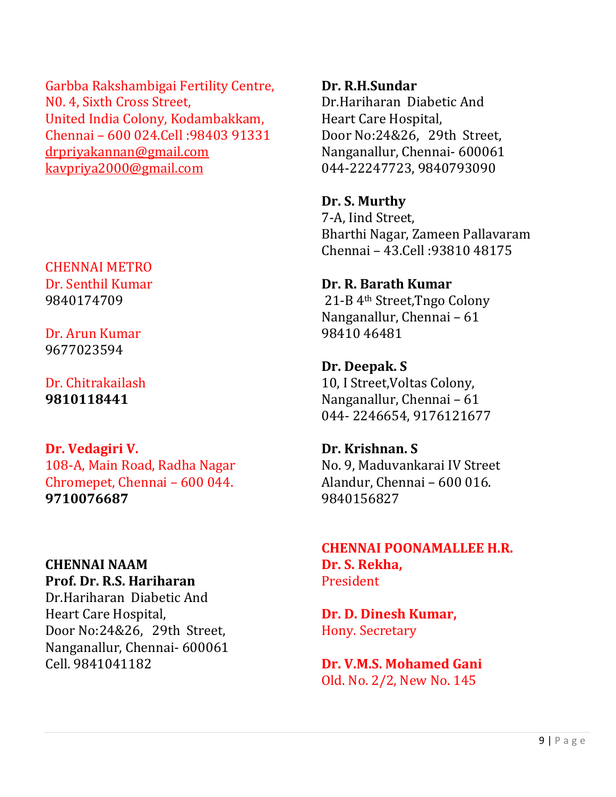Garbba Rakshambigai Fertility Centre, N0. 4, Sixth Cross Street, United India Colony, Kodambakkam, Chennai – 600 024.Cell :98403 91331 [drpriyakannan@gmail.com](mailto:drpriyakannan@gmail.com) [kavpriya2000@gmail.com](mailto:kavpriya2000@gmail.com)

CHENNAI METRO Dr. Senthil Kumar 9840174709

Dr. Arun Kumar 9677023594

Dr. Chitrakailash **9810118441**

**Dr. Vedagiri V.**  108-A, Main Road, Radha Nagar Chromepet, Chennai – 600 044. **9710076687**

### **CHENNAI NAAM Prof. Dr. R.S. Hariharan**

Dr.Hariharan Diabetic And Heart Care Hospital, Door No:24&26, 29th Street, Nanganallur, Chennai- 600061 Cell. 9841041182

**Dr. R.H.Sundar** 

Dr.Hariharan Diabetic And Heart Care Hospital, Door No:24&26, 29th Street, Nanganallur, Chennai- 600061 044-22247723, 9840793090

**Dr. S. Murthy** 7-A, Iind Street, Bharthi Nagar, Zameen Pallavaram Chennai – 43.Cell :93810 48175

### **Dr. R. Barath Kumar**

21-B 4th Street,Tngo Colony Nanganallur, Chennai – 61 98410 46481

**Dr. Deepak. S** 10, I Street,Voltas Colony, Nanganallur, Chennai – 61 044- 2246654, 9176121677

**Dr. Krishnan. S** No. 9, Maduvankarai IV Street Alandur, Chennai – 600 016. 9840156827

### **CHENNAI POONAMALLEE H.R. Dr. S. Rekha,**  President

**Dr. D. Dinesh Kumar,**  Hony. Secretary

**Dr. V.M.S. Mohamed Gani** Old. No. 2/2, New No. 145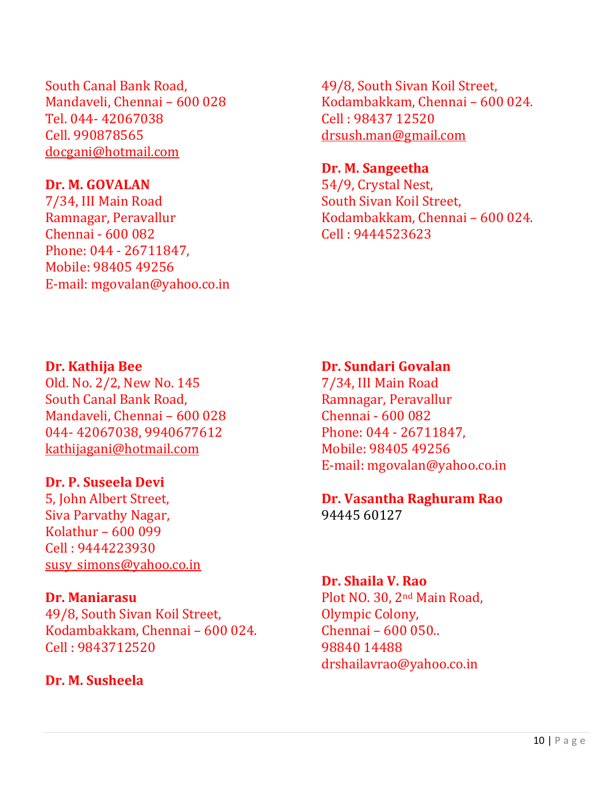South Canal Bank Road, Mandaveli, Chennai – 600 028 Tel. 044- 42067038 Cell. 990878565 [docgani@hotmail.com](mailto:docgani@hotmail.com)

#### **Dr. M. GOVALAN**

7/34, III Main Road Ramnagar, Peravallur Chennai - 600 082 Phone: 044 - 26711847, Mobile: 98405 49256 E-mail: mgovalan@yahoo.co.in

49/8, South Sivan Koil Street, Kodambakkam, Chennai – 600 024. Cell : 98437 12520 [drsush.man@gmail.com](mailto:drsush.man@gmail.com)

#### **Dr. M. Sangeetha**

54/9, Crystal Nest, South Sivan Koil Street, Kodambakkam, Chennai – 600 024. Cell : 9444523623

### **Dr. Kathija Bee**

Old. No. 2/2, New No. 145 South Canal Bank Road, Mandaveli, Chennai – 600 028 044- 42067038, 9940677612 [kathijagani@hotmail.com](mailto:kathijagani@hotmail.com)

#### **Dr. P. Suseela Devi**

5, John Albert Street, Siva Parvathy Nagar, Kolathur – 600 099 Cell : 9444223930 susy simons@yahoo.co.in

#### **Dr. Maniarasu**

49/8, South Sivan Koil Street, Kodambakkam, Chennai – 600 024. Cell : 9843712520

### **Dr. M. Susheela**

#### **Dr. Sundari Govalan**

7/34, III Main Road Ramnagar, Peravallur Chennai - 600 082 Phone: 044 - 26711847, Mobile: 98405 49256 E-mail: mgovalan@yahoo.co.in

#### **Dr. Vasantha Raghuram Rao** 94445 60127

#### **Dr. Shaila V. Rao**

Plot NO. 30, 2nd Main Road, Olympic Colony, Chennai – 600 050.. 98840 14488 drshailavrao@yahoo.co.in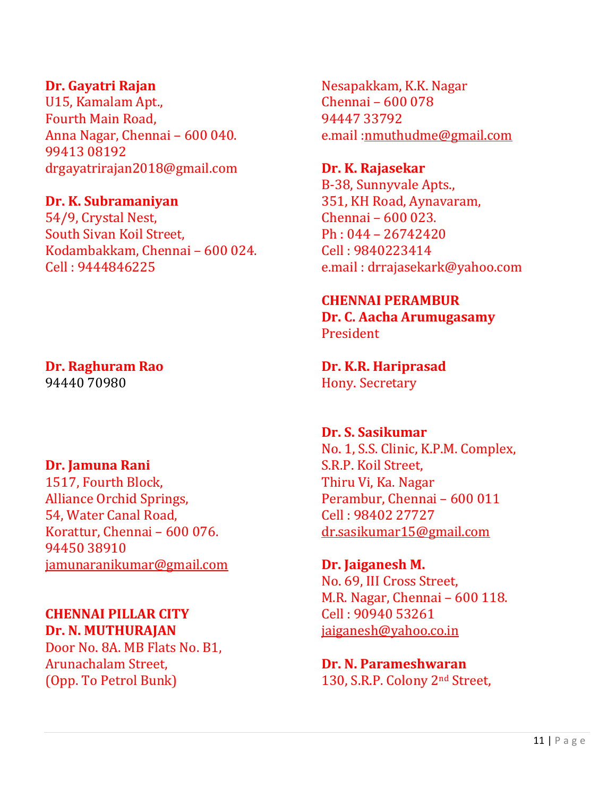#### **Dr. Gayatri Rajan**

U15, Kamalam Apt., Fourth Main Road, Anna Nagar, Chennai – 600 040. 99413 08192 drgayatrirajan2018@gmail.com

### **Dr. K. Subramaniyan**

54/9, Crystal Nest, South Sivan Koil Street, Kodambakkam, Chennai – 600 024. Cell : 9444846225

### **Dr. Raghuram Rao**

94440 70980

#### **Dr. Jamuna Rani**

1517, Fourth Block, Alliance Orchid Springs, 54, Water Canal Road, Korattur, Chennai – 600 076. 94450 38910 [jamunaranikumar@gmail.com](mailto:jamunaranikumar@gmail.com)

### **CHENNAI PILLAR CITY Dr. N. MUTHURAJAN**

Door No. 8A. MB Flats No. B1, Arunachalam Street, (Opp. To Petrol Bunk)

Nesapakkam, K.K. Nagar Chennai – 600 078 94447 33792 e.mail [:nmuthudme@gmail.com](mailto:nmuthudme@gmail.com)

**Dr. K. Rajasekar** B-38, Sunnyvale Apts., 351, KH Road, Aynavaram, Chennai – 600 023. Ph : 044 – 26742420 Cell : 9840223414 e.mail : drrajasekark@yahoo.com

### **CHENNAI PERAMBUR Dr. C. Aacha Arumugasamy**

President

#### **Dr. K.R. Hariprasad** Hony. Secretary

### **Dr. S. Sasikumar**

No. 1, S.S. Clinic, K.P.M. Complex, S.R.P. Koil Street, Thiru Vi, Ka. Nagar Perambur, Chennai – 600 011 Cell : 98402 27727 [dr.sasikumar15@gmail.com](mailto:dr.sasikumar15@gmail.com)

**Dr. Jaiganesh M.**  No. 69, III Cross Street, M.R. Nagar, Chennai – 600 118. Cell : 90940 53261 [jaiganesh@yahoo.co.in](mailto:jaiganesh@yahoo.co.in)

**Dr. N. Parameshwaran** 130, S.R.P. Colony 2nd Street,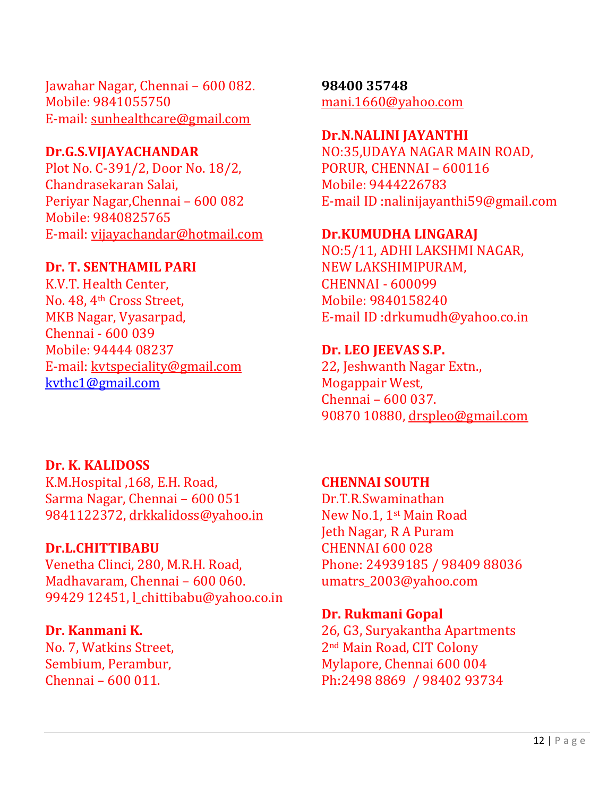Jawahar Nagar, Chennai – 600 082. Mobile: 9841055750 E-mail: [sunhealthcare@gmail.com](mailto:sunhealthcare@gmail.com)

### **Dr.G.S.VIJAYACHANDAR**

Plot No. C-391/2, Door No. 18/2, Chandrasekaran Salai, Periyar Nagar,Chennai – 600 082 Mobile: 9840825765 E-mail: [vijayachandar@hotmail.com](mailto:vijayachandar@hotmail.com)

### **Dr. T. SENTHAMIL PARI**

K.V.T. Health Center, No. 48, 4th Cross Street, MKB Nagar, Vyasarpad, Chennai - 600 039 Mobile: 94444 08237 E-mail: [kvtspeciality@gmail.com](mailto:kvtspeciality@gmail.com) [kvthc1@gmail.com](mailto:kvthc1@gmail.com)

**98400 35748** [mani.1660@yahoo.com](mailto:mani.1660@yahoo.com)

### **Dr.N.NALINI JAYANTHI**

NO:35,UDAYA NAGAR MAIN ROAD, PORUR, CHENNAI – 600116 Mobile: 9444226783 E-mail ID [:nalinijayanthi59@gmail.com](mailto:nalinijayanthi59@gmail.com)

### **Dr.KUMUDHA LINGARAJ**

NO:5/11, ADHI LAKSHMI NAGAR, NEW LAKSHIMIPURAM, CHENNAI - 600099 Mobile: 9840158240 E-mail ID [:drkumudh@yahoo.co.in](mailto:drkumudh@yahoo.co.in)

### **Dr. LEO JEEVAS S.P.**

22, Jeshwanth Nagar Extn., Mogappair West, Chennai – 600 037. 90870 10880, [drspleo@gmail.com](mailto:drspleo@gmail.com)

### **Dr. K. KALIDOSS**

K.M.Hospital ,168, E.H. Road, Sarma Nagar, Chennai – 600 051 9841122372, [drkkalidoss@yahoo.in](mailto:drkkalidoss@yahoo.in)

### **Dr.L.CHITTIBABU**

Venetha Clinci, 280, M.R.H. Road, Madhavaram, Chennai – 600 060. 99429 12451, l[\\_chittibabu@yahoo.co.in](mailto:chittibabu@yahoo.co.in)

**Dr. Kanmani K.**  No. 7, Watkins Street, Sembium, Perambur, Chennai – 600 011.

**CHENNAI SOUTH**

Dr.T.R.Swaminathan New No.1, 1st Main Road Jeth Nagar, R A Puram CHENNAI 600 028 Phone: 24939185 / 98409 88036 umatrs\_2003@yahoo.com

**Dr. Rukmani Gopal** 26, G3, Suryakantha Apartments 2nd Main Road, CIT Colony Mylapore, Chennai 600 004 Ph:2498 8869 / 98402 93734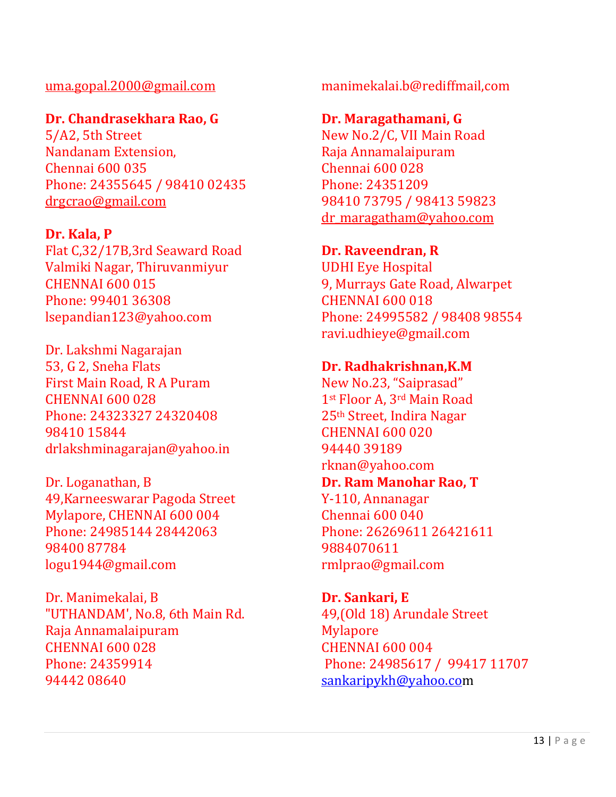#### [uma.gopal.2000@gmail.com](mailto:uma.gopal.2000@gmail.com)

#### **Dr. Chandrasekhara Rao, G**

5/A2, 5th Street Nandanam Extension, Chennai 600 035 Phone: 24355645 / 98410 02435 [drgcrao@gmail.com](mailto:drgcrao@gmail.com)

#### **Dr. Kala, P**

Flat C,32/17B,3rd Seaward Road Valmiki Nagar, Thiruvanmiyur CHENNAI 600 015 Phone: 99401 36308 lsepandian123@yahoo.com

Dr. Lakshmi Nagarajan 53, G 2, Sneha Flats First Main Road, R A Puram CHENNAI 600 028 Phone: 24323327 24320408 98410 15844 drlakshminagarajan@yahoo.in

Dr. Loganathan, B 49,Karneeswarar Pagoda Street Mylapore, CHENNAI 600 004 Phone: 24985144 28442063 98400 87784 logu1944@gmail.com

Dr. Manimekalai, B "UTHANDAM', No.8, 6th Main Rd. Raja Annamalaipuram CHENNAI 600 028 Phone: 24359914 94442 08640

manimekalai.b@rediffmail,com

#### **Dr. Maragathamani, G** New No.2/C, VII Main Road Raja Annamalaipuram

Chennai 600 028 Phone: 24351209 98410 73795 / 98413 59823 [dr\\_maragatham@yahoo.com](mailto:dr_maragatham@yahoo.com)

#### **Dr. Raveendran, R**

UDHI Eye Hospital 9, Murrays Gate Road, Alwarpet CHENNAI 600 018 Phone: 24995582 / 98408 98554 ravi.udhieye@gmail.com

#### **Dr. Radhakrishnan,K.M**

New No.23, "Saiprasad" 1st Floor A, 3rd Main Road 25th Street, Indira Nagar CHENNAI 600 020 94440 39189 rknan@yahoo.com **Dr. Ram Manohar Rao, T** Y-110, Annanagar Chennai 600 040 Phone: 26269611 26421611 9884070611 rmlprao@gmail.com

**Dr. Sankari, E** 49,(Old 18) Arundale Street Mylapore CHENNAI 600 004 Phone: 24985617 / 99417 11707 [sankaripykh@yahoo.com](mailto:sankaripykh@yahoo.co)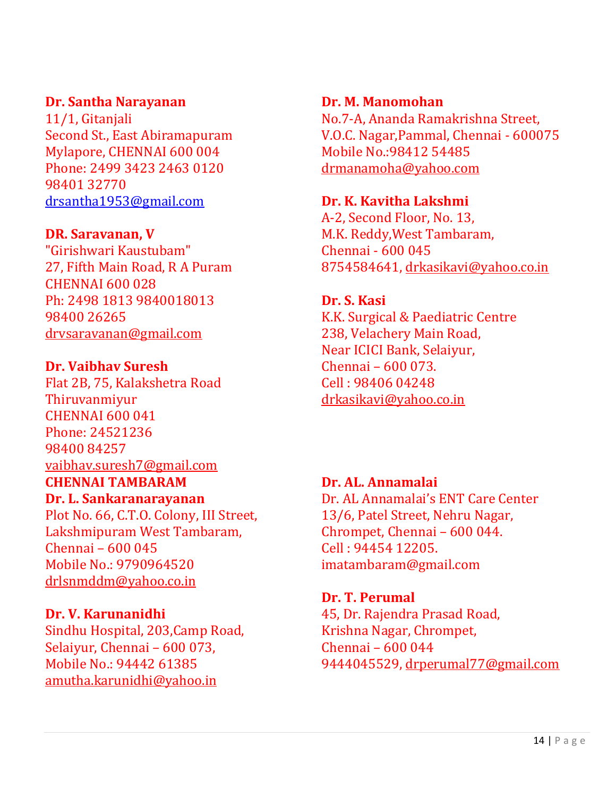### **Dr. Santha Narayanan**

11/1, Gitanjali Second St., East Abiramapuram Mylapore, CHENNAI 600 004 Phone: 2499 3423 2463 0120 98401 32770 [drsantha1953@gmail.com](mailto:drsantha1953@gmail.com)

### **DR. Saravanan, V**

"Girishwari Kaustubam" 27, Fifth Main Road, R A Puram CHENNAI 600 028 Ph: 2498 1813 9840018013 98400 26265 [drvsaravanan@gmail.com](mailto:drvsaravanan@gmail.com)

### **Dr. Vaibhav Suresh**

Flat 2B, 75, Kalakshetra Road Thiruvanmiyur CHENNAI 600 041 Phone: 24521236 98400 84257 [vaibhav.suresh7@gmail.com](mailto:vaibhav.suresh7@gmail.com) **CHENNAI TAMBARAM**

### **Dr. L. Sankaranarayanan**

Plot No. 66, C.T.O. Colony, III Street, Lakshmipuram West Tambaram, Chennai – 600 045 Mobile No.: 9790964520 [drlsnmddm@yahoo.co.in](mailto:drlsnmddm@yahoo.co.in)

### **Dr. V. Karunanidhi**

Sindhu Hospital, 203,Camp Road, Selaiyur, Chennai – 600 073, Mobile No.: 94442 61385 [amutha.karunidhi@yahoo.in](mailto:amutha.karunidhi@yahoo.in)

### **Dr. M. Manomohan**

No.7-A, Ananda Ramakrishna Street, V.O.C. Nagar,Pammal, Chennai - 600075 Mobile No.:98412 54485 [drmanamoha@yahoo.com](mailto:drmanamoha@yahoo.com)

### **Dr. K. Kavitha Lakshmi**

A-2, Second Floor, No. 13, M.K. Reddy,West Tambaram, Chennai - 600 045 8754584641, drkasikavi@yahoo.co.in

# **Dr. S. Kasi**

K.K. Surgical & Paediatric Centre 238, Velachery Main Road, Near ICICI Bank, Selaiyur, Chennai – 600 073. Cell : 98406 04248 [drkasikavi@yahoo.co.in](mailto:drkasikavi@yahoo.co.in)

### **Dr. AL. Annamalai**

Dr. AL Annamalai's ENT Care Center 13/6, Patel Street, Nehru Nagar, Chrompet, Chennai – 600 044. Cell : 94454 12205. imatambaram@gmail.com

### **Dr. T. Perumal**

45, Dr. Rajendra Prasad Road, Krishna Nagar, Chrompet, Chennai – 600 044 9444045529, [drperumal77@gmail.com](mailto:drperumal77@gmail.com)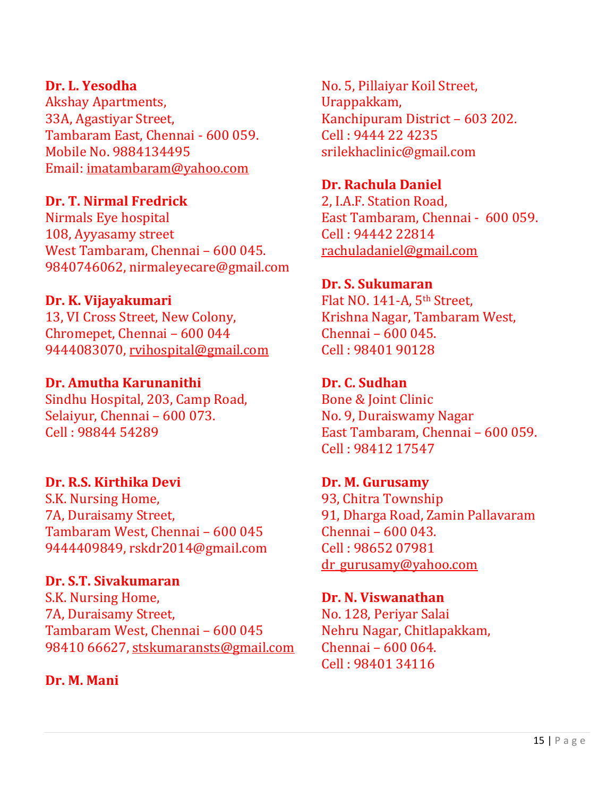#### **Dr. L. Yesodha**

Akshay Apartments, 33A, Agastiyar Street, Tambaram East, Chennai - 600 059. Mobile No. 9884134495 Email: [imatambaram@yahoo.com](mailto:imatambaram@yahoo.com)

### **Dr. T. Nirmal Fredrick**

Nirmals Eye hospital 108, Ayyasamy street West Tambaram, Chennai – 600 045. 9840746062, nirmaleyecare@gmail.com

### **Dr. K. Vijayakumari**

13, VI Cross Street, New Colony, Chromepet, Chennai – 600 044 9444083070, [rvihospital@gmail.com](mailto:rvihospital@gmail.com)

#### **Dr. Amutha Karunanithi**

Sindhu Hospital, 203, Camp Road, Selaiyur, Chennai – 600 073. Cell : 98844 54289

#### **Dr. R.S. Kirthika Devi**

S.K. Nursing Home, 7A, Duraisamy Street, Tambaram West, Chennai – 600 045 9444409849, rskdr2014@gmail.com

#### **Dr. S.T. Sivakumaran**

S.K. Nursing Home, 7A, Duraisamy Street, Tambaram West, Chennai – 600 045 98410 66627, [stskumaransts@gmail.com](mailto:rskdr2014@gmail.com)

#### **Dr. M. Mani**

No. 5, Pillaiyar Koil Street, Urappakkam, Kanchipuram District – 603 202. Cell : 9444 22 4235 srilekhaclinic@gmail.com

#### **Dr. Rachula Daniel**

2, I.A.F. Station Road, East Tambaram, Chennai - 600 059. Cell : 94442 22814 [rachuladaniel@gmail.com](mailto:rachuladaniel@gmail.com)

#### **Dr. S. Sukumaran**

Flat NO. 141-A, 5th Street, Krishna Nagar, Tambaram West, Chennai – 600 045. Cell : 98401 90128

# **Dr. C. Sudhan**

Bone & Joint Clinic No. 9, Duraiswamy Nagar East Tambaram, Chennai – 600 059. Cell : 98412 17547

### **Dr. M. Gurusamy** 93, Chitra Township 91, Dharga Road, Zamin Pallavaram Chennai – 600 043. Cell : 98652 07981 [dr\\_gurusamy@yahoo.com](mailto:dr_gurusamy@yahoo.com)

**Dr. N. Viswanathan** No. 128, Periyar Salai Nehru Nagar, Chitlapakkam, Chennai – 600 064. Cell : 98401 34116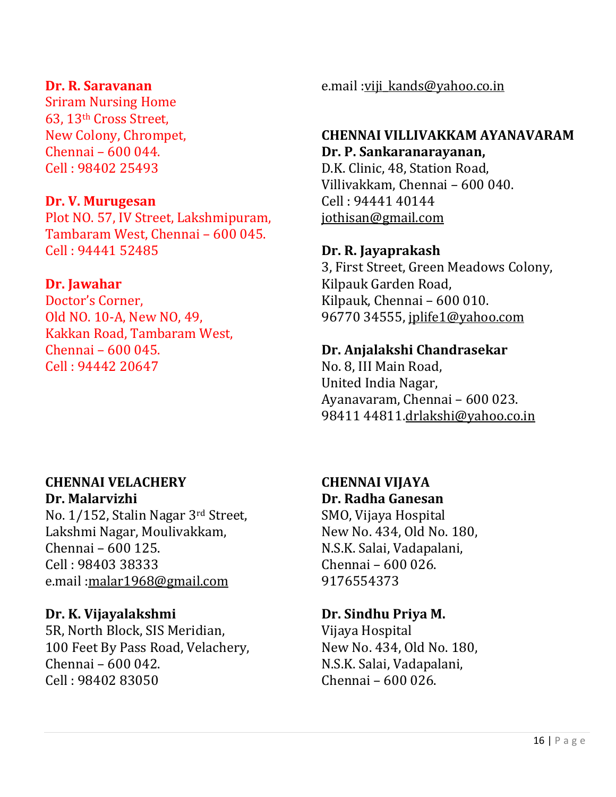#### **Dr. R. Saravanan**

Sriram Nursing Home 63, 13th Cross Street, New Colony, Chrompet, Chennai – 600 044. Cell : 98402 25493

#### **Dr. V. Murugesan**

Plot NO. 57, IV Street, Lakshmipuram, Tambaram West, Chennai – 600 045. Cell : 94441 52485

### **Dr. Jawahar**

Doctor's Corner, Old NO. 10-A, New NO, 49, Kakkan Road, Tambaram West, Chennai – 600 045. Cell : 94442 20647

### e.mail [:viji\\_kands@yahoo.co.in](mailto:viji_kands@yahoo.co.in)

#### **CHENNAI VILLIVAKKAM AYANAVARAM Dr. P. Sankaranarayanan,**

D.K. Clinic, 48, Station Road, Villivakkam, Chennai – 600 040. Cell : 94441 40144 [jothisan@gmail.com](mailto:jothisan@gmail.com)

#### **Dr. R. Jayaprakash**

3, First Street, Green Meadows Colony, Kilpauk Garden Road, Kilpauk, Chennai – 600 010. 96770 34555, [jplife1@yahoo.com](mailto:jplife1@yahoo.com)

### **Dr. Anjalakshi Chandrasekar**

No. 8, III Main Road, United India Nagar, Ayanavaram, Chennai – 600 023. 98411 44811[.drlakshi@yahoo.co.in](mailto:drlakshi@yahoo.co.in)

### **CHENNAI VELACHERY Dr. Malarvizhi**

No. 1/152, Stalin Nagar 3rd Street, Lakshmi Nagar, Moulivakkam, Chennai – 600 125. Cell : 98403 38333 e.mail [:malar1968@gmail.com](mailto:malar1968@gmail.com)

### **Dr. K. Vijayalakshmi**

5R, North Block, SIS Meridian, 100 Feet By Pass Road, Velachery, Chennai – 600 042. Cell : 98402 83050

**CHENNAI VIJAYA Dr. Radha Ganesan** SMO, Vijaya Hospital New No. 434, Old No. 180, N.S.K. Salai, Vadapalani, Chennai – 600 026. 9176554373

#### **Dr. Sindhu Priya M.**

Vijaya Hospital New No. 434, Old No. 180, N.S.K. Salai, Vadapalani, Chennai – 600 026.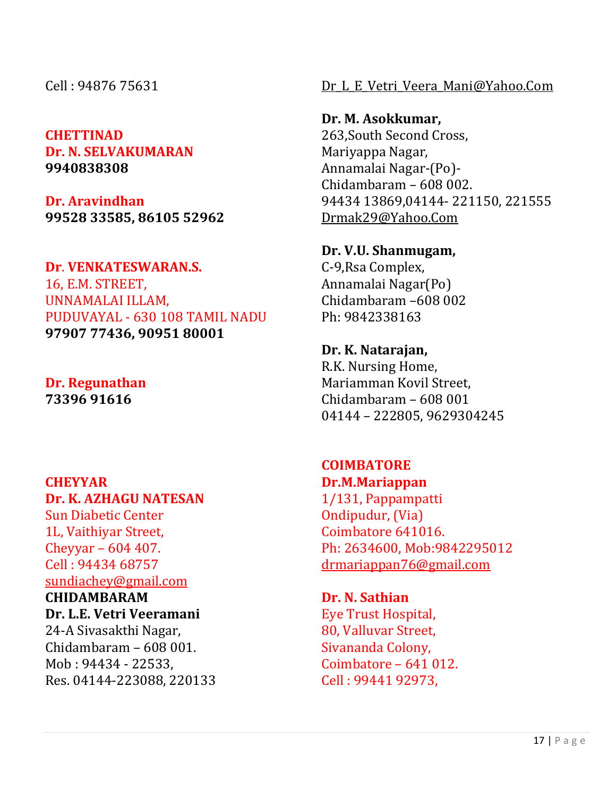Cell : 94876 75631

### **CHETTINAD Dr. N. SELVAKUMARAN 9940838308**

**Dr. Aravindhan 99528 33585, 86105 52962**

### **Dr**. **VENKATESWARAN.S.**

16, E.M. STREET, UNNAMALAI ILLAM, PUDUVAYAL - 630 108 TAMIL NADU **97907 77436, 90951 80001**

### **Dr. Regunathan 73396 91616**

### **CHEYYAR Dr. K. AZHAGU NATESAN**

Sun Diabetic Center 1L, Vaithiyar Street, Cheyyar – 604 407. Cell : 94434 68757 [sundiachey@gmail.com](mailto:sundiachey@gmail.com)

#### **CHIDAMBARAM Dr. L.E. Vetri Veeramani**

24-A Sivasakthi Nagar, Chidambaram – 608 001. Mob : 94434 - 22533, Res. 04144-223088, 220133

### Dr L E Vetri Veera Mani@Yahoo.Com

**Dr. M. Asokkumar,**  263,South Second Cross, Mariyappa Nagar, Annamalai Nagar-(Po)- Chidambaram – 608 002. 94434 13869,04144- 221150, 221555 [Drmak29@Yahoo.Com](mailto:drmak29@yahoo.com)

**Dr. V.U. Shanmugam,** C-9,Rsa Complex, Annamalai Nagar(Po) Chidambaram –608 002 Ph: 9842338163

**Dr. K. Natarajan,** R.K. Nursing Home, Mariamman Kovil Street, Chidambaram – 608 001 04144 – 222805, 9629304245

**COIMBATORE Dr.M.Mariappan** 1/131, Pappampatti Ondipudur, (Via) Coimbatore 641016. Ph: 2634600, Mob:9842295012 [drmariappan76@gmail.com](mailto:drmariappan76@gmail.com)

**Dr. N. Sathian** Eye Trust Hospital, 80, Valluvar Street, Sivananda Colony, Coimbatore – 641 012. Cell : 99441 92973,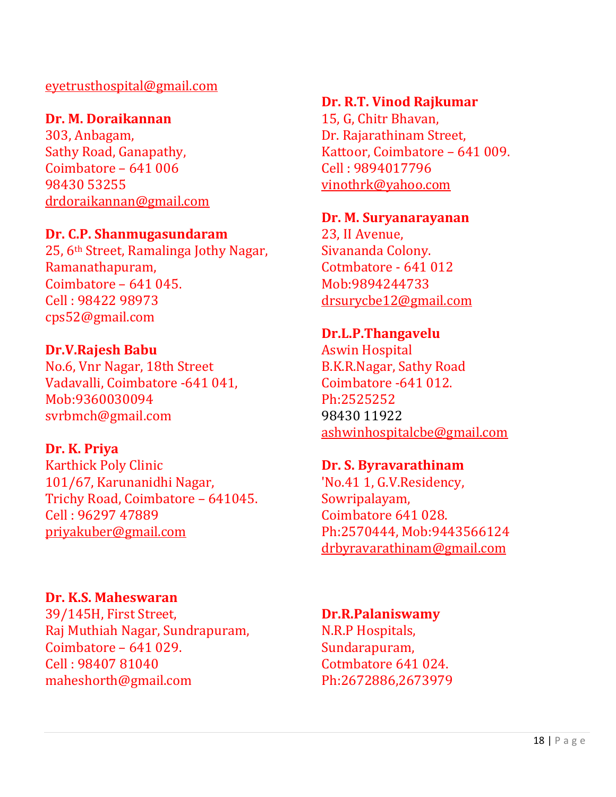#### [eyetrusthospital@gmail.com](mailto:eyetrusthospital@gmail.com)

### **Dr. M. Doraikannan**

303, Anbagam, Sathy Road, Ganapathy, Coimbatore – 641 006 98430 53255 [drdoraikannan@gmail.com](mailto:drdoraikannan@gmail.com)

#### **Dr. C.P. Shanmugasundaram**

25, 6th Street, Ramalinga Jothy Nagar, Ramanathapuram, Coimbatore – 641 045. Cell : 98422 98973 cps52@gmail.com

#### **Dr.V.Rajesh Babu**

No.6, Vnr Nagar, 18th Street Vadavalli, Coimbatore -641 041, Mob:9360030094 svrbmch@gmail.com

#### **Dr. K. Priya**

Karthick Poly Clinic 101/67, Karunanidhi Nagar, Trichy Road, Coimbatore – 641045. Cell : 96297 47889 [priyakuber@gmail.com](mailto:priyakuber@gmail.com)

### **Dr. K.S. Maheswaran**

39/145H, First Street, Raj Muthiah Nagar, Sundrapuram, Coimbatore – 641 029. Cell : 98407 81040 maheshorth@gmail.com

### **Dr. R.T. Vinod Rajkumar**

15, G, Chitr Bhavan, Dr. Rajarathinam Street, Kattoor, Coimbatore – 641 009. Cell : 9894017796 [vinothrk@yahoo.com](mailto:vinothrk@yahoo.com)

#### **Dr. M. Suryanarayanan**

23, II Avenue, Sivananda Colony. Cotmbatore - 641 012 Mob:9894244733 [drsurycbe12@gmail.com](mailto:drsurycbe12@gmail.com)

#### **Dr.L.P.Thangavelu**

Aswin Hospital B.K.R.Nagar, Sathy Road Coimbatore -641 012. Ph:2525252 98430 11922 [ashwinhospitalcbe@gmail.com](mailto:ashwinhospitalcbe@gmail.com)

#### **Dr. S. Byravarathinam**

'No.41 1, G.V.Residency, Sowripalayam, Coimbatore 641 028. Ph:2570444, Mob:9443566124 [drbyravarathinam@gmail.com](mailto:drbyravarathinam@gmail.com)

### **Dr.R.Palaniswamy** N.R.P Hospitals, Sundarapuram, Cotmbatore 641 024. Ph:2672886,2673979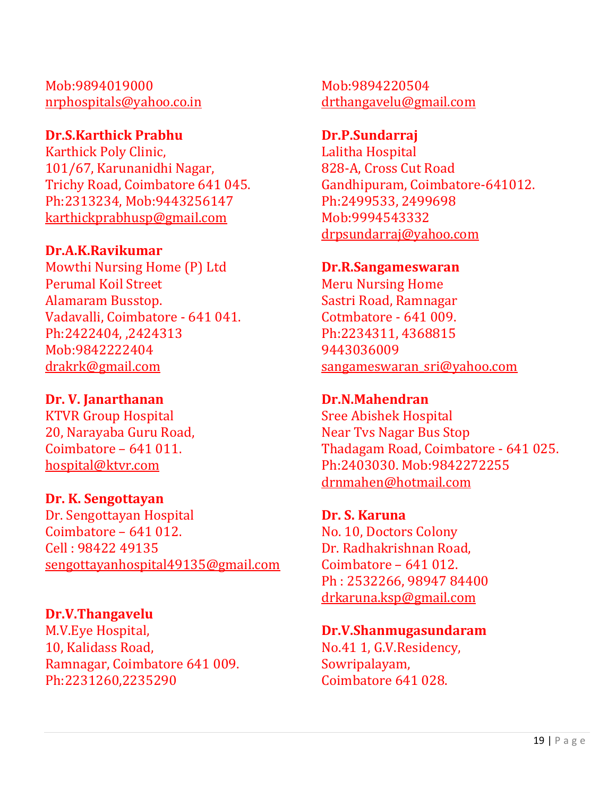### Mob:9894019000 [nrphospitals@yahoo.co.in](mailto:nrphospitals@yahoo.co.in)

### **Dr.S.Karthick Prabhu**

Karthick Poly Clinic, 101/67, Karunanidhi Nagar, Trichy Road, Coimbatore 641 045. Ph:2313234, Mob:9443256147 [karthickprabhusp@gmail.com](mailto:karthickprabhusp@gmail.com)

### **Dr.A.K.Ravikumar**

Mowthi Nursing Home (P) Ltd Perumal Koil Street Alamaram Busstop. Vadavalli, Coimbatore - 641 041. Ph:2422404, ,2424313 Mob:9842222404 [drakrk@gmail.com](mailto:drakrk@gmail.com)

### **Dr. V. Janarthanan**

KTVR Group Hospital 20, Narayaba Guru Road, Coimbatore – 641 011. [hospital@ktvr.com](mailto:hospital@ktvr.com)

### **Dr. K. Sengottayan**

Dr. Sengottayan Hospital Coimbatore – 641 012. Cell : 98422 49135 [sengottayanhospital49135@gmail.com](mailto:sengottayanhospital49135@gmail.com)

### **Dr.V.Thangavelu**

M.V.Eye Hospital, 10, Kalidass Road, Ramnagar, Coimbatore 641 009. Ph:2231260,2235290

Mob:9894220504 [drthangavelu@gmail.com](mailto:drthangavelu@gmail.com)

**Dr.P.Sundarraj** Lalitha Hospital 828-A, Cross Cut Road Gandhipuram, Coimbatore-641012. Ph:2499533, 2499698 Mob:9994543332 [drpsundarraj@yahoo.com](mailto:drpsundarraj@yahoo.com)

### **Dr.R.Sangameswaran**

Meru Nursing Home Sastri Road, Ramnagar Cotmbatore - 641 009. Ph:2234311, 4368815 9443036009 [sangameswaran\\_sri@yahoo.com](mailto:sangameswaran_sri@yahoo.com)

**Dr.N.Mahendran** Sree Abishek Hospital Near Tvs Nagar Bus Stop Thadagam Road, Coimbatore - 641 025. Ph:2403030. Mob:9842272255 [drnmahen@hotmail.com](mailto:drnmahen@hotmail.com)

**Dr. S. Karuna** No. 10, Doctors Colony Dr. Radhakrishnan Road, Coimbatore – 641 012. Ph : 2532266, 98947 84400 [drkaruna.ksp@gmail.com](mailto:drkaruna.ksp@gmail.com)

**Dr.V.Shanmugasundaram** No.41 1, G.V.Residency, Sowripalayam, Coimbatore 641 028.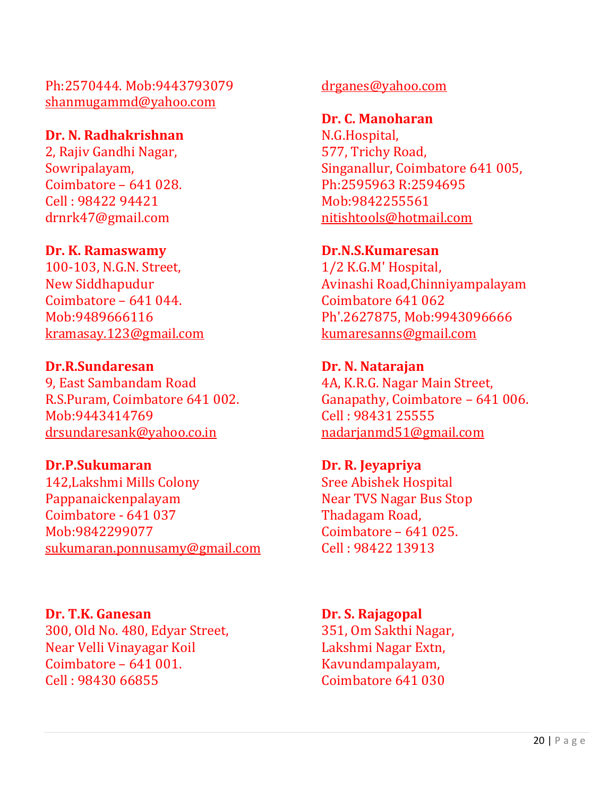Ph:2570444. Mob:9443793079 [shanmugammd@yahoo.com](mailto:shanmugammd@yahoo.com)

### **Dr. N. Radhakrishnan**

2, Rajiv Gandhi Nagar, Sowripalayam, Coimbatore – 641 028. Cell : 98422 94421 drnrk47@gmail.com

#### **Dr. K. Ramaswamy**

100-103, N.G.N. Street, New Siddhapudur Coimbatore – 641 044. Mob:9489666116 [kramasay.123@gmail.com](mailto:kramasay.123@gmail.com)

**Dr.R.Sundaresan** 9, East Sambandam Road R.S.Puram, Coimbatore 641 002. Mob:9443414769 [drsundaresank@yahoo.co.in](mailto:drsundaresank@yahoo.co.in)

**Dr.P.Sukumaran** 142,Lakshmi Mills Colony Pappanaickenpalayam Coimbatore - 641 037 Mob:9842299077 [sukumaran.ponnusamy@gmail.com](mailto:sukumaran.ponnusamy@gmail.com)

**Dr. T.K. Ganesan** 300, Old No. 480, Edyar Street, Near Velli Vinayagar Koil Coimbatore – 641 001. Cell : 98430 66855

[drganes@yahoo.com](mailto:drganes@yahoo.com)

### **Dr. C. Manoharan**

N.G.Hospital, 577, Trichy Road, Singanallur, Coimbatore 641 005, Ph:2595963 R:2594695 Mob:9842255561 [nitishtools@hotmail.com](mailto:nitishtools@hotmail.com)

### **Dr.N.S.Kumaresan**

1/2 K.G.M' Hospital, Avinashi Road,Chinniyampalayam Coimbatore 641 062 Ph'.2627875, Mob:9943096666 [kumaresanns@gmail.com](mailto:kumaresanns@gmail.com)

**Dr. N. Natarajan** 4A, K.R.G. Nagar Main Street, Ganapathy, Coimbatore – 641 006. Cell : 98431 25555 [nadarjanmd51@gmail.com](mailto:nadarjanmd51@gmail.com)

**Dr. R. Jeyapriya** Sree Abishek Hospital Near TVS Nagar Bus Stop Thadagam Road, Coimbatore – 641 025. Cell : 98422 13913

**Dr. S. Rajagopal** 351, Om Sakthi Nagar, Lakshmi Nagar Extn, Kavundampalayam, Coimbatore 641 030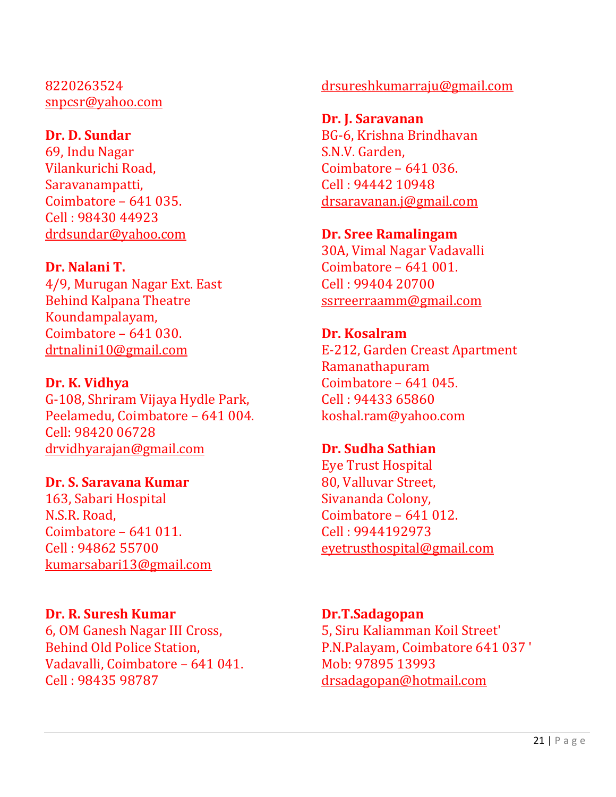8220263524 [snpcsr@yahoo.com](mailto:snpcsr@yahoo.com)

#### **Dr. D. Sundar**

69, Indu Nagar Vilankurichi Road, Saravanampatti, Coimbatore – 641 035. Cell : 98430 44923 [drdsundar@yahoo.com](mailto:drdsundar@yahoo.com)

### **Dr. Nalani T.**

4/9, Murugan Nagar Ext. East Behind Kalpana Theatre Koundampalayam, Coimbatore – 641 030. [drtnalini10@gmail.com](mailto:drtnalini10@gmail.com)

#### **Dr. K. Vidhya**

G-108, Shriram Vijaya Hydle Park, Peelamedu, Coimbatore – 641 004. Cell: 98420 06728 [drvidhyarajan@gmail.com](mailto:drvidhyarajan@gmail.com)

#### **Dr. S. Saravana Kumar**

163, Sabari Hospital N.S.R. Road, Coimbatore – 641 011. Cell : 94862 55700 [kumarsabari13@gmail.com](mailto:kumarsabari13@gmail.com)

### **Dr. R. Suresh Kumar**

6, OM Ganesh Nagar III Cross, Behind Old Police Station, Vadavalli, Coimbatore – 641 041. Cell : 98435 98787

#### [drsureshkumarraju@gmail.com](mailto:drsureshkumarraju@gmail.com)

**Dr. J. Saravanan** BG-6, Krishna Brindhavan S.N.V. Garden, Coimbatore – 641 036. Cell : 94442 10948 [drsaravanan.j@gmail.com](mailto:drsaravanan.j@gmail.com)

#### **Dr. Sree Ramalingam**

30A, Vimal Nagar Vadavalli Coimbatore – 641 001. Cell : 99404 20700 [ssrreerraamm@gmail.com](mailto:ssrreerraamm@gmail.com)

#### **Dr. Kosalram**

E-212, Garden Creast Apartment Ramanathapuram Coimbatore – 641 045. Cell : 94433 65860 koshal.ram@yahoo.com

#### **Dr. Sudha Sathian**

Eye Trust Hospital 80, Valluvar Street, Sivananda Colony, Coimbatore – 641 012. Cell : 9944192973 [eyetrusthospital@gmail.com](mailto:eyetrusthospital@gmail.com)

#### **Dr.T.Sadagopan**

5, Siru Kaliamman Koil Street' P.N.Palayam, Coimbatore 641 037 ' Mob: 97895 13993 [drsadagopan@hotmail.com](mailto:drsadagopan@hotmail.com)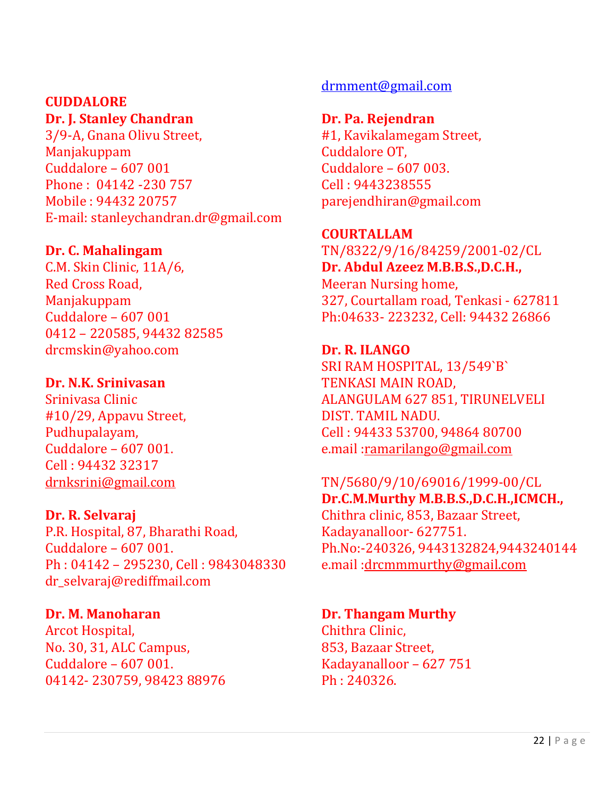#### **CUDDALORE Dr. J. Stanley Chandran**

3/9-A, Gnana Olivu Street, Manjakuppam Cuddalore – 607 001 Phone : 04142 -230 757 Mobile : 94432 20757 E-mail: stanleychandran.dr@gmail.com

### **Dr. C. Mahalingam**

C.M. Skin Clinic, 11A/6, Red Cross Road, Manjakuppam Cuddalore – 607 001 0412 – 220585, 94432 82585 drcmskin@yahoo.com

### **Dr. N.K. Srinivasan**

Srinivasa Clinic #10/29, Appavu Street, Pudhupalayam, Cuddalore – 607 001. Cell : 94432 32317 [drnksrini@gmail.com](mailto:drnksrini@gmail.com)

### **Dr. R. Selvaraj**

P.R. Hospital, 87, Bharathi Road, Cuddalore – 607 001. Ph : 04142 – 295230, Cell : 9843048330 dr\_selvaraj@rediffmail.com

### **Dr. M. Manoharan**

Arcot Hospital, No. 30, 31, ALC Campus, Cuddalore – 607 001. 04142- 230759, 98423 88976

### [drmment@gmail.com](mailto:drmment@gmail.com)

**Dr. Pa. Rejendran** #1, Kavikalamegam Street, Cuddalore OT, Cuddalore – 607 003. Cell : 9443238555 parejendhiran@gmail.com

**COURTALLAM** TN/8322/9/16/84259/2001-02/CL **Dr. Abdul Azeez M.B.B.S.,D.C.H.,** Meeran Nursing home, 327, Courtallam road, Tenkasi - 627811 Ph:04633- 223232, Cell: 94432 26866

### **Dr. R. ILANGO**

SRI RAM HOSPITAL, 13/549`B` TENKASI MAIN ROAD, ALANGULAM 627 851, TIRUNELVELI DIST. TAMIL NADU. Cell : 94433 53700, 94864 80700 e.mail [:ramarilango@gmail.com](mailto:ramarilango@gmail.com)

TN/5680/9/10/69016/1999-00/CL **Dr.C.M.Murthy M.B.B.S.,D.C.H.,ICMCH.,** Chithra clinic, 853, Bazaar Street, Kadayanalloor- 627751. Ph.No:-240326, 9443132824,9443240144 e.mail [:drcmmmurthy@gmail.com](mailto:drcmmmurthy@gmail.com)

### **Dr. Thangam Murthy**

Chithra Clinic, 853, Bazaar Street, Kadayanalloor – 627 751 Ph : 240326.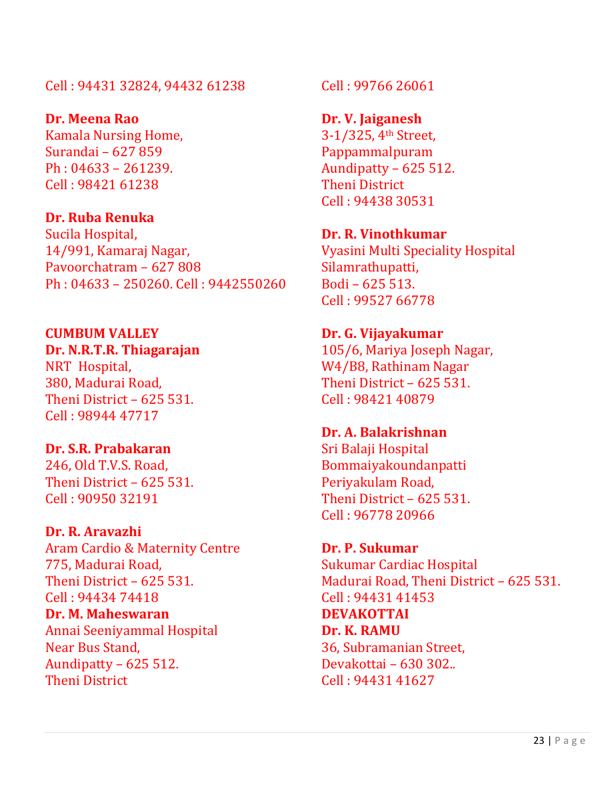Cell : 94431 32824, 94432 61238

**Dr. Meena Rao** Kamala Nursing Home, Surandai – 627 859 Ph : 04633 – 261239. Cell : 98421 61238

### **Dr. Ruba Renuka**

Sucila Hospital, 14/991, Kamaraj Nagar, Pavoorchatram – 627 808 Ph : 04633 – 250260. Cell : 9442550260

**CUMBUM VALLEY Dr. N.R.T.R. Thiagarajan** NRT Hospital, 380, Madurai Road, Theni District – 625 531. Cell : 98944 47717

**Dr. S.R. Prabakaran** 246, Old T.V.S. Road, Theni District – 625 531. Cell : 90950 32191

**Dr. R. Aravazhi** Aram Cardio & Maternity Centre 775, Madurai Road, Theni District – 625 531. Cell : 94434 74418 **Dr. M. Maheswaran** Annai Seeniyammal Hospital Near Bus Stand, Aundipatty – 625 512. Theni District

Cell : 99766 26061

**Dr. V. Jaiganesh** 3-1/325, 4th Street, Pappammalpuram Aundipatty – 625 512. Theni District Cell : 94438 30531

**Dr. R. Vinothkumar** Vyasini Multi Speciality Hospital Silamrathupatti, Bodi – 625 513. Cell : 99527 66778

**Dr. G. Vijayakumar** 105/6, Mariya Joseph Nagar, W4/B8, Rathinam Nagar Theni District – 625 531. Cell : 98421 40879

**Dr. A. Balakrishnan** Sri Balaji Hospital Bommaiyakoundanpatti Periyakulam Road, Theni District – 625 531. Cell : 96778 20966

**Dr. P. Sukumar** Sukumar Cardiac Hospital Madurai Road, Theni District – 625 531. Cell : 94431 41453 **DEVAKOTTAI Dr. K. RAMU** 36, Subramanian Street, Devakottai – 630 302.. Cell : 94431 41627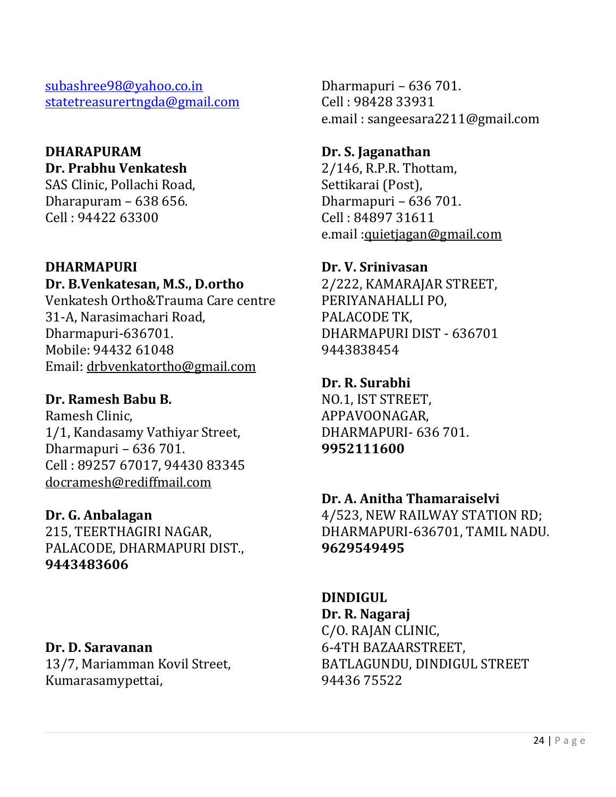[subashree98@yahoo.co.in](mailto:subashree98@yahoo.co.in) [statetreasurertngda@gmail.com](mailto:statetreasurertngda@gmail.com)

### **DHARAPURAM Dr. Prabhu Venkatesh** SAS Clinic, Pollachi Road,

Dharapuram – 638 656. Cell : 94422 63300

### **DHARMAPURI**

### **Dr. B.Venkatesan, M.S., D.ortho**

Venkatesh Ortho&Trauma Care centre 31-A, Narasimachari Road, Dharmapuri-636701. Mobile: 94432 61048 Email: [drbvenkatortho@gmail.com](mailto:drbvenkatortho@gmail.com)

### **Dr. Ramesh Babu B.**

Ramesh Clinic, 1/1, Kandasamy Vathiyar Street, Dharmapuri – 636 701. Cell : 89257 67017, 94430 83345 [docramesh@rediffmail.com](mailto:docramesh@rediffmail.com)

### **Dr. G. Anbalagan**

215, TEERTHAGIRI NAGAR, PALACODE, DHARMAPURI DIST., **9443483606**

**Dr. D. Saravanan**

13/7, Mariamman Kovil Street, Kumarasamypettai,

Dharmapuri – 636 701. Cell : 98428 33931 e.mail : sangeesara2211@gmail.com

### **Dr. S. Jaganathan** 2/146, R.P.R. Thottam, Settikarai (Post), Dharmapuri – 636 701. Cell : 84897 31611 e.mail [:quietjagan@gmail.com](mailto:quietjagan@gmail.com)

**Dr. V. Srinivasan** 2/222, KAMARAJAR STREET, PERIYANAHALLI PO, PALACODE TK, DHARMAPURI DIST - 636701 9443838454

**Dr. R. Surabhi** NO.1, IST STREET, APPAVOONAGAR, DHARMAPURI- 636 701. **9952111600**

### **Dr. A. Anitha Thamaraiselvi**

4/523, NEW RAILWAY STATION RD; DHARMAPURI-636701, TAMIL NADU. **9629549495**

**DINDIGUL Dr. R. Nagaraj** C/O. RAJAN CLINIC, 6-4TH BAZAARSTREET, BATLAGUNDU, DINDIGUL STREET 94436 75522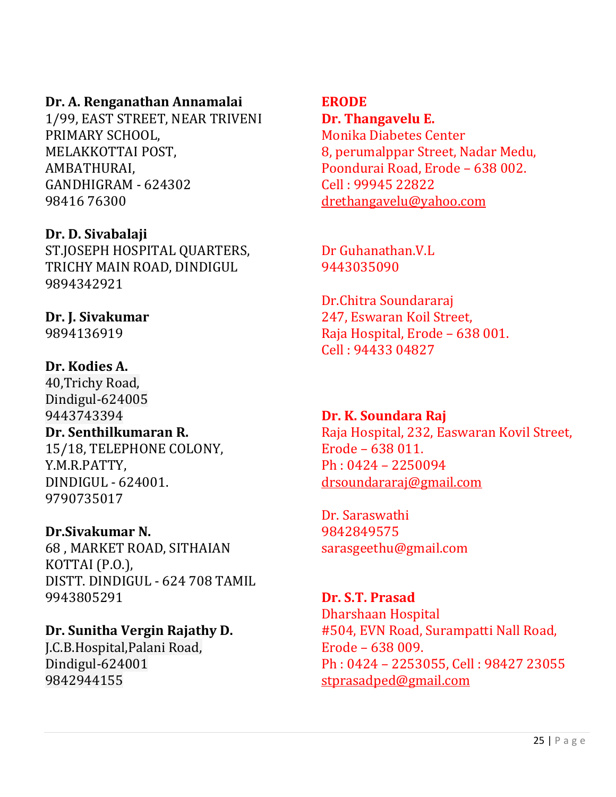### **Dr. A. Renganathan Annamalai**

1/99, EAST STREET, NEAR TRIVENI PRIMARY SCHOOL, MELAKKOTTAI POST, AMBATHURAI, GANDHIGRAM - 624302 98416 76300

### **Dr. D. Sivabalaji**

ST.JOSEPH HOSPITAL QUARTERS, TRICHY MAIN ROAD, DINDIGUL 9894342921

**Dr. J. Sivakumar** 9894136919

### **Dr. Kodies A.**

40,Trichy Road, Dindigul-624005 9443743394 **Dr. Senthilkumaran R.** 15/18, TELEPHONE COLONY, Y.M.R.PATTY, DINDIGUL - 624001. 9790735017

**Dr.Sivakumar N.**

68 , MARKET ROAD, SITHAIAN KOTTAI (P.O.), DISTT. DINDIGUL - 624 708 TAMIL 9943805291

**Dr. Sunitha Vergin Rajathy D.** J.C.B.Hospital,Palani Road, Dindigul-624001 9842944155

### **ERODE**

**Dr. Thangavelu E.** Monika Diabetes Center 8, perumalppar Street, Nadar Medu, Poondurai Road, Erode – 638 002. Cell : 99945 22822 [drethangavelu@yahoo.com](mailto:drethangavelu@yahoo.com)

Dr Guhanathan.V.L 9443035090

Dr.Chitra Soundararaj 247, Eswaran Koil Street, Raja Hospital, Erode – 638 001. Cell : 94433 04827

#### **Dr. K. Soundara Raj**

Raja Hospital, 232, Easwaran Kovil Street, Erode – 638 011. Ph : 0424 – 2250094 [drsoundararaj@gmail.com](mailto:drsoundararaj@gmail.com)

Dr. Saraswathi 9842849575 sarasgeethu@gmail.com

**Dr. S.T. Prasad** Dharshaan Hospital #504, EVN Road, Surampatti Nall Road, Erode – 638 009. Ph : 0424 – 2253055, Cell : 98427 23055 [stprasadped@gmail.com](mailto:stprasadped@gmail.com)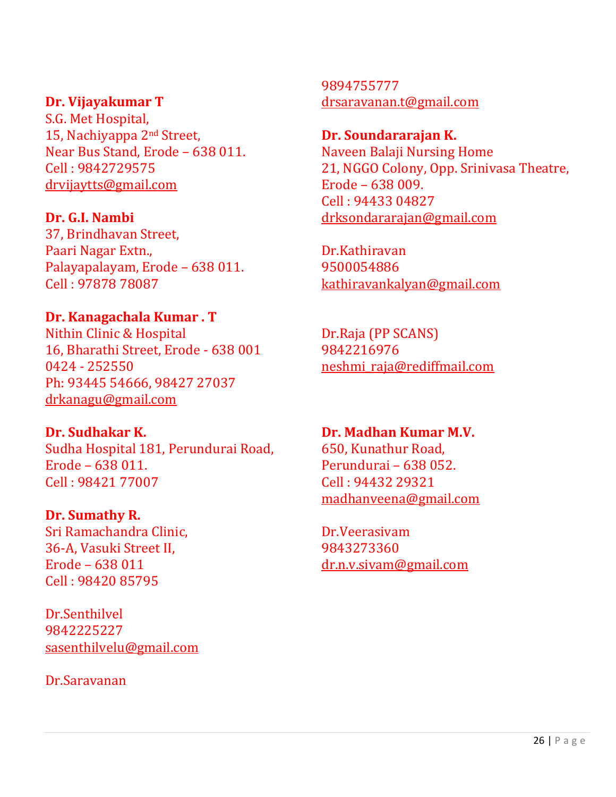### **Dr. Vijayakumar T**

S.G. Met Hospital, 15, Nachiyappa 2nd Street, Near Bus Stand, Erode – 638 011. Cell : 9842729575 [drvijaytts@gmail.com](mailto:drvijaytts@gmail.com)

**Dr. G.I. Nambi**

37, Brindhavan Street, Paari Nagar Extn., Palayapalayam, Erode – 638 011. Cell : 97878 78087

**Dr. Kanagachala Kumar . T** Nithin Clinic & Hospital 16, Bharathi Street, Erode - 638 001 0424 - 252550 Ph: 93445 54666, 98427 27037 [drkanagu@gmail.com](mailto:drkanagu@gmail.com)

**Dr. Sudhakar K.**  Sudha Hospital 181, Perundurai Road, Erode – 638 011. Cell : 98421 77007

**Dr. Sumathy R.**  Sri Ramachandra Clinic, 36-A, Vasuki Street II, Erode – 638 011 Cell : 98420 85795

Dr.Senthilvel 9842225227 [sasenthilvelu@gmail.com](mailto:sasenthilvelu@gmail.com)

Dr.Saravanan

9894755777 [drsaravanan.t@gmail.com](mailto:drsaravanan.t@gmail.com)

**Dr. Soundararajan K.**  Naveen Balaji Nursing Home 21, NGGO Colony, Opp. Srinivasa Theatre, Erode – 638 009. Cell : 94433 04827 [drksondararajan@gmail.com](mailto:drksondararajan@gmail.com)

Dr.Kathiravan 9500054886 [kathiravankalyan@gmail.com](mailto:kathiravankalyan@gmail.com)

Dr.Raja (PP SCANS) 9842216976 [neshmi\\_raja@rediffmail.com](mailto:neshmi_raja@rediffmail.com)

**Dr. Madhan Kumar M.V.** 650, Kunathur Road, Perundurai – 638 052. Cell : 94432 29321 [madhanveena@gmail.com](mailto:madhanveena@gmail.com)

Dr.Veerasivam 9843273360 [dr.n.v.sivam@gmail.com](mailto:dr.n.v.sivam@gmail.com)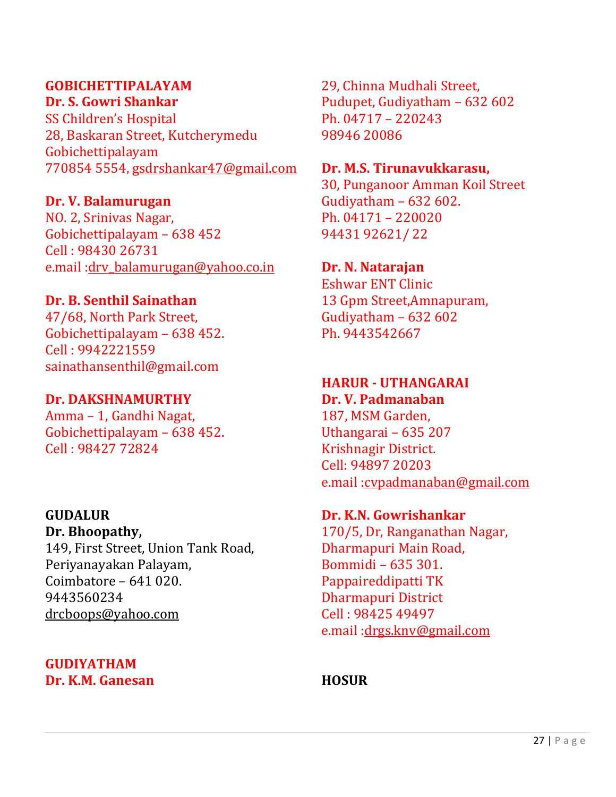### **GOBICHETTIPALAYAM Dr. S. Gowri Shankar**

SS Children's Hospital 28, Baskaran Street, Kutcherymedu Gobichettipalayam 770854 5554, [gsdrshankar47@gmail.com](mailto:gsdrshankar47@gmail.com)

### **Dr. V. Balamurugan**

NO. 2, Srinivas Nagar, Gobichettipalayam – 638 452 Cell : 98430 26731 e.mail [:drv\\_balamurugan@yahoo.co.in](mailto:drv_balamurugan@yahoo.co.in)

### **Dr. B. Senthil Sainathan**

47/68, North Park Street, Gobichettipalayam – 638 452. Cell : 9942221559 sainathansenthil@gmail.com

### **Dr. DAKSHNAMURTHY**

Amma – 1, Gandhi Nagat, Gobichettipalayam – 638 452. Cell : 98427 72824

### **GUDALUR**

**Dr. Bhoopathy,** 149, First Street, Union Tank Road, Periyanayakan Palayam, Coimbatore – 641 020. 9443560234 [drcboops@yahoo.com](mailto:drcboops@yahoo.com)

**GUDIYATHAM Dr. K.M. Ganesan**

29, Chinna Mudhali Street, Pudupet, Gudiyatham – 632 602 Ph. 04717 – 220243 98946 20086

### **Dr. M.S. Tirunavukkarasu,**

30, Punganoor Amman Koil Street Gudiyatham – 632 602. Ph. 04171 – 220020 94431 92621/ 22

### **Dr. N. Natarajan**

Eshwar ENT Clinic 13 Gpm Street,Amnapuram, Gudiyatham – 632 602 Ph. 9443542667

### **HARUR - UTHANGARAI**

**Dr. V. Padmanaban** 187, MSM Garden, Uthangarai – 635 207 Krishnagir District. Cell: 94897 20203 e.mail [:cvpadmanaban@gmail.com](mailto:cvpadmanaban@gmail.com)

### **Dr. K.N. Gowrishankar**

170/5, Dr, Ranganathan Nagar, Dharmapuri Main Road, Bommidi – 635 301. Pappaireddipatti TK Dharmapuri District Cell : 98425 49497 e.mail [:drgs.knv@gmail.com](mailto:drgs.knv@gmail.com)

### **HOSUR**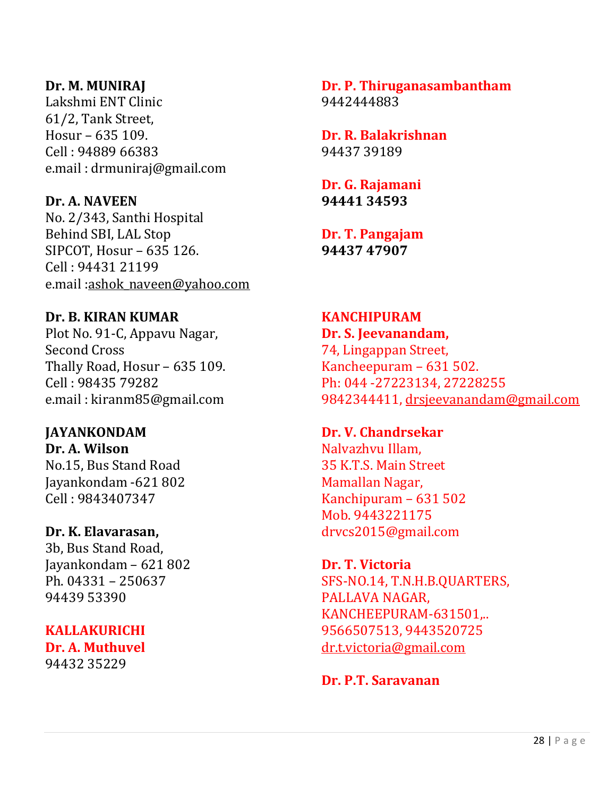#### **Dr. M. MUNIRAJ**

Lakshmi ENT Clinic 61/2, Tank Street, Hosur – 635 109. Cell : 94889 66383 e.mail : drmuniraj@gmail.com

### **Dr. A. NAVEEN**

No. 2/343, Santhi Hospital Behind SBI, LAL Stop SIPCOT, Hosur – 635 126. Cell : 94431 21199 e.mail [:ashok\\_naveen@yahoo.com](mailto:ashok_naveen@yahoo.com)

**Dr. B. KIRAN KUMAR** Plot No. 91-C, Appavu Nagar, Second Cross Thally Road, Hosur – 635 109. Cell : 98435 79282 e.mail : kiranm85@gmail.com

#### **JAYANKONDAM Dr. A. Wilson**

No.15, Bus Stand Road Jayankondam -621 802 Cell : 9843407347

### **Dr. K. Elavarasan,**

3b, Bus Stand Road, Jayankondam – 621 802 Ph. 04331 – 250637 94439 53390

### **KALLAKURICHI**

**Dr. A. Muthuvel** 94432 35229

**Dr. P. Thiruganasambantham** 9442444883

**Dr. R. Balakrishnan** 94437 39189

**Dr. G. Rajamani 94441 34593**

**Dr. T. Pangajam 94437 47907**

### **KANCHIPURAM Dr. S. Jeevanandam,**  74, Lingappan Street, Kancheepuram – 631 502. Ph: 044 -27223134, 27228255 9842344411, [drsjeevanandam@gmail.com](mailto:drsjeevanandam@gmail.com)

**Dr. V. Chandrsekar** Nalvazhvu Illam, 35 K.T.S. Main Street Mamallan Nagar, Kanchipuram – 631 502 Mob. 9443221175 drvcs2015@gmail.com

**Dr. T. Victoria** SFS-NO.14, T.N.H.B.QUARTERS, PALLAVA NAGAR, KANCHEEPURAM-631501,.. 9566507513, 9443520725 [dr.t.victoria@gmail.com](mailto:dr.t.victoria@gmail.com)

### **Dr. P.T. Saravanan**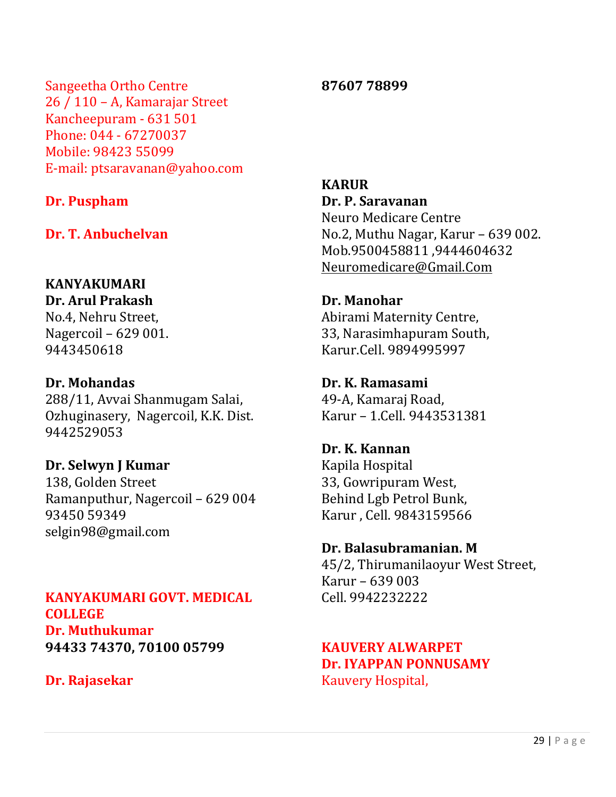Sangeetha Ortho Centre 26 / 110 – A, Kamarajar Street Kancheepuram - 631 501 Phone: 044 - 67270037 Mobile: 98423 55099 E-mail: ptsaravanan@yahoo.com

### **Dr. Puspham**

### **Dr. T. Anbuchelvan**

### **KANYAKUMARI**

**Dr. Arul Prakash**

No.4, Nehru Street, Nagercoil – 629 001. 9443450618

#### **Dr. Mohandas**

288/11, Avvai Shanmugam Salai, Ozhuginasery, Nagercoil, K.K. Dist. 9442529053

### **Dr. Selwyn J Kumar**

138, Golden Street Ramanputhur, Nagercoil – 629 004 93450 59349 selgin98@gmail.com

### **KANYAKUMARI GOVT. MEDICAL COLLEGE Dr. Muthukumar 94433 74370, 70100 05799**

### **Dr. Rajasekar**

**87607 78899**

**KARUR Dr. P. Saravanan** Neuro Medicare Centre No.2, Muthu Nagar, Karur – 639 002. Mob.9500458811 ,9444604632 [Neuromedicare@Gmail.Com](mailto:neuromedicare@gmail.com)

**Dr. Manohar** Abirami Maternity Centre, 33, Narasimhapuram South, Karur.Cell. 9894995997

**Dr. K. Ramasami** 49-A, Kamaraj Road, Karur – 1.Cell. 9443531381

**Dr. K. Kannan** Kapila Hospital 33, Gowripuram West, Behind Lgb Petrol Bunk, Karur , Cell. 9843159566

#### **Dr. Balasubramanian. M**

45/2, Thirumanilaoyur West Street, Karur – 639 003 Cell. 9942232222

**KAUVERY ALWARPET Dr. IYAPPAN PONNUSAMY** Kauvery Hospital,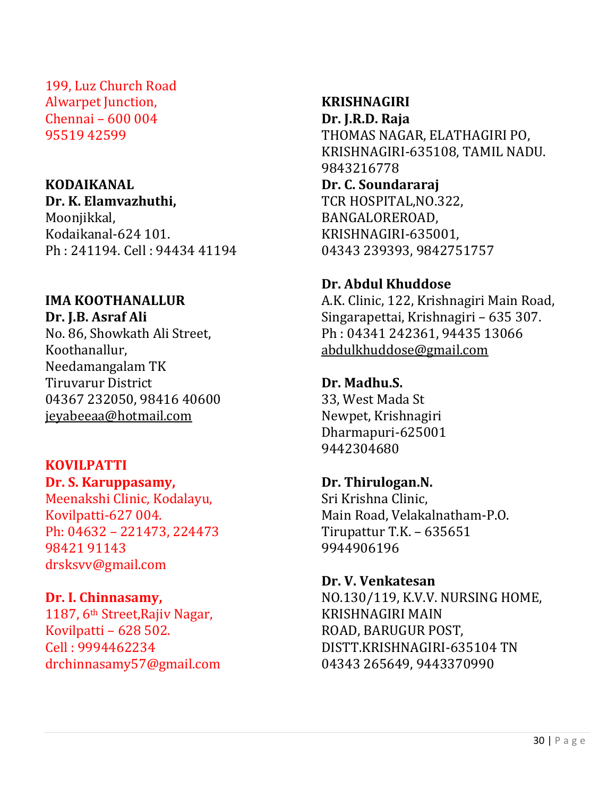### 199, Luz Church Road Alwarpet Junction, Chennai – 600 004 95519 42599

### **KODAIKANAL**

**Dr. K. Elamvazhuthi,** Moonjikkal, Kodaikanal-624 101. Ph : 241194. Cell : 94434 41194

### **IMA KOOTHANALLUR**

**Dr. J.B. Asraf Ali** No. 86, Showkath Ali Street, Koothanallur, Needamangalam TK Tiruvarur District 04367 232050, 98416 40600 [jeyabeeaa@hotmail.com](mailto:jeyabeeaa@hotmail.com)

### **KOVILPATTI**

**Dr. S. Karuppasamy,** Meenakshi Clinic, Kodalayu, Kovilpatti-627 004. Ph: 04632 – 221473, 224473 98421 91143 drsksvv@gmail.com

### **Dr. I. Chinnasamy,**

1187, 6th Street,Rajiv Nagar, Kovilpatti – 628 502. Cell : 9994462234 drchinnasamy57@gmail.com

### **KRISHNAGIRI**

**Dr. J.R.D. Raja** THOMAS NAGAR, ELATHAGIRI PO, KRISHNAGIRI-635108, TAMIL NADU. 9843216778 **Dr. C. Soundararaj** TCR HOSPITAL,NO.322, BANGALOREROAD, KRISHNAGIRI-635001, 04343 239393, 9842751757

### **Dr. Abdul Khuddose**

A.K. Clinic, 122, Krishnagiri Main Road, Singarapettai, Krishnagiri – 635 307. Ph : 04341 242361, 94435 13066 [abdulkhuddose@gmail.com](mailto:abdulkhuddose@gmail.com)

### **Dr. Madhu.S.**

33, West Mada St Newpet, Krishnagiri Dharmapuri-625001 9442304680

### **Dr. Thirulogan.N.** Sri Krishna Clinic, Main Road, Velakalnatham-P.O. Tirupattur T.K. – 635651

9944906196 **Dr. V. Venkatesan** NO.130/119, K.V.V. NURSING HOME, KRISHNAGIRI MAIN ROAD, BARUGUR POST, DISTT.KRISHNAGIRI-635104 TN 04343 265649, 9443370990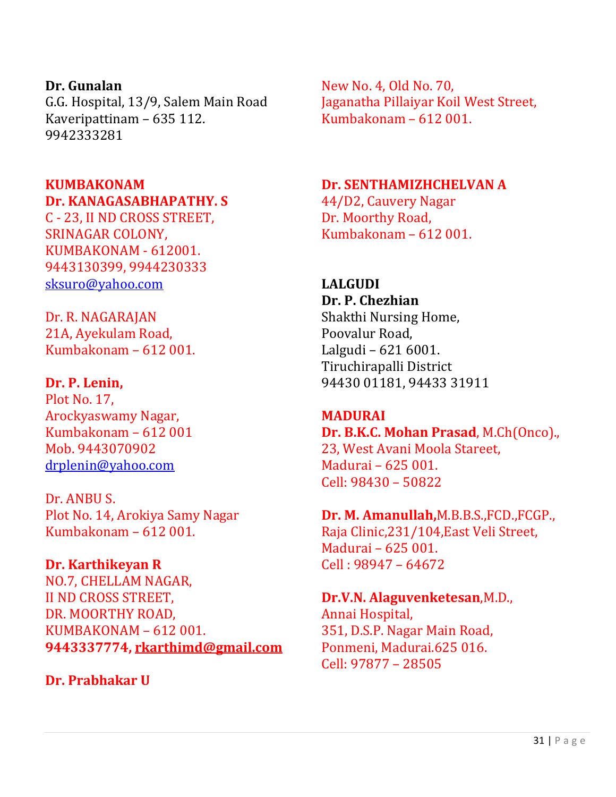### **Dr. Gunalan** G.G. Hospital, 13/9, Salem Main Road Kaveripattinam – 635 112. 9942333281

### **KUMBAKONAM Dr. KANAGASABHAPATHY. S**

C - 23, II ND CROSS STREET, SRINAGAR COLONY, KUMBAKONAM - 612001. 9443130399, 9944230333 [sksuro@yahoo.com](mailto:sksuro@yahoo.com)

Dr. R. NAGARAJAN 21A, Ayekulam Road, Kumbakonam – 612 001.

### **Dr. P. Lenin,**

Plot No. 17, Arockyaswamy Nagar, Kumbakonam – 612 001 Mob. 9443070902 [drplenin@yahoo.com](mailto:drplenin@yahoo.com)

Dr. ANBU S. Plot No. 14, Arokiya Samy Nagar Kumbakonam – 612 001.

### **Dr. Karthikeyan R**

NO.7, CHELLAM NAGAR, II ND CROSS STREET, DR. MOORTHY ROAD, KUMBAKONAM – 612 001. **9443337774, [rkarthimd@gmail.com](mailto:rkarthimd@gmail.com)**

### **Dr. Prabhakar U**

New No. 4, Old No. 70, Jaganatha Pillaiyar Koil West Street, Kumbakonam – 612 001.

### **Dr. SENTHAMIZHCHELVAN A**

44/D2, Cauvery Nagar Dr. Moorthy Road, Kumbakonam – 612 001.

**LALGUDI Dr. P. Chezhian** Shakthi Nursing Home, Poovalur Road, Lalgudi – 621 6001. Tiruchirapalli District 94430 01181, 94433 31911

### **MADURAI**

**Dr. B.K.C. Mohan Prasad**, M.Ch(Onco)., 23, West Avani Moola Stareet, Madurai – 625 001. Cell: 98430 – 50822

### **Dr. M. Amanullah,**M.B.B.S.,FCD.,FCGP.,

Raja Clinic,231/104,East Veli Street, Madurai – 625 001. Cell : 98947 – 64672

### **Dr.V.N. Alaguvenketesan**,M.D.,

Annai Hospital, 351, D.S.P. Nagar Main Road, Ponmeni, Madurai.625 016. Cell: 97877 – 28505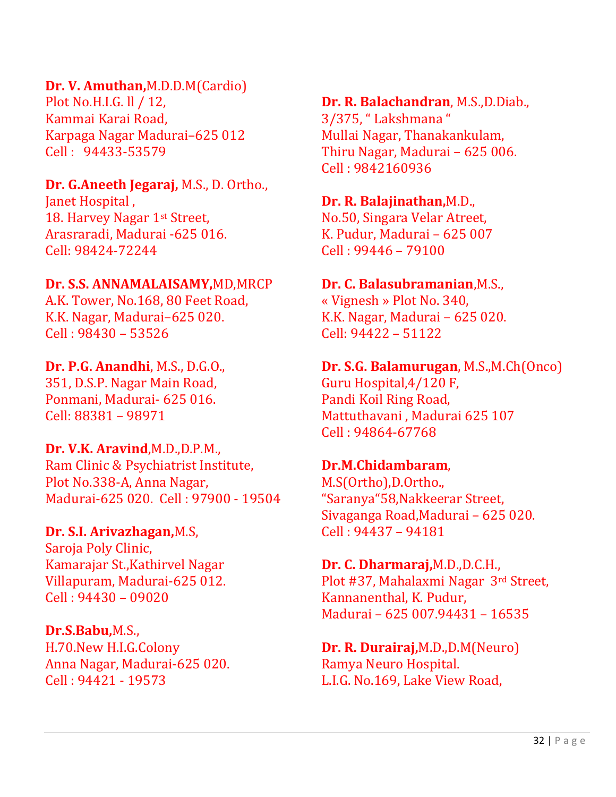### **Dr. V. Amuthan,**M.D.D.M(Cardio)

Plot No.H.I.G. ll / 12, Kammai Karai Road, Karpaga Nagar Madurai–625 012 Cell : 94433-53579

### **Dr. G.Aneeth Jegaraj,** M.S., D. Ortho.,

Janet Hospital , 18. Harvey Nagar 1st Street, Arasraradi, Madurai -625 016. Cell: 98424-72244

**Dr. S.S. ANNAMALAISAMY,**MD,MRCP A.K. Tower, No.168, 80 Feet Road, K.K. Nagar, Madurai–625 020. Cell : 98430 – 53526

# **Dr. P.G. Anandhi**, M.S., D.G.O.,

351, D.S.P. Nagar Main Road, Ponmani, Madurai- 625 016. Cell: 88381 – 98971

### **Dr. V.K. Aravind**,M.D.,D.P.M.,

Ram Clinic & Psychiatrist Institute, Plot No.338-A, Anna Nagar, Madurai-625 020. Cell : 97900 - 19504

### **Dr. S.I. Arivazhagan,**M.S,

Saroja Poly Clinic, Kamarajar St.,Kathirvel Nagar Villapuram, Madurai-625 012. Cell : 94430 – 09020

### **Dr.S.Babu,**M.S.,

H.70.New H.I.G.Colony Anna Nagar, Madurai-625 020. Cell : 94421 - 19573

### **Dr. R. Balachandran**, M.S.,D.Diab., 3/375, " Lakshmana " Mullai Nagar, Thanakankulam, Thiru Nagar, Madurai – 625 006. Cell : 9842160936

#### **Dr. R. Balajinathan,**M.D.,

No.50, Singara Velar Atreet, K. Pudur, Madurai – 625 007 Cell : 99446 – 79100

### **Dr. C. Balasubramanian**,M.S.,

« Vignesh » Plot No. 340, K.K. Nagar, Madurai – 625 020. Cell: 94422 – 51122

### **Dr. S.G. Balamurugan**, M.S.,M.Ch(Onco)

Guru Hospital,4/120 F, Pandi Koil Ring Road, Mattuthavani , Madurai 625 107 Cell : 94864-67768

### **Dr.M.Chidambaram**,

M.S(Ortho),D.Ortho., "Saranya"58,Nakkeerar Street, Sivaganga Road,Madurai – 625 020. Cell : 94437 – 94181

### **Dr. C. Dharmaraj,**M.D.,D.C.H., Plot #37, Mahalaxmi Nagar 3rd Street, Kannanenthal, K. Pudur, Madurai – 625 007.94431 – 16535

### **Dr. R. Durairaj,**M.D.,D.M(Neuro) Ramya Neuro Hospital. L.I.G. No.169, Lake View Road,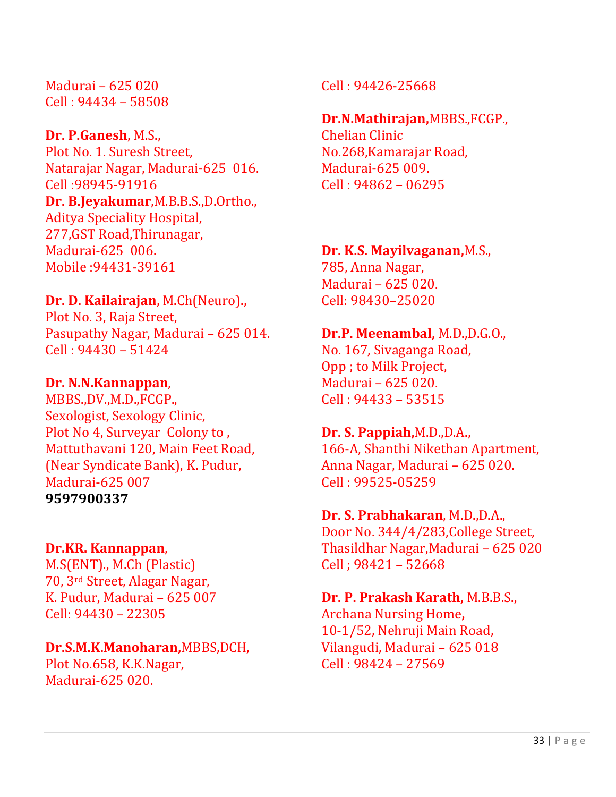Madurai – 625 020 Cell : 94434 – 58508

### **Dr. P.Ganesh**, M.S.,

Plot No. 1. Suresh Street, Natarajar Nagar, Madurai-625 016. Cell :98945-91916 **Dr. B.Jeyakumar**,M.B.B.S.,D.Ortho., Aditya Speciality Hospital, 277,GST Road,Thirunagar, Madurai-625 006. Mobile :94431-39161

### **Dr. D. Kailairajan**, M.Ch(Neuro).,

Plot No. 3, Raja Street, Pasupathy Nagar, Madurai – 625 014. Cell : 94430 – 51424

### **Dr. N.N.Kannappan**,

MBBS.,DV.,M.D.,FCGP., Sexologist, Sexology Clinic, Plot No 4, Surveyar Colony to , Mattuthavani 120, Main Feet Road, (Near Syndicate Bank), K. Pudur, Madurai-625 007 **9597900337**

### **Dr.KR. Kannappan**,

M.S(ENT)., M.Ch (Plastic) 70, 3rd Street, Alagar Nagar, K. Pudur, Madurai – 625 007 Cell: 94430 – 22305

### **Dr.S.M.K.Manoharan,**MBBS,DCH,

Plot No.658, K.K.Nagar, Madurai-625 020.

Cell : 94426-25668

### **Dr.N.Mathirajan,**MBBS.,FCGP.,

Chelian Clinic No.268,Kamarajar Road, Madurai-625 009. Cell : 94862 – 06295

### **Dr. K.S. Mayilvaganan,**M.S.,

785, Anna Nagar, Madurai – 625 020. Cell: 98430–25020

### **Dr.P. Meenambal,** M.D.,D.G.O.,

No. 167, Sivaganga Road, Opp ; to Milk Project, Madurai – 625 020. Cell : 94433 – 53515

### **Dr. S. Pappiah,**M.D.,D.A.,

166-A, Shanthi Nikethan Apartment, Anna Nagar, Madurai – 625 020. Cell : 99525-05259

### **Dr. S. Prabhakaran**, M.D.,D.A.,

Door No. 344/4/283,College Street, Thasildhar Nagar,Madurai – 625 020 Cell ; 98421 – 52668

### **Dr. P. Prakash Karath,** M.B.B.S.,

Archana Nursing Home**,** 10-1/52, Nehruji Main Road, Vilangudi, Madurai – 625 018 Cell : 98424 – 27569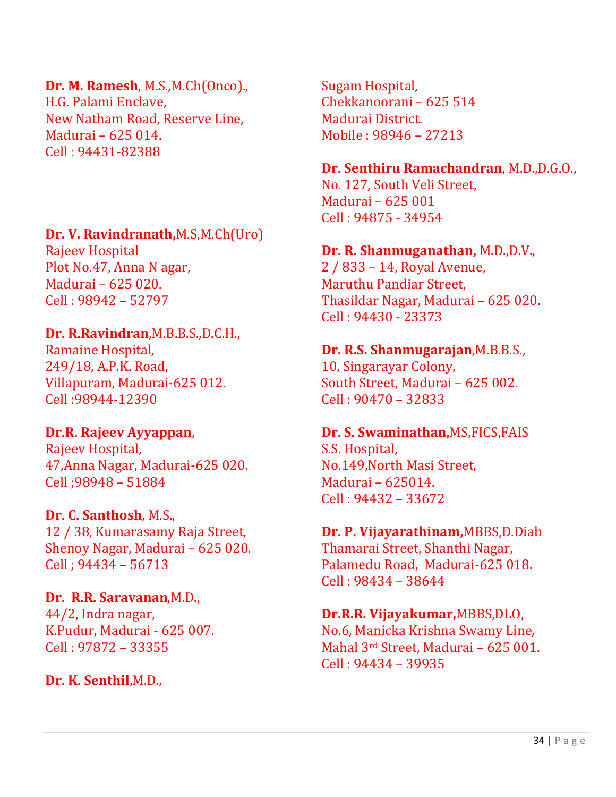### **Dr. M. Ramesh**, M.S.,M.Ch(Onco).,

H.G. Palami Enclave, New Natham Road, Reserve Line, Madurai – 625 014. Cell : 94431-82388

### **Dr. V. Ravindranath,**M.S,M.Ch(Uro)

Rajeev Hospital Plot No.47, Anna N agar, Madurai – 625 020. Cell : 98942 – 52797

### **Dr. R.Ravindran**,M.B.B.S.,D.C.H.,

Ramaine Hospital, 249/18, A.P.K. Road, Villapuram, Madurai-625 012. Cell :98944-12390

### **Dr.R. Rajeev Ayyappan**,

Rajeev Hospital, 47,Anna Nagar, Madurai-625 020. Cell ;98948 – 51884

### **Dr. C. Santhosh**, M.S.,

12 / 38, Kumarasamy Raja Street, Shenoy Nagar, Madurai – 625 020. Cell ; 94434 – 56713

### **Dr. R.R. Saravanan**,M.D., 44/2, Indra nagar, K.Pudur, Madurai - 625 007. Cell : 97872 – 33355

### **Dr. K. Senthil**,M.D.,

Sugam Hospital, Chekkanoorani – 625 514 Madurai District. Mobile : 98946 – 27213

### **Dr. Senthiru Ramachandran**, M.D.,D.G.O.,

No. 127, South Veli Street, Madurai – 625 001 Cell : 94875 - 34954

### **Dr. R. Shanmuganathan,** M.D.,D.V.,

2 / 833 – 14, Royal Avenue, Maruthu Pandiar Street, Thasildar Nagar, Madurai – 625 020. Cell : 94430 - 23373

### **Dr. R.S. Shanmugarajan**,M.B.B.S.,

10, Singarayar Colony, South Street, Madurai – 625 002. Cell : 90470 – 32833

### **Dr. S. Swaminathan,**MS,FICS,FAIS S.S. Hospital, No.149,North Masi Street, Madurai – 625014. Cell : 94432 – 33672

### **Dr. P. Vijayarathinam,**MBBS,D.Diab

Thamarai Street, Shanthi Nagar, Palamedu Road, Madurai-625 018. Cell : 98434 – 38644

### **Dr.R.R. Vijayakumar,**MBBS,DLO,

No.6, Manicka Krishna Swamy Line, Mahal 3rd Street, Madurai – 625 001. Cell : 94434 – 39935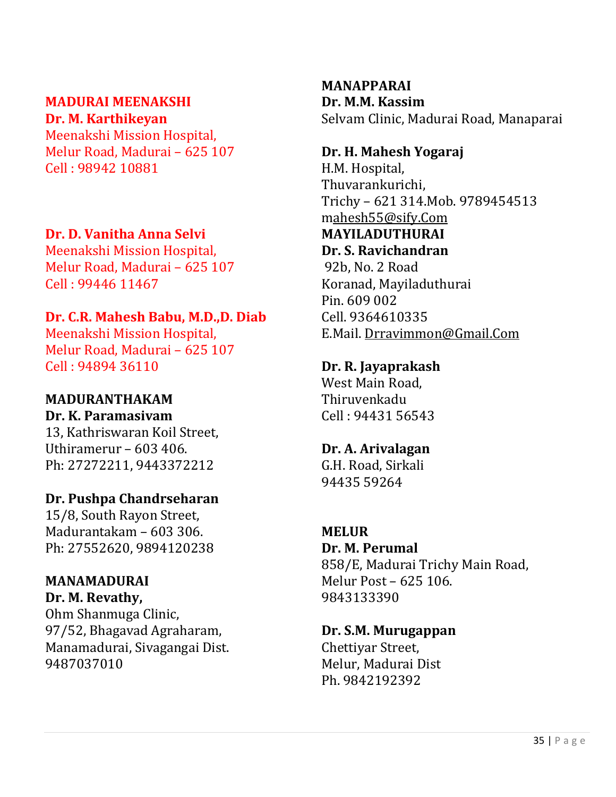#### **MADURAI MEENAKSHI Dr. M. Karthikeyan**

Meenakshi Mission Hospital, Melur Road, Madurai – 625 107 Cell : 98942 10881

### **Dr. D. Vanitha Anna Selvi**

Meenakshi Mission Hospital, Melur Road, Madurai – 625 107 Cell : 99446 11467

### **Dr. C.R. Mahesh Babu, M.D.,D. Diab**

Meenakshi Mission Hospital, Melur Road, Madurai – 625 107 Cell : 94894 36110

### **MADURANTHAKAM**

### **Dr. K. Paramasivam** 13, Kathriswaran Koil Street, Uthiramerur – 603 406. Ph: 27272211, 9443372212

### **Dr. Pushpa Chandrseharan**

15/8, South Rayon Street, Madurantakam – 603 306. Ph: 27552620, 9894120238

### **MANAMADURAI**

**Dr. M. Revathy,** 

Ohm Shanmuga Clinic, 97/52, Bhagavad Agraharam, Manamadurai, Sivagangai Dist. 9487037010

### **MANAPPARAI Dr. M.M. Kassim** Selvam Clinic, Madurai Road, Manaparai

### **Dr. H. Mahesh Yogaraj**

H.M. Hospital, Thuvarankurichi, Trichy – 621 314.Mob. 9789454513 [mahesh55@sify.Com](mailto:ahesh55@sify.Com) **MAYILADUTHURAI Dr. S. Ravichandran** 92b, No. 2 Road

Koranad, Mayiladuthurai Pin. 609 002 Cell. 9364610335 E.Mail. [Drravimmon@Gmail.Com](mailto:drravimmon@gmail.com)

### **Dr. R. Jayaprakash**

West Main Road, Thiruvenkadu Cell : 94431 56543

### **Dr. A. Arivalagan**

G.H. Road, Sirkali 94435 59264

### **MELUR**

**Dr. M. Perumal**  858/E, Madurai Trichy Main Road, Melur Post – 625 106. 9843133390

#### **Dr. S.M. Murugappan** Chettiyar Street, Melur, Madurai Dist Ph. 9842192392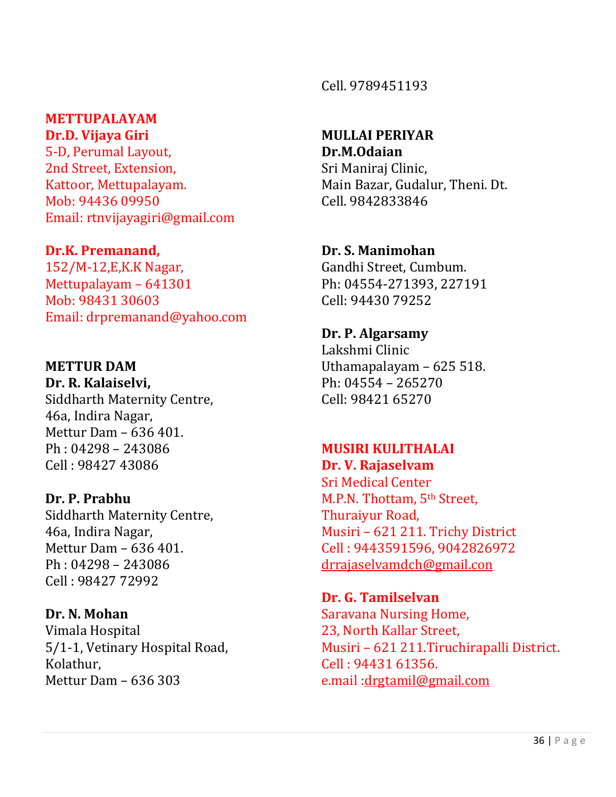#### **METTUPALAYAM Dr.D. Vijaya Giri**

5-D, Perumal Layout, 2nd Street, Extension, Kattoor, Mettupalayam. Mob: 94436 09950 Email: rtnvijayagiri@gmail.com

### **Dr.K. Premanand,**

152/M-12,E,K.K Nagar, Mettupalayam – 641301 Mob: 98431 30603 Email: drpremanand@yahoo.com

### **METTUR DAM**

**Dr. R. Kalaiselvi,** Siddharth Maternity Centre, 46a, Indira Nagar, Mettur Dam – 636 401. Ph : 04298 – 243086 Cell : 98427 43086

### **Dr. P. Prabhu**

Siddharth Maternity Centre, 46a, Indira Nagar, Mettur Dam – 636 401. Ph : 04298 – 243086 Cell : 98427 72992

### **Dr. N. Mohan**

Vimala Hospital 5/1-1, Vetinary Hospital Road, Kolathur, Mettur Dam – 636 303

Cell. 9789451193

### **MULLAI PERIYAR**

**Dr.M.Odaian** Sri Maniraj Clinic, Main Bazar, Gudalur, Theni. Dt. Cell. 9842833846

### **Dr. S. Manimohan**

Gandhi Street, Cumbum. Ph: 04554-271393, 227191 Cell: 94430 79252

### **Dr. P. Algarsamy**

Lakshmi Clinic Uthamapalayam – 625 518. Ph: 04554 – 265270 Cell: 98421 65270

### **MUSIRI KULITHALAI**

**Dr. V. Rajaselvam** Sri Medical Center M.P.N. Thottam, 5<sup>th</sup> Street, Thuraiyur Road, Musiri – 621 211. Trichy District Cell : 9443591596, 9042826972 [drrajaselvamdch@gmail.con](mailto:drrajaselvamdch@gmail.con)

### **Dr. G. Tamilselvan**

Saravana Nursing Home, 23, North Kallar Street, Musiri – 621 211.Tiruchirapalli District. Cell : 94431 61356. e.mail [:drgtamil@gmail.com](mailto:drgtamil@gmail.com)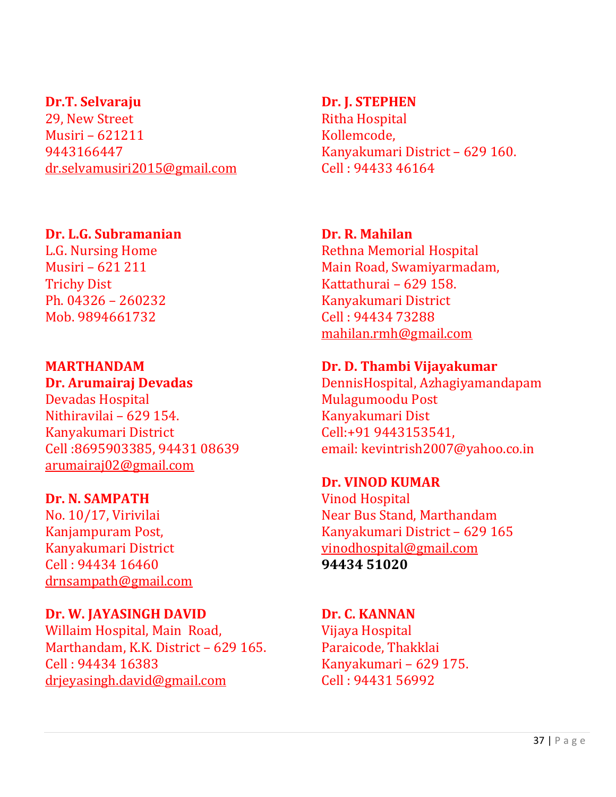#### **Dr.T. Selvaraju**

29, New Street Musiri – 621211 9443166447 [dr.selvamusiri2015@gmail.com](mailto:dr.selvamusiri2015@gmail.com)

### **Dr. L.G. Subramanian**

L.G. Nursing Home Musiri – 621 211 Trichy Dist Ph. 04326 – 260232 Mob. 9894661732

### **MARTHANDAM**

**Dr. Arumairaj Devadas** Devadas Hospital Nithiravilai – 629 154. Kanyakumari District Cell :8695903385, 94431 08639 [arumairaj02@gmail.com](mailto:arumairaj02@gmail.com)

### **Dr. N. SAMPATH**

No. 10/17, Virivilai Kanjampuram Post, Kanyakumari District Cell : 94434 16460 [drnsampath@gmail.com](mailto:drnsampath@gmail.com)

**Dr. W. JAYASINGH DAVID** Willaim Hospital, Main Road, Marthandam, K.K. District – 629 165. Cell : 94434 16383 [drjeyasingh.david@gmail.com](mailto:drjeyasingh.david@gmail.com)

### **Dr. J. STEPHEN**

Ritha Hospital Kollemcode, Kanyakumari District – 629 160. Cell : 94433 46164

### **Dr. R. Mahilan**

Rethna Memorial Hospital Main Road, Swamiyarmadam, Kattathurai – 629 158. Kanyakumari District Cell : 94434 73288 [mahilan.rmh@gmail.com](mailto:mahilan.rmh@gmail.com)

### **Dr. D. Thambi Vijayakumar**

DennisHospital, Azhagiyamandapam Mulagumoodu Post Kanyakumari Dist Cell:+91 9443153541, email: kevintrish2007@yahoo.co.in

### **Dr. VINOD KUMAR**

Vinod Hospital Near Bus Stand, Marthandam Kanyakumari District – 629 165 [vinodhospital@gmail.com](mailto:vinodhospital@gmail.com) **94434 51020**

# **Dr. C. KANNAN** Vijaya Hospital

Paraicode, Thakklai Kanyakumari – 629 175. Cell : 94431 56992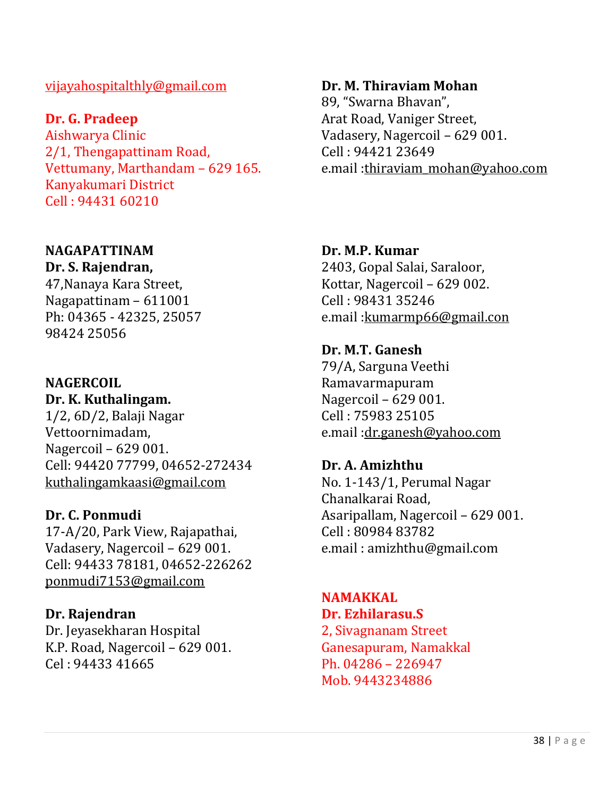#### [vijayahospitalthly@gmail.com](mailto:vijayahospitalthly@gmail.com)

**Dr. G. Pradeep** Aishwarya Clinic 2/1, Thengapattinam Road, Vettumany, Marthandam – 629 165. Kanyakumari District Cell : 94431 60210

#### **NAGAPATTINAM**

**Dr. S. Rajendran,** 47,Nanaya Kara Street,

Nagapattinam – 611001 Ph: 04365 - 42325, 25057 98424 25056

### **NAGERCOIL**

**Dr. K. Kuthalingam.** 1/2, 6D/2, Balaji Nagar Vettoornimadam, Nagercoil – 629 001. Cell: 94420 77799, 04652-272434 [kuthalingamkaasi@gmail.com](mailto:kuthalingamkaasi@gmail.com)

### **Dr. C. Ponmudi**

17-A/20, Park View, Rajapathai, Vadasery, Nagercoil – 629 001. Cell: 94433 78181, 04652-226262 [ponmudi7153@gmail.com](mailto:ponmudi7153@gmail.com)

### **Dr. Rajendran**

Dr. Jeyasekharan Hospital K.P. Road, Nagercoil – 629 001. Cel : 94433 41665

#### **Dr. M. Thiraviam Mohan**

89, "Swarna Bhavan", Arat Road, Vaniger Street, Vadasery, Nagercoil – 629 001. Cell : 94421 23649 e.mail [:thiraviam\\_mohan@yahoo.com](mailto:thiraviam_mohan@yahoo.com)

**Dr. M.P. Kumar** 2403, Gopal Salai, Saraloor, Kottar, Nagercoil – 629 002. Cell : 98431 35246 e.mail [:kumarmp66@gmail.con](mailto:kumarmp66@gmail.con)

**Dr. M.T. Ganesh** 79/A, Sarguna Veethi Ramavarmapuram Nagercoil – 629 001. Cell : 75983 25105 e.mail [:dr.ganesh@yahoo.com](mailto:dr.ganesh@yahoo.com)

**Dr. A. Amizhthu** No. 1-143/1, Perumal Nagar Chanalkarai Road, Asaripallam, Nagercoil – 629 001. Cell : 80984 83782 e.mail : amizhthu@gmail.com

**NAMAKKAL Dr. Ezhilarasu.S** 2, Sivagnanam Street Ganesapuram, Namakkal Ph. 04286 – 226947 Mob. 9443234886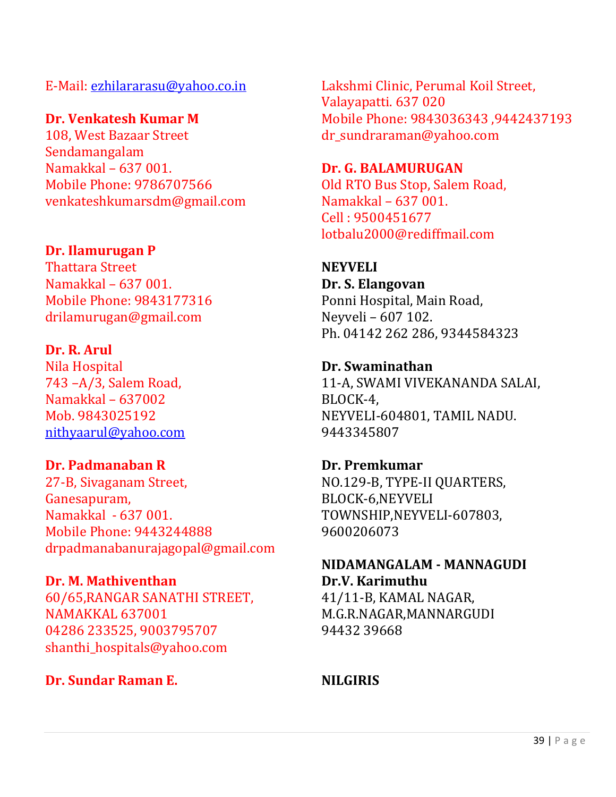### E-Mail: [ezhilararasu@yahoo.co.in](mailto:ezhilararasu@yahoo.co.in)

### **Dr. Venkatesh Kumar M**

108, West Bazaar Street Sendamangalam Namakkal – 637 001. Mobile Phone: 9786707566 venkateshkumarsdm@gmail.com

#### **Dr. Ilamurugan P**

Thattara Street Namakkal – 637 001. Mobile Phone: 9843177316 drilamurugan@gmail.com

#### **Dr. R. Arul**

Nila Hospital 743 –A/3, Salem Road, Namakkal – 637002 Mob. 9843025192 [nithyaarul@yahoo.com](mailto:nithyaarul@yahoo.com)

#### **Dr. Padmanaban R**

27-B, Sivaganam Street, Ganesapuram, Namakkal - 637 001. Mobile Phone: 9443244888 drpadmanabanurajagopal@gmail.com

#### **Dr. M. Mathiventhan**

60/65,RANGAR SANATHI STREET, NAMAKKAL 637001 04286 233525, 9003795707 shanthi\_hospitals@yahoo.com

### **Dr. Sundar Raman E.**

Lakshmi Clinic, Perumal Koil Street, Valayapatti. 637 020 Mobile Phone: 9843036343 ,9442437193 dr sundraraman@yahoo.com

#### **Dr. G. BALAMURUGAN**

Old RTO Bus Stop, Salem Road, Namakkal – 637 001. Cell : 9500451677 lotbalu2000@rediffmail.com

**NEYVELI Dr. S. Elangovan** Ponni Hospital, Main Road, Neyveli – 607 102. Ph. 04142 262 286, 9344584323

**Dr. Swaminathan** 11-A, SWAMI VIVEKANANDA SALAI, BLOCK-4, NEYVELI-604801, TAMIL NADU. 9443345807

**Dr. Premkumar** NO.129-B, TYPE-II QUARTERS, BLOCK-6,NEYVELI TOWNSHIP,NEYVELI-607803, 9600206073

**NIDAMANGALAM - MANNAGUDI Dr.V. Karimuthu** 41/11-B, KAMAL NAGAR, M.G.R.NAGAR,MANNARGUDI 94432 39668

### **NILGIRIS**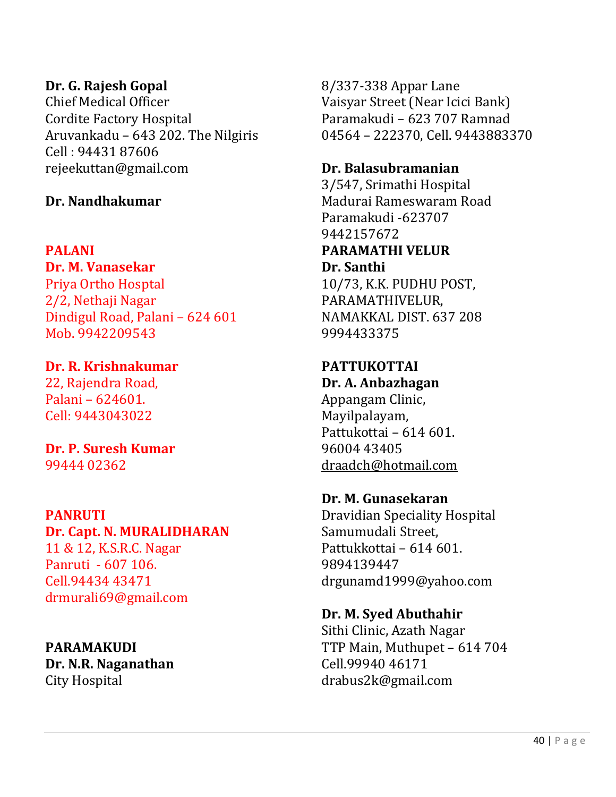### **Dr. G. Rajesh Gopal**

Chief Medical Officer Cordite Factory Hospital Aruvankadu – 643 202. The Nilgiris Cell : 94431 87606 rejeekuttan@gmail.com

### **Dr. Nandhakumar**

#### **PALANI**

**Dr. M. Vanasekar** Priya Ortho Hosptal 2/2, Nethaji Nagar Dindigul Road, Palani – 624 601 Mob. 9942209543

**Dr. R. Krishnakumar** 22, Rajendra Road, Palani – 624601. Cell: 9443043022

**Dr. P. Suresh Kumar** 99444 02362

#### **PANRUTI Dr. Capt. N. MURALIDHARAN** 11 & 12, K.S.R.C. Nagar

Panruti - 607 106. Cell.94434 43471 drmurali69@gmail.com

**PARAMAKUDI Dr. N.R. Naganathan** City Hospital

8/337-338 Appar Lane Vaisyar Street (Near Icici Bank) Paramakudi – 623 707 Ramnad 04564 – 222370, Cell. 9443883370

### **Dr. Balasubramanian**

3/547, Srimathi Hospital Madurai Rameswaram Road Paramakudi -623707 9442157672 **PARAMATHI VELUR Dr. Santhi** 10/73, K.K. PUDHU POST, PARAMATHIVELUR, NAMAKKAL DIST. 637 208

### **PATTUKOTTAI**

9994433375

**Dr. A. Anbazhagan** Appangam Clinic, Mayilpalayam, Pattukottai – 614 601.

96004 43405 [draadch@hotmail.com](mailto:dr.k.balakrishnan@gmail.com)

### **Dr. M. Gunasekaran**

Dravidian Speciality Hospital Samumudali Street, Pattukkottai – 614 601. 9894139447 drgunamd1999@yahoo.com

### **Dr. M. Syed Abuthahir**

Sithi Clinic, Azath Nagar TTP Main, Muthupet – 614 704 Cell.99940 46171 drabus2k@gmail.com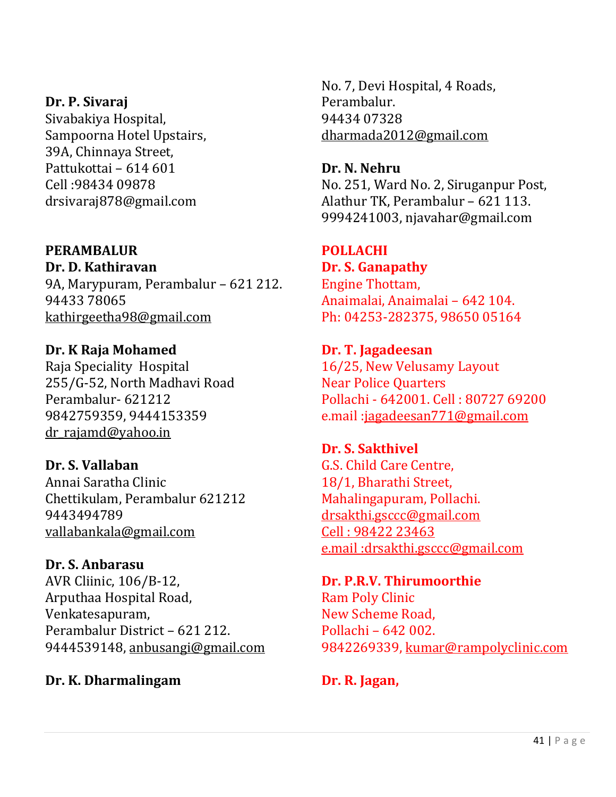#### **Dr. P. Sivaraj**

Sivabakiya Hospital, Sampoorna Hotel Upstairs, 39A, Chinnaya Street, Pattukottai – 614 601 Cell :98434 09878 drsivaraj878@gmail.com

### **PERAMBALUR**

**Dr. D. Kathiravan** 9A, Marypuram, Perambalur – 621 212. 94433 78065 [kathirgeetha98@gmail.com](mailto:kathirgeetha98@gmail.com)

**Dr. K Raja Mohamed** Raja Speciality Hospital 255/G-52, North Madhavi Road Perambalur- 621212 9842759359, 9444153359 dr rajamd@yahoo.in

**Dr. S. Vallaban** Annai Saratha Clinic Chettikulam, Perambalur 621212 9443494789 [vallabankala@gmail.com](mailto:vallabankala@gmail.com)

**Dr. S. Anbarasu** AVR Cliinic, 106/B-12, Arputhaa Hospital Road, Venkatesapuram, Perambalur District – 621 212. 9444539148, [anbusangi@gmail.com](mailto:anbusangi@gmail.com)

### **Dr. K. Dharmalingam**

No. 7, Devi Hospital, 4 Roads, Perambalur. 94434 07328 [dharmada2012@gmail.com](mailto:dharmada2012@gmail.com)

**Dr. N. Nehru** No. 251, Ward No. 2, Siruganpur Post, Alathur TK, Perambalur – 621 113. 9994241003, njavahar@gmail.com

**POLLACHI**

**Dr. S. Ganapathy** Engine Thottam, Anaimalai, Anaimalai – 642 104. Ph: 04253-282375, 98650 05164

**Dr. T. Jagadeesan** 16/25, New Velusamy Layout Near Police Quarters Pollachi - 642001. Cell : 80727 69200 e.mail [:jagadeesan771@gmail.com](mailto:jagadeesan771@gmail.com)

**Dr. S. Sakthivel** G.S. Child Care Centre, 18/1, Bharathi Street, Mahalingapuram, Pollachi. [drsakthi.gsccc@gmail.com](mailto:drsakthi.gsccc@gmail.com) Cell : 98422 23463 e.mail [:drsakthi.gsccc@gmail.com](mailto:drsakthi.gsccc@gmail.com)

**Dr. P.R.V. Thirumoorthie** Ram Poly Clinic New Scheme Road, Pollachi – 642 002. 9842269339, [kumar@rampolyclinic.com](mailto:kumar@rampolyclinic.com)

**Dr. R. Jagan,**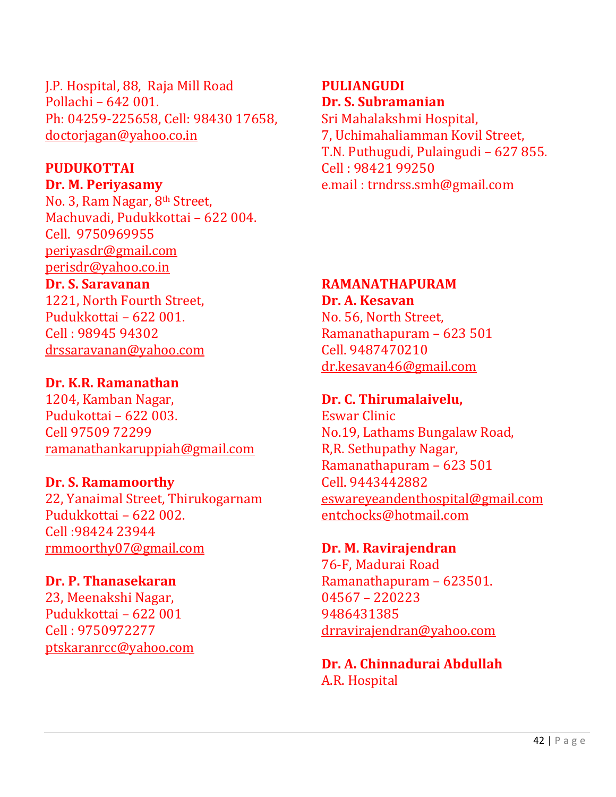J.P. Hospital, 88, Raja Mill Road Pollachi – 642 001. Ph: 04259-225658, Cell: 98430 17658, [doctorjagan@yahoo.co.in](mailto:doctorjagan@yahoo.co.in)

#### **PUDUKOTTAI**

**Dr. M. Periyasamy** No. 3, Ram Nagar, 8th Street, Machuvadi, Pudukkottai – 622 004. Cell. 9750969955 [periyasdr@gmail.com](mailto:periyasdr@gmail.com) [perisdr@yahoo.co.in](mailto:perisdr@yahoo.co.in) **Dr. S. Saravanan**

1221, North Fourth Street, Pudukkottai – 622 001. Cell : 98945 94302 [drssaravanan@yahoo.com](mailto:drssaravanan@yahoo.com)

#### **Dr. K.R. Ramanathan**

1204, Kamban Nagar, Pudukottai – 622 003. Cell 97509 72299 [ramanathankaruppiah@gmail.com](mailto:sureshkumarraja@gmail.com)

#### **Dr. S. Ramamoorthy**

22, Yanaimal Street, Thirukogarnam Pudukkottai – 622 002. Cell :98424 23944 [rmmoorthy07@gmail.com](mailto:drsalimkh@yahoo.com)

#### **Dr. P. Thanasekaran**

23, Meenakshi Nagar, Pudukkottai – 622 001 Cell : 9750972277 [ptskaranrcc@yahoo.com](mailto:kavithraja988@gmail.com)

### **PULIANGUDI Dr. S. Subramanian**

Sri Mahalakshmi Hospital, 7, Uchimahaliamman Kovil Street, T.N. Puthugudi, Pulaingudi – 627 855. Cell : 98421 99250 e.mail : trndrss.smh@gmail.com

#### **RAMANATHAPURAM**

**Dr. A. Kesavan** No. 56, North Street, Ramanathapuram – 623 501 Cell. 9487470210 [dr.kesavan46@gmail.com](mailto:dr.kesavan46@gmail.com)

### **Dr. C. Thirumalaivelu,**

Eswar Clinic No.19, Lathams Bungalaw Road, R,R. Sethupathy Nagar, Ramanathapuram – 623 501 Cell. 9443442882 [eswareyeandenthospital@gmail.com](mailto:eswareyeandenthospital@gmail.com) [entchocks@hotmail.com](mailto:entchocks@hotmail.com)

### **Dr. M. Ravirajendran**

76-F, Madurai Road Ramanathapuram – 623501. 04567 – 220223 9486431385 [drravirajendran@yahoo.com](mailto:drravirajendran@yahoo.com)

**Dr. A. Chinnadurai Abdullah** A.R. Hospital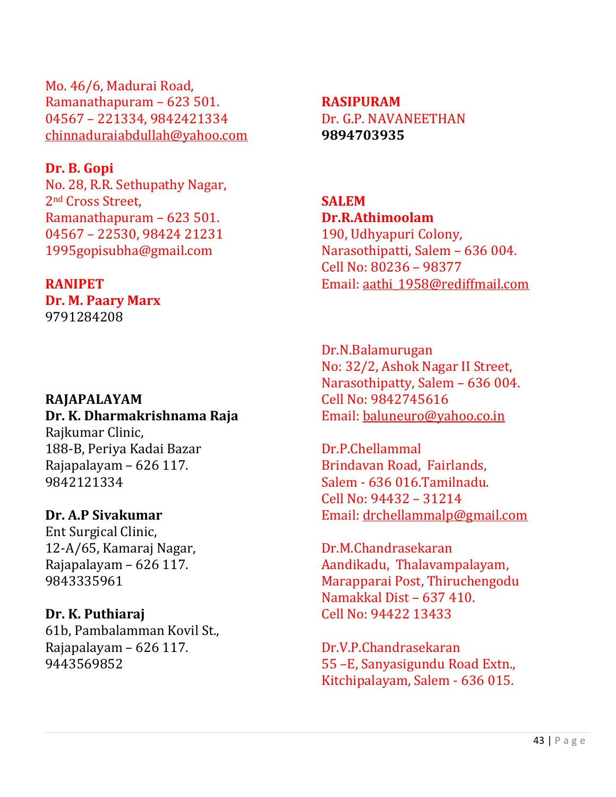Mo. 46/6, Madurai Road, Ramanathapuram – 623 501. 04567 – 221334, 9842421334 [chinnaduraiabdullah@yahoo.com](mailto:chinnaduraiabdullah@yahoo.com)

#### **Dr. B. Gopi**

No. 28, R.R. Sethupathy Nagar, 2nd Cross Street, Ramanathapuram – 623 501. 04567 – 22530, 98424 21231 1995gopisubha@gmail.com

#### **RANIPET**

**Dr. M. Paary Marx** 9791284208

### **RAJAPALAYAM**

### **Dr. K. Dharmakrishnama Raja**

Rajkumar Clinic, 188-B, Periya Kadai Bazar Rajapalayam – 626 117. 9842121334

#### **Dr. A.P Sivakumar**

Ent Surgical Clinic, 12-A/65, Kamaraj Nagar, Rajapalayam – 626 117. 9843335961

#### **Dr. K. Puthiaraj**

61b, Pambalamman Kovil St., Rajapalayam – 626 117. 9443569852

### **RASIPURAM**  Dr. G.P. NAVANEETHAN **9894703935**

**SALEM Dr.R.Athimoolam** 190, Udhyapuri Colony, Narasothipatti, Salem – 636 004. Cell No: 80236 – 98377 Email: [aathi\\_1958@rediffmail.com](mailto:aathi_1958@rediffmail.com)

Dr.N.Balamurugan No: 32/2, Ashok Nagar II Street, Narasothipatty, Salem – 636 004. Cell No: 9842745616 Email: [baluneuro@yahoo.co.in](mailto:baluneuro@yahoo.co.in)

Dr.P.Chellammal Brindavan Road, Fairlands, Salem - 636 016.Tamilnadu. Cell No: 94432 – 31214 Email: [drchellammalp@gmail.com](mailto:drchellammalp@gmail.com)

Dr.M.Chandrasekaran Aandikadu, Thalavampalayam, Marapparai Post, Thiruchengodu Namakkal Dist – 637 410. Cell No: 94422 13433

Dr.V.P.Chandrasekaran 55 –E, Sanyasigundu Road Extn., Kitchipalayam, Salem - 636 015.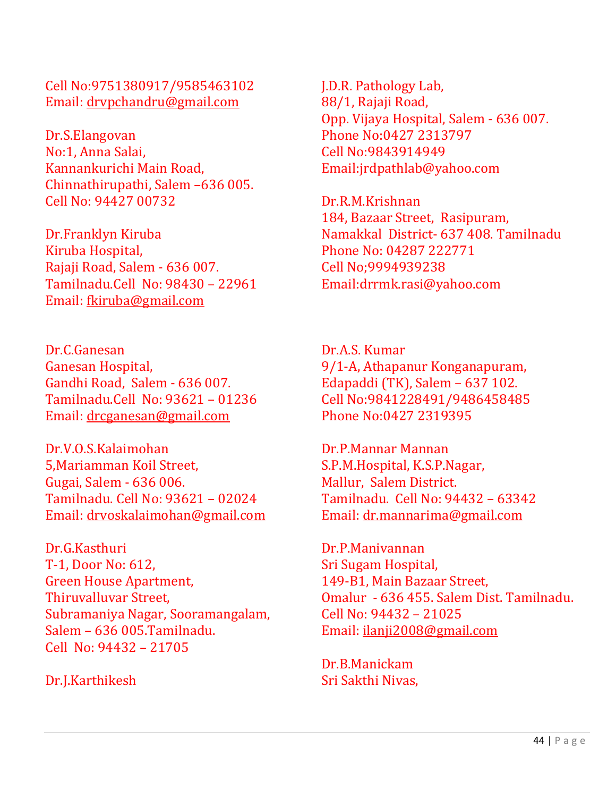### Cell No:9751380917/9585463102 Email: [drvpchandru@gmail.com](mailto:drvpchandru@gmail.com)

Dr.S.Elangovan No:1, Anna Salai, Kannankurichi Main Road, Chinnathirupathi, Salem –636 005. Cell No: 94427 00732

Dr.Franklyn Kiruba Kiruba Hospital, Rajaji Road, Salem - 636 007. Tamilnadu.Cell No: 98430 – 22961 Email: [fkiruba@gmail.com](mailto:fkiruba@gmail.com)

Dr.C.Ganesan Ganesan Hospital, Gandhi Road, Salem - 636 007. Tamilnadu.Cell No: 93621 – 01236 Email: [drcganesan@gmail.com](mailto:drcganesan@gmail.com)

Dr.V.O.S.Kalaimohan 5,Mariamman Koil Street, Gugai, Salem - 636 006. Tamilnadu. Cell No: 93621 – 02024 Email: [drvoskalaimohan@gmail.com](mailto:drvoskalaimohan@gmail.com)

Dr.G.Kasthuri T-1, Door No: 612, Green House Apartment, Thiruvalluvar Street, Subramaniya Nagar, Sooramangalam, Salem – 636 005.Tamilnadu. Cell No: 94432 – 21705

Dr.J.Karthikesh

J.D.R. Pathology Lab, 88/1, Rajaji Road, Opp. Vijaya Hospital, Salem - 636 007. Phone No:0427 2313797 Cell No:9843914949 Email:jrdpathlab@yahoo.com

Dr.R.M.Krishnan 184, Bazaar Street, Rasipuram, Namakkal District- 637 408. Tamilnadu Phone No: 04287 222771 Cell No;9994939238 Email:drrmk.rasi@yahoo.com

Dr.A.S. Kumar 9/1-A, Athapanur Konganapuram, Edapaddi (TK), Salem – 637 102. Cell No:9841228491/9486458485 Phone No:0427 2319395

Dr.P.Mannar Mannan S.P.M.Hospital, K.S.P.Nagar, Mallur, Salem District. Tamilnadu. Cell No: 94432 – 63342 Email: [dr.mannarima@gmail.com](mailto:dr.mannarima@gmail.com)

Dr.P.Manivannan Sri Sugam Hospital, 149-B1, Main Bazaar Street, Omalur - 636 455. Salem Dist. Tamilnadu. Cell No: 94432 – 21025 Email: [ilanji2008@gmail.com](mailto:ilanji2008@gmail.com)

Dr.B.Manickam Sri Sakthi Nivas,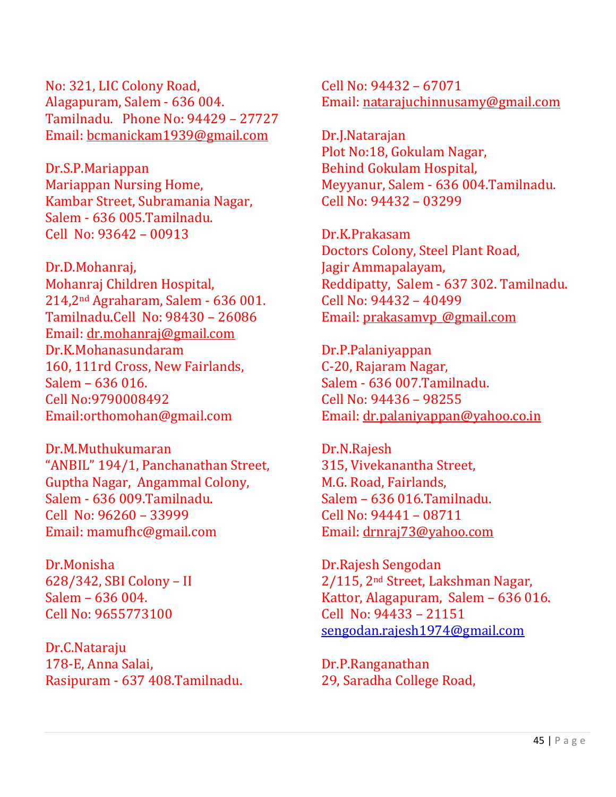No: 321, LIC Colony Road, Alagapuram, Salem - 636 004. Tamilnadu. Phone No: 94429 – 27727 Email: [bcmanickam1939@gmail.com](mailto:bcmanickam1939@gmail.com)

Dr.S.P.Mariappan Mariappan Nursing Home, Kambar Street, Subramania Nagar, Salem - 636 005.Tamilnadu. Cell No: 93642 – 00913

Dr.D.Mohanraj, Mohanraj Children Hospital, 214,2nd Agraharam, Salem - 636 001. Tamilnadu.Cell No: 98430 – 26086 Email: [dr.mohanraj@gmail.com](mailto:dr.mohanraj@gmail.com) Dr.K.Mohanasundaram 160, 111rd Cross, New Fairlands, Salem – 636 016. Cell No:9790008492 Email:orthomohan@gmail.com

Dr.M.Muthukumaran "ANBIL" 194/1, Panchanathan Street, Guptha Nagar, Angammal Colony, Salem - 636 009.Tamilnadu. Cell No: 96260 – 33999 Email: mamufhc@gmail.com

Dr.Monisha 628/342, SBI Colony – II Salem – 636 004. Cell No: 9655773100

Dr.C.Nataraju 178-E, Anna Salai, Rasipuram - 637 408.Tamilnadu.

Cell No: 94432 – 67071 Email: [natarajuchinnusamy@gmail.com](mailto:natarajuchinnusamy@gmail.com)

Dr.J.Natarajan Plot No:18, Gokulam Nagar, Behind Gokulam Hospital, Meyyanur, Salem - 636 004.Tamilnadu. Cell No: 94432 – 03299

Dr.K.Prakasam Doctors Colony, Steel Plant Road, Jagir Ammapalayam, Reddipatty, Salem - 637 302. Tamilnadu. Cell No: 94432 – 40499 Email: [prakasamvp\\_@gmail.com](mailto:prakasamvp_@gmail.com)

Dr.P.Palaniyappan C-20, Rajaram Nagar, Salem - 636 007.Tamilnadu. Cell No: 94436 – 98255 Email: [dr.palaniyappan@yahoo.co.in](mailto:dr.palaniyappan@yahoo.co.in)

Dr.N.Rajesh 315, Vivekanantha Street, M.G. Road, Fairlands, Salem – 636 016.Tamilnadu. Cell No: 94441 – 08711 Email: [drnraj73@yahoo.com](mailto:drnraj73@yahoo.com)

Dr.Rajesh Sengodan 2/115, 2nd Street, Lakshman Nagar, Kattor, Alagapuram, Salem – 636 016. Cell No: 94433 – 21151 [sengodan.rajesh1974@gmail.com](mailto:sengodan.rajesh1974@gmail.com)

Dr.P.Ranganathan 29, Saradha College Road,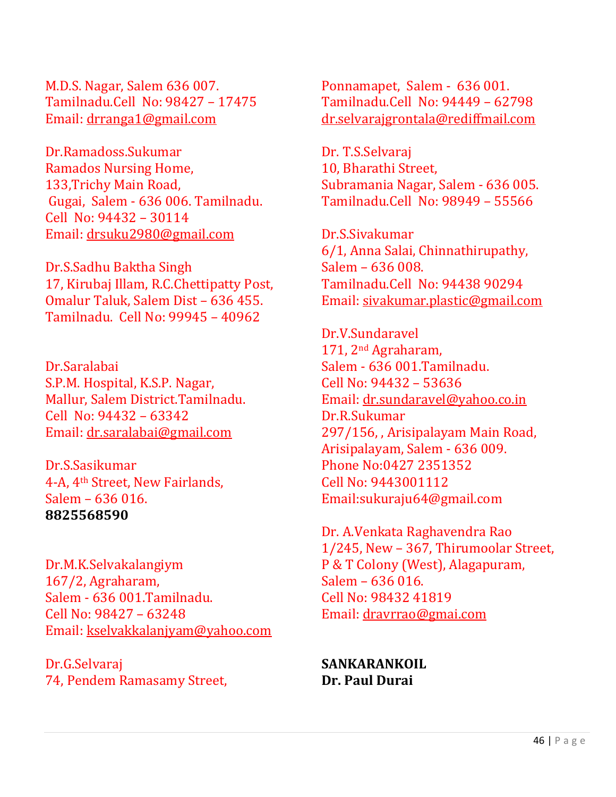M.D.S. Nagar, Salem 636 007. Tamilnadu.Cell No: 98427 – 17475 Email: [drranga1@gmail.com](mailto:drranga1@gmail.com)

Dr.Ramadoss.Sukumar Ramados Nursing Home, 133,Trichy Main Road, Gugai, Salem - 636 006. Tamilnadu. Cell No: 94432 – 30114 Email: [drsuku2980@gmail.com](mailto:drsuku2980@gmail.com)

Dr.S.Sadhu Baktha Singh 17, Kirubaj Illam, R.C.Chettipatty Post, Omalur Taluk, Salem Dist – 636 455. Tamilnadu. Cell No: 99945 – 40962

Dr.Saralabai S.P.M. Hospital, K.S.P. Nagar, Mallur, Salem District.Tamilnadu. Cell No: 94432 – 63342 Email: [dr.saralabai@gmail.com](mailto:dr.saralabai@gmail.com)

Dr.S.Sasikumar 4-A, 4th Street, New Fairlands, Salem – 636 016. **8825568590**

Dr.M.K.Selvakalangiym 167/2, Agraharam, Salem - 636 001.Tamilnadu. Cell No: 98427 – 63248 Email: [kselvakkalanjyam@yahoo.com](mailto:kselvakkalanjyam@yahoo.com)

Dr.G.Selvaraj 74, Pendem Ramasamy Street,

Ponnamapet, Salem - 636 001. Tamilnadu.Cell No: 94449 – 62798 [dr.selvarajgrontala@rediffmail.com](mailto:dr.selvarajgrontala@rediffmail.com)

Dr. T.S.Selvaraj 10, Bharathi Street, Subramania Nagar, Salem - 636 005. Tamilnadu.Cell No: 98949 – 55566

Dr.S.Sivakumar 6/1, Anna Salai, Chinnathirupathy, Salem – 636 008. Tamilnadu.Cell No: 94438 90294 Email: [sivakumar.plastic@gmail.com](mailto:sivakumar.plastic@gmail.com)

Dr.V.Sundaravel 171, 2nd Agraharam, Salem - 636 001.Tamilnadu. Cell No: 94432 – 53636 Email: [dr.sundaravel@yahoo.co.in](mailto:dr.sundaravel@yahoo.co.in) Dr.R.Sukumar 297/156, , Arisipalayam Main Road, Arisipalayam, Salem - 636 009. Phone No:0427 2351352 Cell No: 9443001112 Email:sukuraju64@gmail.com

Dr. A.Venkata Raghavendra Rao 1/245, New – 367, Thirumoolar Street, P & T Colony (West), Alagapuram, Salem – 636 016. Cell No: 98432 41819 Email: [dravrrao@gmai.com](mailto:dravrrao@gmai.com)

**SANKARANKOIL Dr. Paul Durai**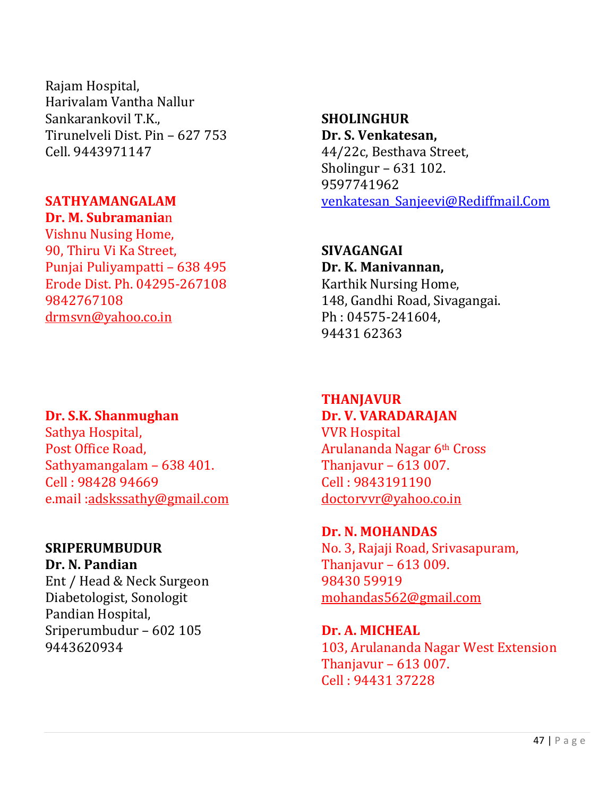Rajam Hospital, Harivalam Vantha Nallur Sankarankovil T.K., Tirunelveli Dist. Pin – 627 753 Cell. 9443971147

#### **SATHYAMANGALAM**

**Dr. M. Subramania**n Vishnu Nusing Home, 90, Thiru Vi Ka Street, Punjai Puliyampatti – 638 495 Erode Dist. Ph. 04295-267108 9842767108 [drmsvn@yahoo.co.in](mailto:drmsvn@yahoo.co.in)

#### **Dr. S.K. Shanmughan**

Sathya Hospital, Post Office Road, Sathyamangalam – 638 401. Cell : 98428 94669 e.mail [:adskssathy@gmail.com](mailto:adskssathy@gmail.com)

### **SRIPERUMBUDUR**

**Dr. N. Pandian** Ent / Head & Neck Surgeon Diabetologist, Sonologit Pandian Hospital, Sriperumbudur – 602 105

9443620934

### **SHOLINGHUR**

**Dr. S. Venkatesan,** 44/22c, Besthava Street, Sholingur – 631 102. 9597741962 [venkatesan\\_Sanjeevi@Rediffmail.Com](mailto:venkatesan_Sanjeevi@Rediffmail.Com)

### **SIVAGANGAI**

**Dr. K. Manivannan,** Karthik Nursing Home, 148, Gandhi Road, Sivagangai. Ph : 04575-241604, 94431 62363

#### **THANJAVUR Dr. V. VARADARAJAN**

VVR Hospital Arulananda Nagar 6th Cross Thanjavur – 613 007. Cell : 9843191190 [doctorvvr@yahoo.co.in](mailto:doctorvvr@yahoo.co.in)

**Dr. N. MOHANDAS** No. 3, Rajaji Road, Srivasapuram, Thanjavur – 613 009. 98430 59919 [mohandas562@gmail.com](mailto:mohandas562@gmail.com)

**Dr. A. MICHEAL** 103, Arulananda Nagar West Extension Thanjavur – 613 007. Cell : 94431 37228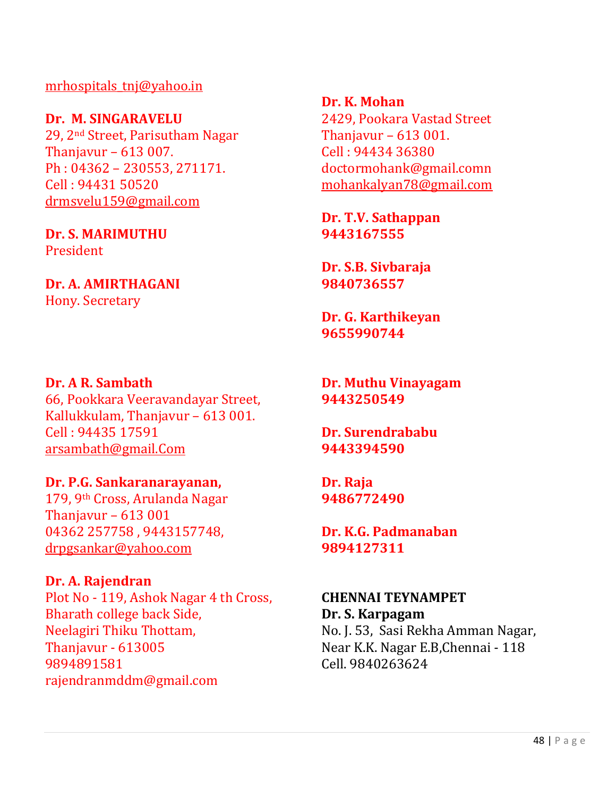### [mrhospitals\\_tnj@yahoo.in](mailto:mrhospitals_tnj@yahoo.in)

#### **Dr. M. SINGARAVELU**

29, 2nd Street, Parisutham Nagar Thanjavur – 613 007. Ph : 04362 – 230553, 271171. Cell : 94431 50520 [drmsvelu159@gmail.com](mailto:drmsvelu159@gmail.com)

#### **Dr. S. MARIMUTHU** President

**Dr. A. AMIRTHAGANI** Hony. Secretary

#### **Dr. A R. Sambath**

66, Pookkara Veeravandayar Street, Kallukkulam, Thanjavur – 613 001. Cell : 94435 17591 [arsambath@gmail.Com](mailto:arsambath@gmail.Com)

#### **Dr. P.G. Sankaranarayanan,**

179, 9th Cross, Arulanda Nagar Thanjavur – 613 001 04362 257758 , 9443157748, [drpgsankar@yahoo.com](mailto:drpgsankar@yahoo.com)

#### **Dr. A. Rajendran**

Plot No - 119, Ashok Nagar 4 th Cross, Bharath college back Side, Neelagiri Thiku Thottam, Thanjavur - 613005 9894891581 rajendranmddm@gmail.com

**Dr. K. Mohan** 2429, Pookara Vastad Street Thanjavur – 613 001. Cell : 94434 36380 doctormohank@gmail.comn [mohankalyan78@gmail.com](mailto:mohankalyan78@gmail.com)

**Dr. T.V. Sathappan 9443167555**

**Dr. S.B. Sivbaraja 9840736557**

**Dr. G. Karthikeyan 9655990744**

**Dr. Muthu Vinayagam 9443250549**

**Dr. Surendrababu 9443394590**

**Dr. Raja 9486772490**

**Dr. K.G. Padmanaban 9894127311**

**CHENNAI TEYNAMPET Dr. S. Karpagam** No. J. 53, Sasi Rekha Amman Nagar, Near K.K. Nagar E.B,Chennai - 118 Cell. 9840263624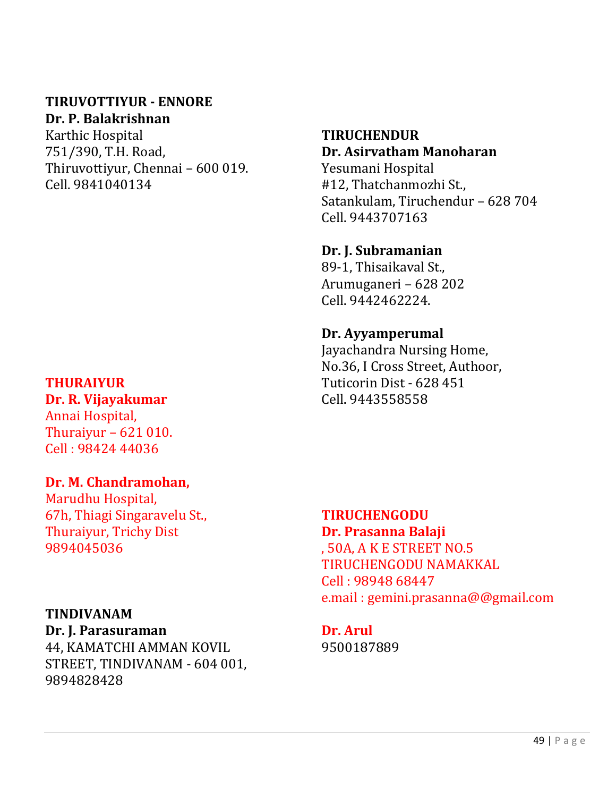#### **TIRUVOTTIYUR - ENNORE Dr. P. Balakrishnan**

Karthic Hospital 751/390, T.H. Road, Thiruvottiyur, Chennai – 600 019. Cell. 9841040134

#### **THURAIYUR**

#### **Dr. R. Vijayakumar**

Annai Hospital, Thuraiyur – 621 010. Cell : 98424 44036

#### **Dr. M. Chandramohan,**

Marudhu Hospital, 67h, Thiagi Singaravelu St., Thuraiyur, Trichy Dist 9894045036

#### **TINDIVANAM**

**Dr. J. Parasuraman** 44, KAMATCHI AMMAN KOVIL STREET, TINDIVANAM - 604 001, 9894828428

### **TIRUCHENDUR Dr. Asirvatham Manoharan** Yesumani Hospital #12, Thatchanmozhi St.,

Satankulam, Tiruchendur – 628 704 Cell. 9443707163

### **Dr. J. Subramanian**

89-1, Thisaikaval St., Arumuganeri – 628 202 Cell. 9442462224.

### **Dr. Ayyamperumal**

Jayachandra Nursing Home, No.36, I Cross Street, Authoor, Tuticorin Dist - 628 451 Cell. 9443558558

### **TIRUCHENGODU**

**Dr. Prasanna Balaji** , 50A, A K E STREET NO.5 TIRUCHENGODU NAMAKKAL Cell : 98948 68447 e.mail : gemini.prasanna@@gmail.com

**Dr. Arul** 9500187889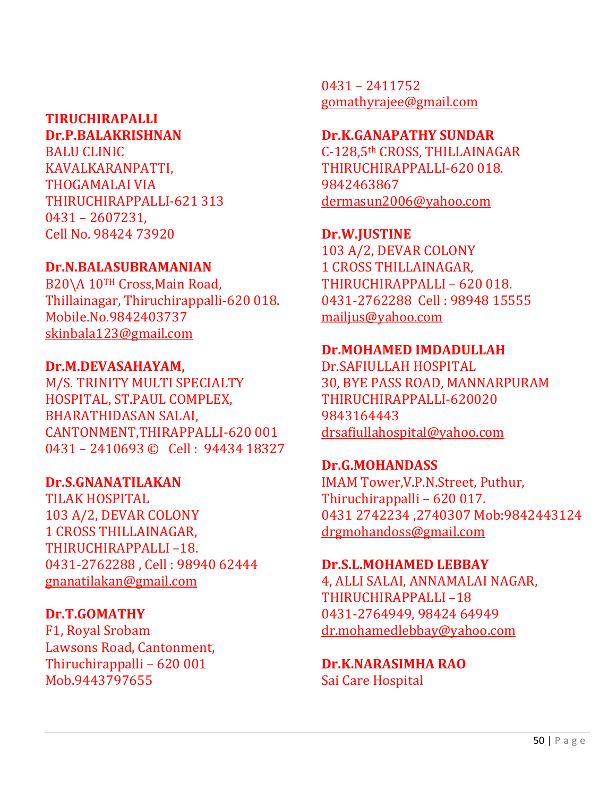### **TIRUCHIRAPALLI Dr.P.BALAKRISHNAN**

BALU CLINIC KAVALKARANPATTI, THOGAMALAI VIA THIRUCHIRAPPALLI-621 313 0431 – 2607231, Cell No. 98424 73920

### **Dr.N.BALASUBRAMANIAN**

B20\A 10TH Cross, Main Road, Thillainagar, Thiruchirappalli-620 018. Mobile.No.9842403737 [skinbala123@gmail.com](mailto:skinbala123@gmail.com)

### **Dr.M.DEVASAHAYAM,**

M/S. TRINITY MULTI SPECIALTY HOSPITAL, ST.PAUL COMPLEX, BHARATHIDASAN SALAI, CANTONMENT,THIRAPPALLI-620 001 0431 - 2410693 © Cell: 94434 18327

### **Dr.S.GNANATILAKAN**

TILAK HOSPITAL 103 A/2, DEVAR COLONY 1 CROSS THILLAINAGAR, THIRUCHIRAPPALLI –18. 0431-2762288 , Cell : 98940 62444 [gnanatilakan@gmail.com](mailto:gnanatilakan@gmail.com)

### **Dr.T.GOMATHY**

F1, Royal Srobam Lawsons Road, Cantonment, Thiruchirappalli – 620 001 Mob.9443797655

0431 – 2411752 [gomathyrajee@gmail.com](mailto:gomathyrajee@gmail.com)

### **Dr.K.GANAPATHY SUNDAR**

C-128,5th CROSS, THILLAINAGAR THIRUCHIRAPPALLI-620 018. 9842463867 [dermasun2006@yahoo.com](mailto:dermasun2006@yahoo.com)

### **Dr.W.JUSTINE**

103 A/2, DEVAR COLONY 1 CROSS THILLAINAGAR, THIRUCHIRAPPALLI – 620 018. 0431-2762288 Cell : 98948 15555 [mailjus@yahoo.com](mailto:mailjus@yahoo.com)

### **Dr.MOHAMED IMDADULLAH**

Dr.SAFIULLAH HOSPITAL 30, BYE PASS ROAD, MANNARPURAM THIRUCHIRAPPALLI-620020 9843164443 [drsafiullahospital@yahoo.com](mailto:drsafiullahospital@yahoo.com)

### **Dr.G.MOHANDASS**

IMAM Tower,V.P.N.Street, Puthur, Thiruchirappalli – 620 017. 0431 2742234 ,2740307 Mob:9842443124 [drgmohandoss@gmail.com](mailto:drgmohandoss@gmail.com)

### **Dr.S.L.MOHAMED LEBBAY**

4, ALLI SALAI, ANNAMALAI NAGAR, THIRUCHIRAPPALLI –18 0431-2764949, 98424 64949 [dr.mohamedlebbay@yahoo.com](mailto:dr.mohamedlebbay@yahoo.com)

**Dr.K.NARASIMHA RAO** Sai Care Hospital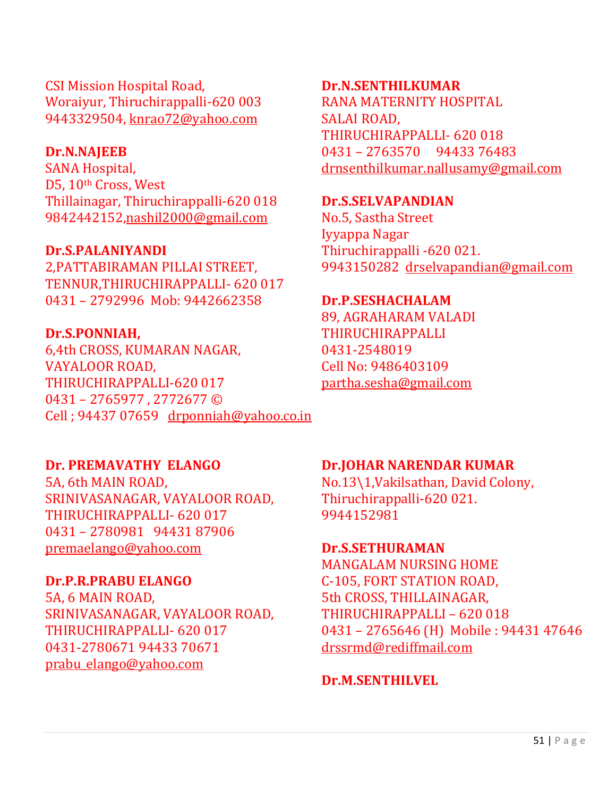CSI Mission Hospital Road, Woraiyur, Thiruchirappalli-620 003 9443329504, [knrao72@yahoo.com](mailto:knrao72@yahoo.com)

#### **Dr.N.NAJEEB**

SANA Hospital, D5, 10th Cross, West Thillainagar, Thiruchirappalli-620 018 9842442152[,nashil2000@gmail.com](mailto:nashil2000@gmail.com)

#### **Dr.S.PALANIYANDI**

2,PATTABIRAMAN PILLAI STREET, TENNUR,THIRUCHIRAPPALLI- 620 017 0431 – 2792996 Mob: 9442662358

#### **Dr.S.PONNIAH,**

6,4th CROSS, KUMARAN NAGAR, VAYALOOR ROAD, THIRUCHIRAPPALLI-620 017 0431 – 2765977 , 2772677 © Cell ; 94437 07659 [drponniah@yahoo.co.in](mailto:drponniah@yahoo.co.in)

### **Dr.N.SENTHILKUMAR** RANA MATERNITY HOSPITAL SALAI ROAD, THIRUCHIRAPPALLI- 620 018 0431 – 2763570 94433 76483 [drnsenthilkumar.nallusamy@gmail.com](mailto:drnsenthilkumar.nallusamy@gmail.com)

#### **Dr.S.SELVAPANDIAN**

No.5, Sastha Street Iyyappa Nagar Thiruchirappalli -620 021. 9943150282 [drselvapandian@gmail.com](mailto:drselvapandian@gmail.com)

#### **Dr.P.SESHACHALAM**

89, AGRAHARAM VALADI THIRUCHIRAPPALLI 0431-2548019 Cell No: 9486403109 [partha.sesha@gmail.com](mailto:partha.sesha@gmail.com)

#### **Dr. PREMAVATHY ELANGO**

5A, 6th MAIN ROAD, SRINIVASANAGAR, VAYALOOR ROAD, THIRUCHIRAPPALLI- 620 017 0431 – 2780981 94431 87906 [premaelango@yahoo.com](mailto:premaelango@yahoo.com)

#### **Dr.P.R.PRABU ELANGO**

5A, 6 MAIN ROAD, SRINIVASANAGAR, VAYALOOR ROAD, THIRUCHIRAPPALLI- 620 017 0431-2780671 94433 70671 [prabu\\_elango@yahoo.com](mailto:prabu_elango@yahoo.com)

#### **Dr.JOHAR NARENDAR KUMAR**

No.13\1,Vakilsathan, David Colony, Thiruchirappalli-620 021. 9944152981

#### **Dr.S.SETHURAMAN**

MANGALAM NURSING HOME C-105, FORT STATION ROAD, 5th CROSS, THILLAINAGAR, THIRUCHIRAPPALLI – 620 018 0431 – 2765646 (H) Mobile : 94431 47646 [drssrmd@rediffmail.com](mailto:drssrmd@rediffmail.com)

#### **Dr.M.SENTHILVEL**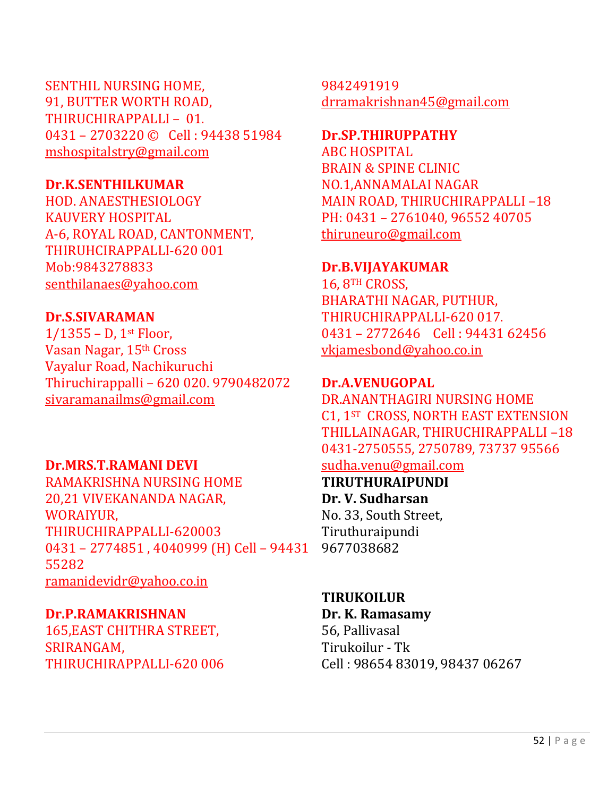SENTHIL NURSING HOME, 91, BUTTER WORTH ROAD, THIRUCHIRAPPALLI – 01. 0431 – 2703220 © Cell : 94438 51984 [mshospitalstry@gmail.com](mailto:mshospitalstry@gmail.com)

#### **Dr.K.SENTHILKUMAR**

HOD. ANAESTHESIOLOGY KAUVERY HOSPITAL A-6, ROYAL ROAD, CANTONMENT, THIRUHCIRAPPALLI-620 001 Mob:9843278833 [senthilanaes@yahoo.com](mailto:senthilanaes@yahoo.com)

### **Dr.S.SIVARAMAN**

 $1/1355 - D$ , 1st Floor, Vasan Nagar, 15th Cross Vayalur Road, Nachikuruchi Thiruchirappalli – 620 020. 9790482072 [sivaramanailms@gmail.com](mailto:sivaramanailms@gmail.com)

#### **Dr.MRS.T.RAMANI DEVI**

RAMAKRISHNA NURSING HOME 20,21 VIVEKANANDA NAGAR, WORAIYUR, THIRUCHIRAPPALLI-620003 0431 – 2774851 , 4040999 (H) Cell – 94431 55282 [ramanidevidr@yahoo.co.in](mailto:ramanidevidr@yahoo.co.in)

#### **Dr.P.RAMAKRISHNAN**

165,EAST CHITHRA STREET, SRIRANGAM, THIRUCHIRAPPALLI-620 006

9842491919 [drramakrishnan45@gmail.com](mailto:drramakrishnan45@gmail.com)

### **Dr.SP.THIRUPPATHY**

ABC HOSPITAL BRAIN & SPINE CLINIC NO.1,ANNAMALAI NAGAR MAIN ROAD, THIRUCHIRAPPALLI –18 PH: 0431 – 2761040, 96552 40705 [thiruneuro@gmail.com](mailto:thiruneuro@gmail.com)

#### **Dr.B.VIJAYAKUMAR**

16, 8TH CROSS, BHARATHI NAGAR, PUTHUR, THIRUCHIRAPPALLI-620 017. 0431 – 2772646 Cell : 94431 62456 [vkjamesbond@yahoo.co.in](mailto:vkjamesbond@yahoo.co.in)

#### **Dr.A.VENUGOPAL**

DR.ANANTHAGIRI NURSING HOME C1, 1ST CROSS, NORTH EAST EXTENSION THILLAINAGAR, THIRUCHIRAPPALLI –18 0431-2750555, 2750789, 73737 95566

### [sudha.venu@gmail.com](mailto:sudha.venu@gmail.com)

**TIRUTHURAIPUNDI Dr. V. Sudharsan** No. 33, South Street, Tiruthuraipundi 9677038682

### **TIRUKOILUR Dr. K. Ramasamy**

56, Pallivasal Tirukoilur - Tk Cell : 98654 83019, 98437 06267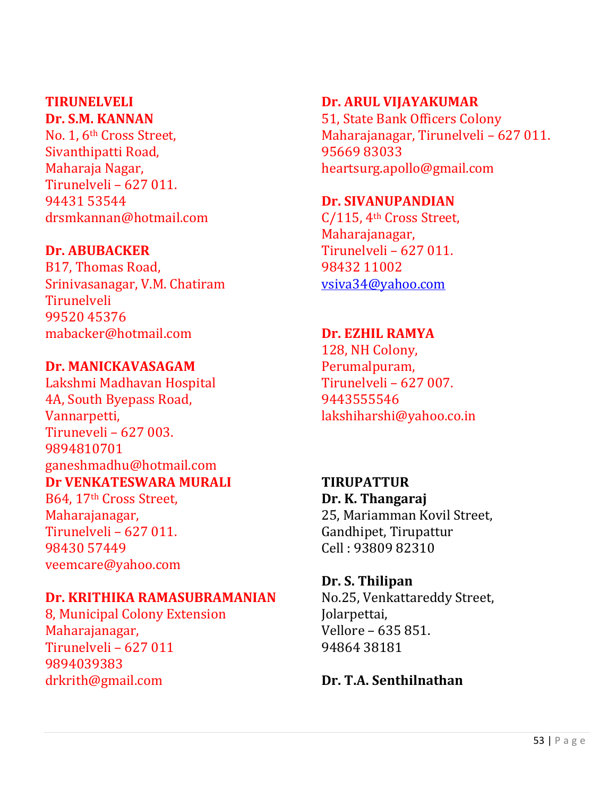### **TIRUNELVELI Dr. S.M. KANNAN**

No. 1, 6<sup>th</sup> Cross Street. Sivanthipatti Road, Maharaja Nagar, Tirunelveli – 627 011. 94431 53544 drsmkannan@hotmail.com

### **Dr. ABUBACKER**

B17, Thomas Road, Srinivasanagar, V.M. Chatiram **Tirunelveli** 99520 45376 mabacker@hotmail.com

### **Dr. MANICKAVASAGAM**

Lakshmi Madhavan Hospital 4A, South Byepass Road, Vannarpetti, Tiruneveli – 627 003. 9894810701 ganeshmadhu@hotmail.com **Dr VENKATESWARA MURALI** 

B64, 17th Cross Street, Maharajanagar, Tirunelveli – 627 011. 98430 57449 veemcare@yahoo.com

### **Dr. KRITHIKA RAMASUBRAMANIAN**

8, Municipal Colony Extension Maharajanagar, Tirunelveli – 627 011 9894039383 drkrith@gmail.com

### **Dr. ARUL VIJAYAKUMAR**

51, State Bank Officers Colony Maharajanagar, Tirunelveli – 627 011. 95669 83033 heartsurg.apollo@gmail.com

### **Dr. SIVANUPANDIAN**

C/115, 4th Cross Street, Maharajanagar, Tirunelveli – 627 011. 98432 11002 [vsiva34@yahoo.com](mailto:vsiva34@yahoo.com)

### **Dr. EZHIL RAMYA**

128, NH Colony, Perumalpuram, Tirunelveli – 627 007. 9443555546 lakshiharshi@yahoo.co.in

### **TIRUPATTUR Dr. K. Thangaraj** 25, Mariamman Kovil Street, Gandhipet, Tirupattur Cell : 93809 82310

### **Dr. S. Thilipan** No.25, Venkattareddy Street, Jolarpettai, Vellore – 635 851. 94864 38181

### **Dr. T.A. Senthilnathan**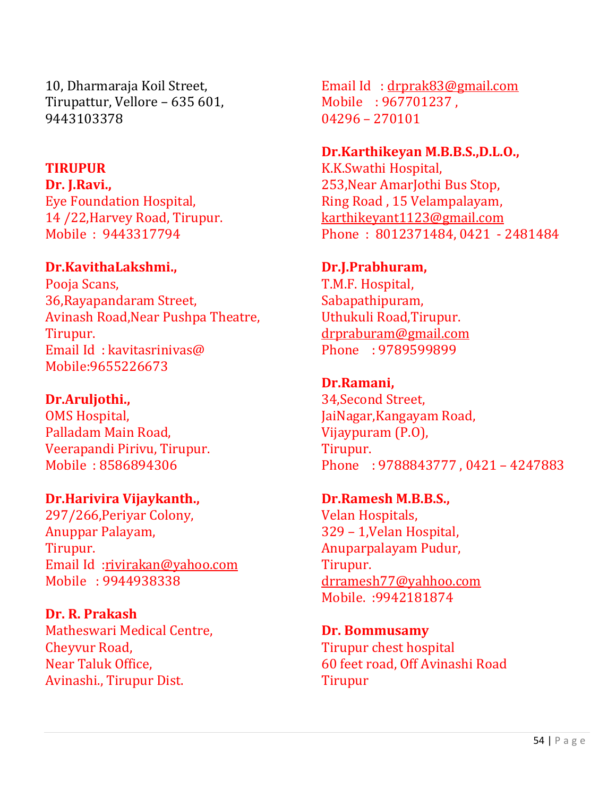10, Dharmaraja Koil Street, Tirupattur, Vellore – 635 601, 9443103378

### **TIRUPUR**

**Dr. J.Ravi.,** Eye Foundation Hospital, 14 /22,Harvey Road, Tirupur. Mobile : 9443317794

### **Dr.KavithaLakshmi.,**

Pooja Scans, 36,Rayapandaram Street, Avinash Road,Near Pushpa Theatre, Tirupur. Email Id : kavitasrinivas@ Mobile:9655226673

#### **Dr.Aruljothi.,**

OMS Hospital, Palladam Main Road, Veerapandi Pirivu, Tirupur. Mobile : 8586894306

### **Dr.Harivira Vijaykanth.,**

297/266,Periyar Colony, Anuppar Palayam, Tirupur. Email Id [:rivirakan@yahoo.com](mailto:rivirakan@yahoo.com) Mobile : 9944938338

**Dr. R. Prakash**

Matheswari Medical Centre, Cheyvur Road, Near Taluk Office, Avinashi., Tirupur Dist.

Email Id : [drprak83@gmail.com](mailto:drprak83@gmail.com) Mobile : 967701237 , 04296 – 270101

#### **Dr.Karthikeyan M.B.B.S.,D.L.O.,**

K.K.Swathi Hospital, 253,Near AmarJothi Bus Stop, Ring Road , 15 Velampalayam, [karthikeyant1123@gmail.com](mailto:karthikeyant1123@gmail.com) Phone : 8012371484, 0421 - 2481484

### **Dr.J.Prabhuram,**

T.M.F. Hospital, Sabapathipuram, Uthukuli Road,Tirupur. [drpraburam@gmail.com](mailto:drpraburam@gmail.com) Phone : 9789599899

### **Dr.Ramani,**

34,Second Street, JaiNagar,Kangayam Road, Vijaypuram (P.O), Tirupur. Phone : 9788843777 , 0421 – 4247883

### **Dr.Ramesh M.B.B.S.,**

Velan Hospitals, 329 – 1,Velan Hospital, Anuparpalayam Pudur, Tirupur. [drramesh77@yahhoo.com](mailto:drramesh77@yahhoo.com) Mobile. :9942181874

**Dr. Bommusamy** Tirupur chest hospital 60 feet road, Off Avinashi Road Tirupur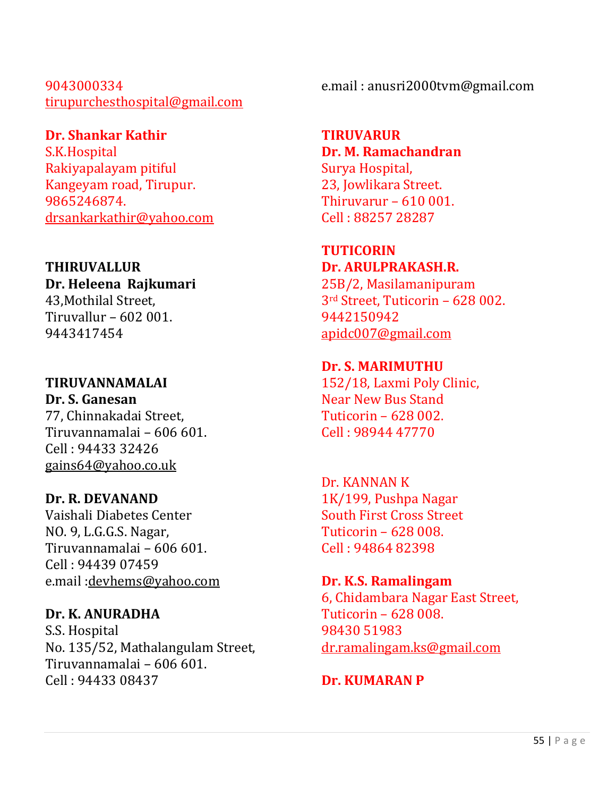9043000334 [tirupurchesthospital@gmail.com](mailto:tirupurchesthospital@gmail.com)

**Dr. Shankar Kathir**

S.K.Hospital Rakiyapalayam pitiful Kangeyam road, Tirupur. 9865246874. [drsankarkathir@yahoo.com](mailto:drsankarkathir@yahoo.com)

**THIRUVALLUR Dr. Heleena Rajkumari** 43,Mothilal Street, Tiruvallur – 602 001. 9443417454

**TIRUVANNAMALAI Dr. S. Ganesan** 77, Chinnakadai Street, Tiruvannamalai – 606 601. Cell : 94433 32426 [gains64@yahoo.co.uk](mailto:gains64@yahoo.co.uk)

**Dr. R. DEVANAND** Vaishali Diabetes Center NO. 9, L.G.G.S. Nagar, Tiruvannamalai – 606 601. Cell : 94439 07459 e.mail [:devhems@yahoo.com](mailto:devhems@yahoo.com)

**Dr. K. ANURADHA** S.S. Hospital No. 135/52, Mathalangulam Street, Tiruvannamalai – 606 601. Cell : 94433 08437

e.mail : anusri2000tvm@gmail.com

**TIRUVARUR Dr. M. Ramachandran** Surya Hospital, 23, Jowlikara Street. Thiruvarur – 610 001. Cell : 88257 28287

**TUTICORIN Dr. ARULPRAKASH.R.** 25B/2, Masilamanipuram 3rd Street, Tuticorin – 628 002. 9442150942 [apidc007@gmail.com](mailto:apidc007@gmail.com)

**Dr. S. MARIMUTHU** 152/18, Laxmi Poly Clinic, Near New Bus Stand Tuticorin – 628 002. Cell : 98944 47770

Dr. KANNAN K 1K/199, Pushpa Nagar South First Cross Street Tuticorin – 628 008. Cell : 94864 82398

**Dr. K.S. Ramalingam** 6, Chidambara Nagar East Street, Tuticorin – 628 008. 98430 51983 [dr.ramalingam.ks@gmail.com](mailto:dr.ramalingam.ks@gmail.com)

**Dr. KUMARAN P**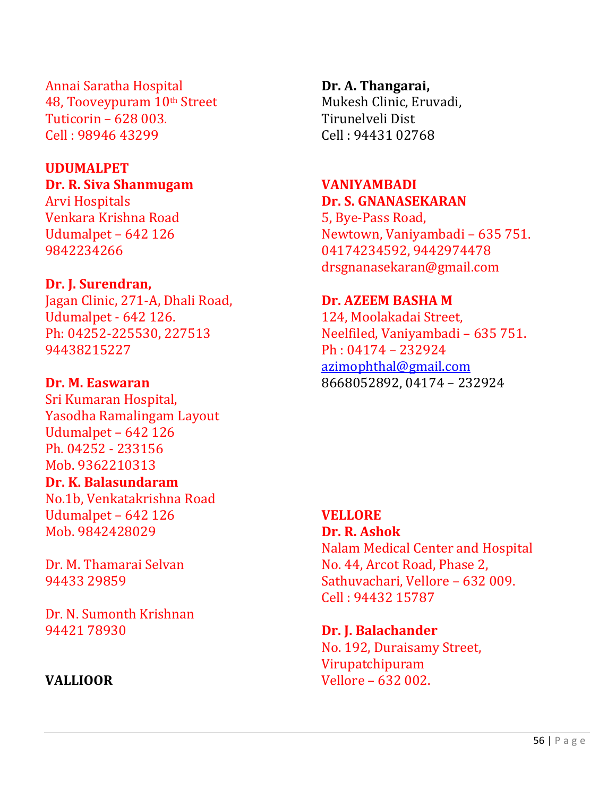Annai Saratha Hospital 48, Tooveypuram 10th Street Tuticorin – 628 003. Cell : 98946 43299

### **UDUMALPET**

**Dr. R. Siva Shanmugam**

Arvi Hospitals Venkara Krishna Road Udumalpet – 642 126 9842234266

### **Dr. J. Surendran,**

Jagan Clinic, 271-A, Dhali Road, Udumalpet - 642 126. Ph: 04252-225530, 227513 94438215227

**Dr. M. Easwaran** Sri Kumaran Hospital, Yasodha Ramalingam Layout Udumalpet – 642 126 Ph. 04252 - 233156 Mob. 9362210313 **Dr. K. Balasundaram** No.1b, Venkatakrishna Road Udumalpet – 642 126 Mob. 9842428029

Dr. M. Thamarai Selvan 94433 29859

Dr. N. Sumonth Krishnan 94421 78930

### **VALLIOOR**

**Dr. A. Thangarai,** Mukesh Clinic, Eruvadi, Tirunelveli Dist Cell : 94431 02768

### **VANIYAMBADI Dr. S. GNANASEKARAN**

5, Bye-Pass Road, Newtown, Vaniyambadi – 635 751. 04174234592, 9442974478 drsgnanasekaran@gmail.com

### **Dr. AZEEM BASHA M**

124, Moolakadai Street, Neelfiled, Vaniyambadi – 635 751. Ph : 04174 – 232924 [azimophthal@gmail.com](mailto:azimophthal@gmail.com) 8668052892, 04174 – 232924

### **VELLORE**

**Dr. R. Ashok** Nalam Medical Center and Hospital No. 44, Arcot Road, Phase 2, Sathuvachari, Vellore – 632 009. Cell : 94432 15787

**Dr. J. Balachander** No. 192, Duraisamy Street, Virupatchipuram Vellore – 632 002.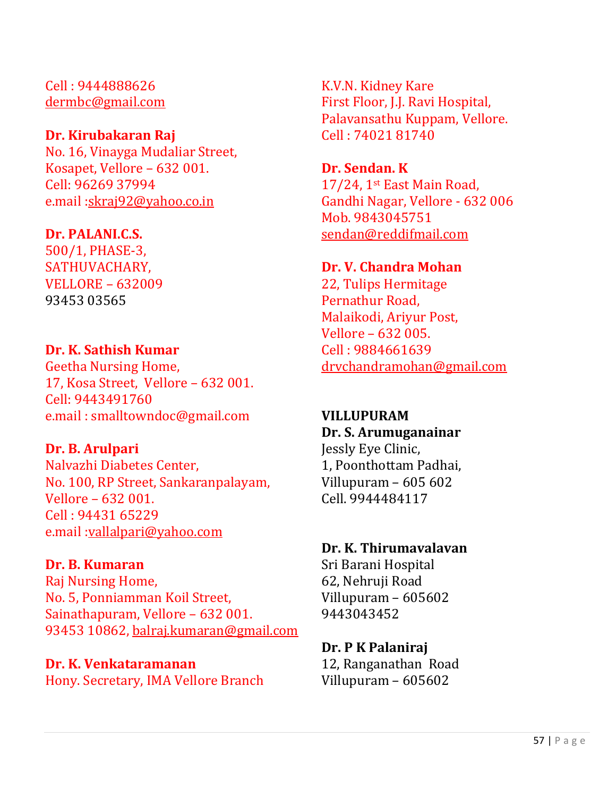#### Cell : 9444888626 [dermbc@gmail.com](mailto:dermbc@gmail.com)

### **Dr. Kirubakaran Raj**

No. 16, Vinayga Mudaliar Street, Kosapet, Vellore – 632 001. Cell: 96269 37994 e.mail [:skraj92@yahoo.co.in](mailto:skraj92@yahoo.co.in)

### **Dr. PALANI.C.S.**

500/1, PHASE-3, SATHUVACHARY, VELLORE – 632009 93453 03565

### **Dr. K. Sathish Kumar**

Geetha Nursing Home, 17, Kosa Street, Vellore – 632 001. Cell: 9443491760 e.mail : smalltowndoc@gmail.com

### **Dr. B. Arulpari**

Nalvazhi Diabetes Center, No. 100, RP Street, Sankaranpalayam, Vellore – 632 001. Cell : 94431 65229 e.mail [:vallalpari@yahoo.com](mailto:vallalpari@yahoo.com)

### **Dr. B. Kumaran**

Raj Nursing Home, No. 5, Ponniamman Koil Street, Sainathapuram, Vellore – 632 001. 93453 10862, [balraj.kumaran@gmail.com](mailto:balraj.kumaran@gmail.com)

**Dr. K. Venkataramanan** Hony. Secretary, IMA Vellore Branch K.V.N. Kidney Kare First Floor, J.J. Ravi Hospital, Palavansathu Kuppam, Vellore. Cell : 74021 81740

## **Dr. Sendan. K**

17/24, 1st East Main Road, Gandhi Nagar, Vellore - 632 006 Mob. 9843045751 [sendan@reddifmail.com](mailto:sendan@reddifmail.com)

### **Dr. V. Chandra Mohan**

22, Tulips Hermitage Pernathur Road, Malaikodi, Ariyur Post, Vellore – 632 005. Cell : 9884661639 [drvchandramohan@gmail.com](mailto:drvchandramohan@gmail.com)

### **VILLUPURAM**

**Dr. S. Arumuganainar** Jessly Eye Clinic, 1, Poonthottam Padhai, Villupuram – 605 602 Cell. 9944484117

### **Dr. K. Thirumavalavan**

Sri Barani Hospital 62, Nehruji Road Villupuram – 605602 9443043452

**Dr. P K Palaniraj** 12, Ranganathan Road Villupuram – 605602